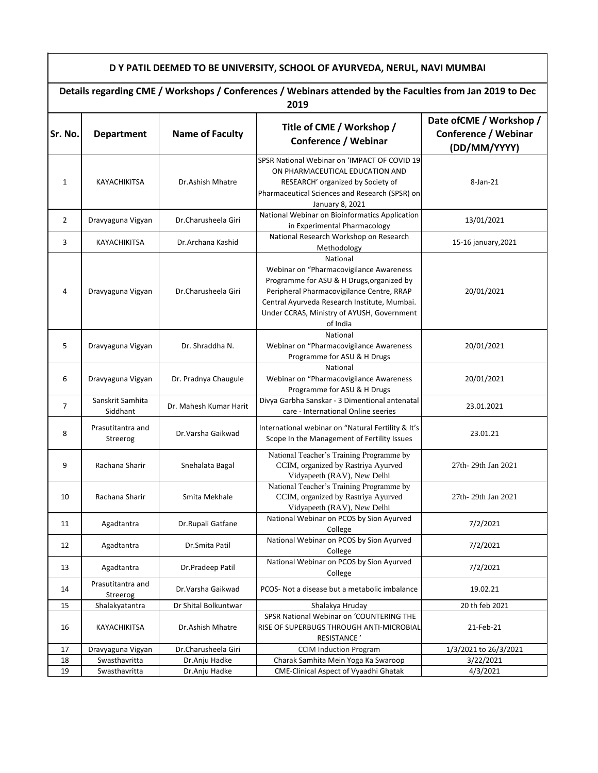## **D Y PATIL DEEMED TO BE UNIVERSITY, SCHOOL OF AYURVEDA, NERUL, NAVI MUMBAI**

|                | Details regarding CME / Workshops / Conferences / Webinars attended by the Faculties from Jan 2019 to Dec<br>2019 |                        |                                                                                                                                                                                                                                                         |                                                                         |
|----------------|-------------------------------------------------------------------------------------------------------------------|------------------------|---------------------------------------------------------------------------------------------------------------------------------------------------------------------------------------------------------------------------------------------------------|-------------------------------------------------------------------------|
| Sr. No.        | <b>Department</b>                                                                                                 | <b>Name of Faculty</b> | Title of CME / Workshop /<br>Conference / Webinar                                                                                                                                                                                                       | Date of CME / Workshop /<br><b>Conference / Webinar</b><br>(DD/MM/YYYY) |
| 1              | KAYACHIKITSA                                                                                                      | Dr.Ashish Mhatre       | SPSR National Webinar on 'IMPACT OF COVID 19<br>ON PHARMACEUTICAL EDUCATION AND<br>RESEARCH' organized by Society of<br>Pharmaceutical Sciences and Research (SPSR) on<br>January 8, 2021                                                               | $8$ -Jan- $21$                                                          |
| $\overline{2}$ | Dravyaguna Vigyan                                                                                                 | Dr.Charusheela Giri    | National Webinar on Bioinformatics Application<br>in Experimental Pharmacology                                                                                                                                                                          | 13/01/2021                                                              |
| 3              | KAYACHIKITSA                                                                                                      | Dr.Archana Kashid      | National Research Workshop on Research<br>Methodology                                                                                                                                                                                                   | 15-16 january, 2021                                                     |
| 4              | Dravyaguna Vigyan                                                                                                 | Dr.Charusheela Giri    | National<br>Webinar on "Pharmacovigilance Awareness<br>Programme for ASU & H Drugs, organized by<br>Peripheral Pharmacovigilance Centre, RRAP<br>Central Ayurveda Research Institute, Mumbai.<br>Under CCRAS, Ministry of AYUSH, Government<br>of India | 20/01/2021                                                              |
| 5              | Dravyaguna Vigyan                                                                                                 | Dr. Shraddha N.        | National<br>Webinar on "Pharmacovigilance Awareness<br>Programme for ASU & H Drugs                                                                                                                                                                      | 20/01/2021                                                              |
| 6              | Dravyaguna Vigyan                                                                                                 | Dr. Pradnya Chaugule   | National<br>Webinar on "Pharmacovigilance Awareness<br>Programme for ASU & H Drugs                                                                                                                                                                      | 20/01/2021                                                              |
| $\overline{7}$ | Sanskrit Samhita<br>Siddhant                                                                                      | Dr. Mahesh Kumar Harit | Divya Garbha Sanskar - 3 Dimentional antenatal<br>care - International Online seeries                                                                                                                                                                   | 23.01.2021                                                              |
| 8              | Prasutitantra and<br>Streerog                                                                                     | Dr.Varsha Gaikwad      | International webinar on "Natural Fertility & It's<br>Scope In the Management of Fertility Issues                                                                                                                                                       | 23.01.21                                                                |
| 9              | Rachana Sharir                                                                                                    | Snehalata Bagal        | National Teacher's Training Programme by<br>CCIM, organized by Rastriya Ayurved<br>Vidyapeeth (RAV), New Delhi                                                                                                                                          | 27th-29th Jan 2021                                                      |
| 10             | Rachana Sharir                                                                                                    | Smita Mekhale          | National Teacher's Training Programme by<br>CCIM, organized by Rastriya Ayurved<br>Vidyapeeth (RAV), New Delhi                                                                                                                                          | 27th-29th Jan 2021                                                      |
| 11             | Agadtantra                                                                                                        | Dr.Rupali Gatfane      | National Webinar on PCOS by Sion Ayurved<br>College                                                                                                                                                                                                     | 7/2/2021                                                                |
| 12             | Agadtantra                                                                                                        | Dr.Smita Patil         | National Webinar on PCOS by Sion Ayurved<br>College                                                                                                                                                                                                     | 7/2/2021                                                                |
| 13             | Agadtantra                                                                                                        | Dr.Pradeep Patil       | National Webinar on PCOS by Sion Ayurved<br>College                                                                                                                                                                                                     | 7/2/2021                                                                |
| 14             | Prasutitantra and<br>Streerog                                                                                     | Dr. Varsha Gaikwad     | PCOS- Not a disease but a metabolic imbalance                                                                                                                                                                                                           | 19.02.21                                                                |
| 15             | Shalakyatantra                                                                                                    | Dr Shital Bolkuntwar   | Shalakya Hruday                                                                                                                                                                                                                                         | 20 th feb 2021                                                          |
| 16             | KAYACHIKITSA                                                                                                      | Dr.Ashish Mhatre       | SPSR National Webinar on 'COUNTERING THE<br>RISE OF SUPERBUGS THROUGH ANTI-MICROBIAL<br>RESISTANCE'                                                                                                                                                     | 21-Feb-21                                                               |
| 17             | Dravyaguna Vigyan                                                                                                 | Dr.Charusheela Giri    | <b>CCIM Induction Program</b>                                                                                                                                                                                                                           | 1/3/2021 to 26/3/2021                                                   |
| 18             | Swasthavritta                                                                                                     | Dr.Anju Hadke          | Charak Samhita Mein Yoga Ka Swaroop                                                                                                                                                                                                                     | 3/22/2021                                                               |
| 19             | Swasthavritta                                                                                                     | Dr.Anju Hadke          | CME-Clinical Aspect of Vyaadhi Ghatak                                                                                                                                                                                                                   | 4/3/2021                                                                |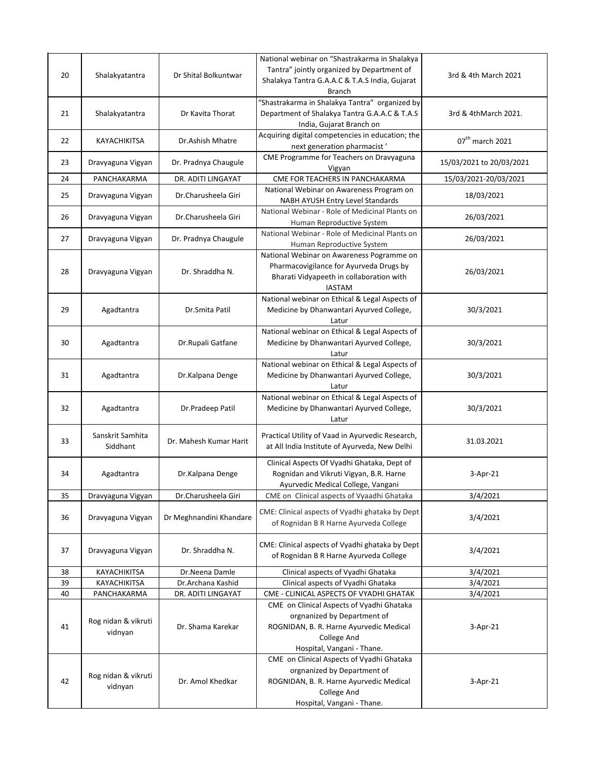| 20 | Shalakyatantra                 | Dr Shital Bolkuntwar    | National webinar on "Shastrakarma in Shalakya<br>Tantra" jointly organized by Department of<br>Shalakya Tantra G.A.A.C & T.A.S India, Gujarat<br>Branch                 | 3rd & 4th March 2021        |
|----|--------------------------------|-------------------------|-------------------------------------------------------------------------------------------------------------------------------------------------------------------------|-----------------------------|
| 21 | Shalakyatantra                 | Dr Kavita Thorat        | "Shastrakarma in Shalakya Tantra" organized by<br>Department of Shalakya Tantra G.A.A.C & T.A.S<br>India, Gujarat Branch on                                             | 3rd & 4thMarch 2021.        |
| 22 | KAYACHIKITSA                   | Dr.Ashish Mhatre        | Acquiring digital competencies in education; the<br>next generation pharmacist'                                                                                         | 07 <sup>th</sup> march 2021 |
| 23 | Dravyaguna Vigyan              | Dr. Pradnya Chaugule    | CME Programme for Teachers on Dravyaguna<br>Vigyan                                                                                                                      | 15/03/2021 to 20/03/2021    |
| 24 | PANCHAKARMA                    | DR. ADITI LINGAYAT      | CME FOR TEACHERS IN PANCHAKARMA                                                                                                                                         | 15/03/2021-20/03/2021       |
| 25 | Dravyaguna Vigyan              | Dr.Charusheela Giri     | National Webinar on Awareness Program on<br>NABH AYUSH Entry Level Standards                                                                                            | 18/03/2021                  |
| 26 | Dravyaguna Vigyan              | Dr.Charusheela Giri     | National Webinar - Role of Medicinal Plants on<br>Human Reproductive System                                                                                             | 26/03/2021                  |
| 27 | Dravyaguna Vigyan              | Dr. Pradnya Chaugule    | National Webinar - Role of Medicinal Plants on<br>Human Reproductive System                                                                                             | 26/03/2021                  |
| 28 | Dravyaguna Vigyan              | Dr. Shraddha N.         | National Webinar on Awareness Pogramme on<br>Pharmacovigilance for Ayurveda Drugs by<br>Bharati Vidyapeeth in collaboration with<br><b>IASTAM</b>                       | 26/03/2021                  |
| 29 | Agadtantra                     | Dr.Smita Patil          | National webinar on Ethical & Legal Aspects of<br>Medicine by Dhanwantari Ayurved College,<br>Latur                                                                     | 30/3/2021                   |
| 30 | Agadtantra                     | Dr.Rupali Gatfane       | National webinar on Ethical & Legal Aspects of<br>Medicine by Dhanwantari Ayurved College,<br>Latur                                                                     | 30/3/2021                   |
| 31 | Agadtantra                     | Dr.Kalpana Denge        | National webinar on Ethical & Legal Aspects of<br>Medicine by Dhanwantari Ayurved College,<br>Latur                                                                     | 30/3/2021                   |
| 32 | Agadtantra                     | Dr.Pradeep Patil        | National webinar on Ethical & Legal Aspects of<br>Medicine by Dhanwantari Ayurved College,<br>Latur                                                                     | 30/3/2021                   |
| 33 | Sanskrit Samhita<br>Siddhant   | Dr. Mahesh Kumar Harit  | Practical Utility of Vaad in Ayurvedic Research,<br>at All India Institute of Ayurveda, New Delhi                                                                       | 31.03.2021                  |
| 34 | Agadtantra                     | Dr.Kalpana Denge        | Clinical Aspects Of Vyadhi Ghataka, Dept of<br>Rognidan and Vikruti Vigyan, B.R. Harne<br>Ayurvedic Medical College, Vangani                                            | 3-Apr-21                    |
| 35 | Dravyaguna Vigyan              | Dr.Charusheela Giri     | CME on Clinical aspects of Vyaadhi Ghataka                                                                                                                              | 3/4/2021                    |
| 36 | Dravyaguna Vigyan              | Dr Meghnandini Khandare | CME: Clinical aspects of Vyadhi ghataka by Dept<br>of Rognidan B R Harne Ayurveda College                                                                               | 3/4/2021                    |
| 37 | Dravyaguna Vigyan              | Dr. Shraddha N.         | CME: Clinical aspects of Vyadhi ghataka by Dept<br>of Rognidan B R Harne Ayurveda College                                                                               | 3/4/2021                    |
| 38 | KAYACHIKITSA                   | Dr.Neena Damle          | Clinical aspects of Vyadhi Ghataka                                                                                                                                      | 3/4/2021                    |
| 39 | KAYACHIKITSA                   | Dr.Archana Kashid       | Clinical aspects of Vyadhi Ghataka                                                                                                                                      | 3/4/2021                    |
| 40 | PANCHAKARMA                    | DR. ADITI LINGAYAT      | CME - CLINICAL ASPECTS OF VYADHI GHATAK                                                                                                                                 | 3/4/2021                    |
| 41 | Rog nidan & vikruti<br>vidnyan | Dr. Shama Karekar       | CME on Clinical Aspects of Vyadhi Ghataka<br>orgnanized by Department of<br>ROGNIDAN, B. R. Harne Ayurvedic Medical<br>College And<br>Hospital, Vangani - Thane.        | 3-Apr-21                    |
| 42 | Rog nidan & vikruti<br>vidnyan | Dr. Amol Khedkar        | CME on Clinical Aspects of Vyadhi Ghataka<br>orgnanized by Department of<br>ROGNIDAN, B. R. Harne Ayurvedic Medical<br><b>College And</b><br>Hospital, Vangani - Thane. | 3-Apr-21                    |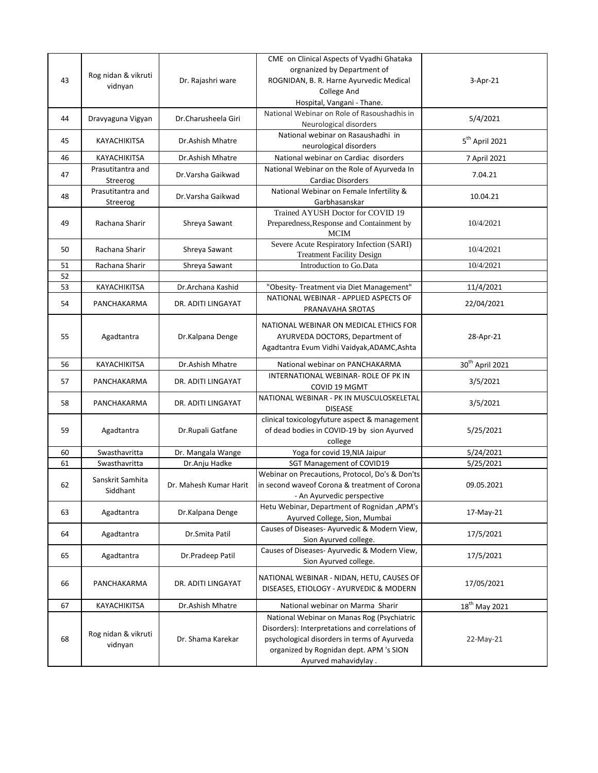| 43 | Rog nidan & vikruti<br>vidnyan | Dr. Rajashri ware      | CME on Clinical Aspects of Vyadhi Ghataka<br>orgnanized by Department of<br>ROGNIDAN, B. R. Harne Ayurvedic Medical<br><b>College And</b>                                                                        | $3-Apr-21$                  |
|----|--------------------------------|------------------------|------------------------------------------------------------------------------------------------------------------------------------------------------------------------------------------------------------------|-----------------------------|
| 44 | Dravyaguna Vigyan              | Dr.Charusheela Giri    | Hospital, Vangani - Thane.<br>National Webinar on Role of Rasoushadhis in<br>Neurological disorders                                                                                                              | 5/4/2021                    |
| 45 | KAYACHIKITSA                   | Dr.Ashish Mhatre       | National webinar on Rasaushadhi in<br>neurological disorders                                                                                                                                                     | 5 <sup>th</sup> April 2021  |
| 46 | KAYACHIKITSA                   | Dr.Ashish Mhatre       | National webinar on Cardiac disorders                                                                                                                                                                            | 7 April 2021                |
| 47 | Prasutitantra and<br>Streerog  | Dr. Varsha Gaikwad     | National Webinar on the Role of Ayurveda In<br><b>Cardiac Disorders</b>                                                                                                                                          | 7.04.21                     |
| 48 | Prasutitantra and<br>Streerog  | Dr. Varsha Gaikwad     | National Webinar on Female Infertility &<br>Garbhasanskar                                                                                                                                                        | 10.04.21                    |
| 49 | Rachana Sharir                 | Shreya Sawant          | Trained AYUSH Doctor for COVID 19<br>Preparedness, Response and Containment by<br>MCIM                                                                                                                           | 10/4/2021                   |
| 50 | Rachana Sharir                 | Shreya Sawant          | Severe Acute Respiratory Infection (SARI)<br><b>Treatment Facility Design</b>                                                                                                                                    | 10/4/2021                   |
| 51 | Rachana Sharir                 | Shreya Sawant          | Introduction to Go.Data                                                                                                                                                                                          | 10/4/2021                   |
| 52 |                                |                        |                                                                                                                                                                                                                  |                             |
| 53 | KAYACHIKITSA                   | Dr.Archana Kashid      | "Obesity- Treatment via Diet Management"<br>NATIONAL WEBINAR - APPLIED ASPECTS OF                                                                                                                                | 11/4/2021                   |
| 54 | PANCHAKARMA                    | DR. ADITI LINGAYAT     | PRANAVAHA SROTAS                                                                                                                                                                                                 | 22/04/2021                  |
| 55 | Agadtantra                     | Dr.Kalpana Denge       | NATIONAL WEBINAR ON MEDICAL ETHICS FOR<br>AYURVEDA DOCTORS, Department of<br>Agadtantra Evum Vidhi Vaidyak, ADAMC, Ashta                                                                                         | 28-Apr-21                   |
| 56 | KAYACHIKITSA                   | Dr.Ashish Mhatre       | National webinar on PANCHAKARMA                                                                                                                                                                                  | 30 <sup>th</sup> April 2021 |
| 57 | PANCHAKARMA                    | DR. ADITI LINGAYAT     | INTERNATIONAL WEBINAR- ROLE OF PK IN<br>COVID 19 MGMT                                                                                                                                                            | 3/5/2021                    |
| 58 | PANCHAKARMA                    | DR. ADITI LINGAYAT     | NATIONAL WEBINAR - PK IN MUSCULOSKELETAL<br><b>DISEASE</b>                                                                                                                                                       | 3/5/2021                    |
| 59 | Agadtantra                     | Dr.Rupali Gatfane      | clinical toxicologyfuture aspect & management<br>of dead bodies in COVID-19 by sion Ayurved<br>college                                                                                                           | 5/25/2021                   |
| 60 | Swasthavritta                  | Dr. Mangala Wange      | Yoga for covid 19, NIA Jaipur                                                                                                                                                                                    | 5/24/2021                   |
| 61 | Swasthavritta                  | Dr.Anju Hadke          | SGT Management of COVID19                                                                                                                                                                                        | 5/25/2021                   |
| 62 | Sanskrit Samhita<br>Siddhant   | Dr. Mahesh Kumar Harit | Webinar on Precautions, Protocol, Do's & Don'ts<br>in second waveof Corona & treatment of Corona<br>- An Ayurvedic perspective                                                                                   | 09.05.2021                  |
| 63 | Agadtantra                     | Dr.Kalpana Denge       | Hetu Webinar, Department of Rognidan, APM's<br>Ayurved College, Sion, Mumbai                                                                                                                                     | 17-May-21                   |
| 64 | Agadtantra                     | Dr.Smita Patil         | Causes of Diseases-Ayurvedic & Modern View,<br>Sion Ayurved college.                                                                                                                                             | 17/5/2021                   |
| 65 | Agadtantra                     | Dr.Pradeep Patil       | Causes of Diseases-Ayurvedic & Modern View,<br>Sion Ayurved college.                                                                                                                                             | 17/5/2021                   |
| 66 | PANCHAKARMA                    | DR. ADITI LINGAYAT     | NATIONAL WEBINAR - NIDAN, HETU, CAUSES OF<br>DISEASES, ETIOLOGY - AYURVEDIC & MODERN                                                                                                                             | 17/05/2021                  |
| 67 | KAYACHIKITSA                   | Dr.Ashish Mhatre       | National webinar on Marma Sharir                                                                                                                                                                                 | 18 <sup>th</sup> May 2021   |
| 68 | Rog nidan & vikruti<br>vidnyan | Dr. Shama Karekar      | National Webinar on Manas Rog (Psychiatric<br>Disorders): Interpretations and correlations of<br>psychological disorders in terms of Ayurveda<br>organized by Rognidan dept. APM 's SION<br>Ayurved mahavidylay. | 22-May-21                   |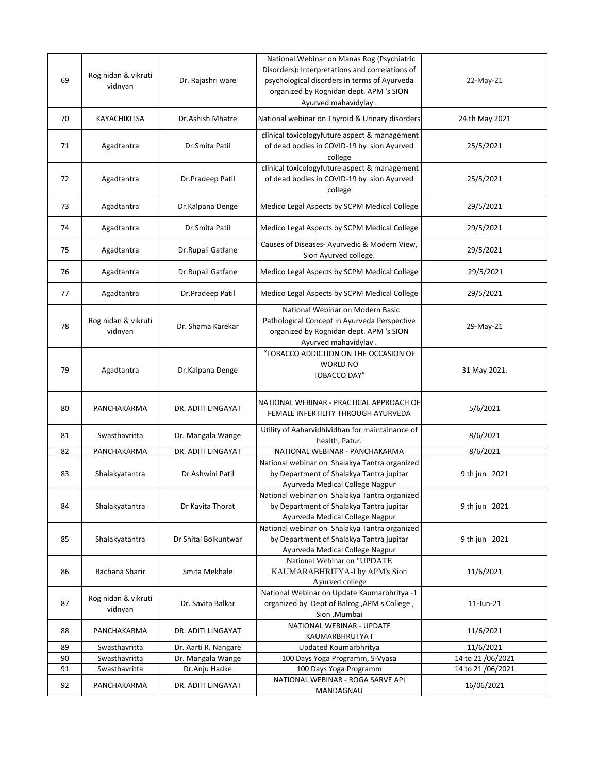| 69 | Rog nidan & vikruti<br>vidnyan | Dr. Rajashri ware    | National Webinar on Manas Rog (Psychiatric<br>Disorders): Interpretations and correlations of<br>psychological disorders in terms of Ayurveda<br>organized by Rognidan dept. APM 's SION<br>Ayurved mahavidylay. | 22-May-21         |
|----|--------------------------------|----------------------|------------------------------------------------------------------------------------------------------------------------------------------------------------------------------------------------------------------|-------------------|
| 70 | KAYACHIKITSA                   | Dr.Ashish Mhatre     | National webinar on Thyroid & Urinary disorders                                                                                                                                                                  | 24 th May 2021    |
| 71 | Agadtantra                     | Dr.Smita Patil       | clinical toxicologyfuture aspect & management<br>of dead bodies in COVID-19 by sion Ayurved<br>college                                                                                                           | 25/5/2021         |
| 72 | Agadtantra                     | Dr.Pradeep Patil     | clinical toxicologyfuture aspect & management<br>of dead bodies in COVID-19 by sion Ayurved<br>college                                                                                                           | 25/5/2021         |
| 73 | Agadtantra                     | Dr.Kalpana Denge     | Medico Legal Aspects by SCPM Medical College                                                                                                                                                                     | 29/5/2021         |
| 74 | Agadtantra                     | Dr.Smita Patil       | Medico Legal Aspects by SCPM Medical College                                                                                                                                                                     | 29/5/2021         |
| 75 | Agadtantra                     | Dr.Rupali Gatfane    | Causes of Diseases-Ayurvedic & Modern View,<br>Sion Ayurved college.                                                                                                                                             | 29/5/2021         |
| 76 | Agadtantra                     | Dr.Rupali Gatfane    | Medico Legal Aspects by SCPM Medical College                                                                                                                                                                     | 29/5/2021         |
| 77 | Agadtantra                     | Dr.Pradeep Patil     | Medico Legal Aspects by SCPM Medical College                                                                                                                                                                     | 29/5/2021         |
| 78 | Rog nidan & vikruti<br>vidnyan | Dr. Shama Karekar    | National Webinar on Modern Basic<br>Pathological Concept in Ayurveda Perspective<br>organized by Rognidan dept. APM 's SION<br>Ayurved mahavidylay.                                                              | 29-May-21         |
| 79 | Agadtantra                     | Dr.Kalpana Denge     | "TOBACCO ADDICTION ON THE OCCASION OF<br><b>WORLD NO</b><br><b>TOBACCO DAY"</b>                                                                                                                                  | 31 May 2021.      |
| 80 | PANCHAKARMA                    | DR. ADITI LINGAYAT   | NATIONAL WEBINAR - PRACTICAL APPROACH OF<br>FEMALE INFERTILITY THROUGH AYURVEDA                                                                                                                                  | 5/6/2021          |
| 81 | Swasthavritta                  | Dr. Mangala Wange    | Utility of Aaharvidhividhan for maintainance of<br>health, Patur.                                                                                                                                                | 8/6/2021          |
| 82 | PANCHAKARMA                    | DR. ADITI LINGAYAT   | NATIONAL WEBINAR - PANCHAKARMA                                                                                                                                                                                   | 8/6/2021          |
| 83 | Shalakyatantra                 | Dr Ashwini Patil     | National webinar on Shalakya Tantra organized<br>by Department of Shalakya Tantra jupitar<br>Ayurveda Medical College Nagpur                                                                                     | 9 th jun 2021     |
| 84 | Shalakyatantra                 | Dr Kavita Thorat     | National webinar on Shalakya Tantra organized<br>by Department of Shalakya Tantra jupitar<br>Ayurveda Medical College Nagpur                                                                                     | 9 th jun 2021     |
| 85 | Shalakyatantra                 | Dr Shital Bolkuntwar | National webinar on Shalakya Tantra organized<br>by Department of Shalakya Tantra jupitar<br>Ayurveda Medical College Nagpur                                                                                     | 9 th jun 2021     |
| 86 | Rachana Sharir                 | Smita Mekhale        | National Webinar on "UPDATE<br>KAUMARABHRITYA-I by APM's Sion<br>Ayurved college                                                                                                                                 | 11/6/2021         |
| 87 | Rog nidan & vikruti<br>vidnyan | Dr. Savita Balkar    | National Webinar on Update Kaumarbhritya -1<br>organized by Dept of Balrog , APM s College,<br>Sion, Mumbai                                                                                                      | 11-Jun-21         |
| 88 | PANCHAKARMA                    | DR. ADITI LINGAYAT   | NATIONAL WEBINAR - UPDATE<br>KAUMARBHRUTYA I                                                                                                                                                                     | 11/6/2021         |
| 89 | Swasthavritta                  | Dr. Aarti R. Nangare | Updated Koumarbhritya                                                                                                                                                                                            | 11/6/2021         |
| 90 | Swasthavritta                  | Dr. Mangala Wange    | 100 Days Yoga Programm, S-Vyasa                                                                                                                                                                                  | 14 to 21 /06/2021 |
| 91 | Swasthavritta                  | Dr.Anju Hadke        | 100 Days Yoga Programm                                                                                                                                                                                           | 14 to 21/06/2021  |
| 92 | PANCHAKARMA                    | DR. ADITI LINGAYAT   | NATIONAL WEBINAR - ROGA SARVE API<br>MANDAGNAU                                                                                                                                                                   | 16/06/2021        |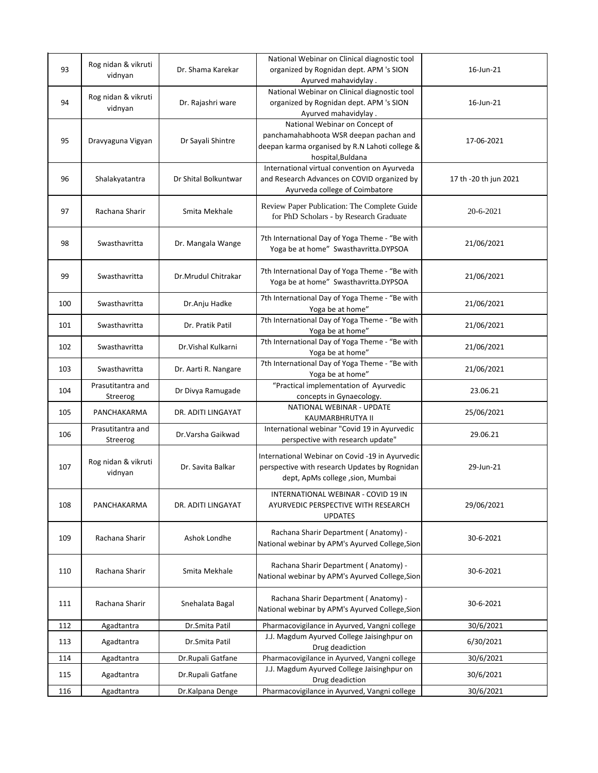| 93  | Rog nidan & vikruti<br>vidnyan | Dr. Shama Karekar    | National Webinar on Clinical diagnostic tool<br>organized by Rognidan dept. APM 's SION<br>Ayurved mahavidylay.                                 | 16-Jun-21             |
|-----|--------------------------------|----------------------|-------------------------------------------------------------------------------------------------------------------------------------------------|-----------------------|
| 94  | Rog nidan & vikruti<br>vidnyan | Dr. Rajashri ware    | National Webinar on Clinical diagnostic tool<br>organized by Rognidan dept. APM 's SION<br>Ayurved mahavidylay.                                 | 16-Jun-21             |
| 95  | Dravyaguna Vigyan              | Dr Sayali Shintre    | National Webinar on Concept of<br>panchamahabhoota WSR deepan pachan and<br>deepan karma organised by R.N Lahoti college &<br>hospital, Buldana | 17-06-2021            |
| 96  | Shalakyatantra                 | Dr Shital Bolkuntwar | International virtual convention on Ayurveda<br>and Research Advances on COVID organized by<br>Ayurveda college of Coimbatore                   | 17 th -20 th jun 2021 |
| 97  | Rachana Sharir                 | Smita Mekhale        | Review Paper Publication: The Complete Guide<br>for PhD Scholars - by Research Graduate                                                         | 20-6-2021             |
| 98  | Swasthavritta                  | Dr. Mangala Wange    | 7th International Day of Yoga Theme - "Be with<br>Yoga be at home" Swasthavritta.DYPSOA                                                         | 21/06/2021            |
| 99  | Swasthavritta                  | Dr.Mrudul Chitrakar  | 7th International Day of Yoga Theme - "Be with<br>Yoga be at home" Swasthavritta.DYPSOA                                                         | 21/06/2021            |
| 100 | Swasthavritta                  | Dr.Anju Hadke        | 7th International Day of Yoga Theme - "Be with<br>Yoga be at home"                                                                              | 21/06/2021            |
| 101 | Swasthavritta                  | Dr. Pratik Patil     | 7th International Day of Yoga Theme - "Be with<br>Yoga be at home"                                                                              | 21/06/2021            |
| 102 | Swasthavritta                  | Dr. Vishal Kulkarni  | 7th International Day of Yoga Theme - "Be with<br>Yoga be at home"                                                                              | 21/06/2021            |
| 103 | Swasthavritta                  | Dr. Aarti R. Nangare | 7th International Day of Yoga Theme - "Be with<br>Yoga be at home"                                                                              | 21/06/2021            |
| 104 | Prasutitantra and<br>Streerog  | Dr Divya Ramugade    | "Practical implementation of Ayurvedic<br>concepts in Gynaecology.                                                                              | 23.06.21              |
| 105 | PANCHAKARMA                    | DR. ADITI LINGAYAT   | NATIONAL WEBINAR - UPDATE<br>KAUMARBHRUTYA II                                                                                                   | 25/06/2021            |
| 106 | Prasutitantra and<br>Streerog  | Dr. Varsha Gaikwad   | International webinar "Covid 19 in Ayurvedic<br>perspective with research update"                                                               | 29.06.21              |
| 107 | Rog nidan & vikruti<br>vidnyan | Dr. Savita Balkar    | International Webinar on Covid -19 in Ayurvedic<br>perspective with research Updates by Rognidan<br>dept, ApMs college , sion, Mumbai           | 29-Jun-21             |
| 108 | PANCHAKARMA                    | DR. ADITI LINGAYAT   | INTERNATIONAL WEBINAR - COVID 19 IN<br>AYURVEDIC PERSPECTIVE WITH RESEARCH<br><b>UPDATES</b>                                                    | 29/06/2021            |
| 109 | Rachana Sharir                 | Ashok Londhe         | Rachana Sharir Department (Anatomy) -<br>National webinar by APM's Ayurved College, Sion                                                        | 30-6-2021             |
| 110 | Rachana Sharir                 | Smita Mekhale        | Rachana Sharir Department (Anatomy) -<br>National webinar by APM's Ayurved College, Sion                                                        | 30-6-2021             |
| 111 | Rachana Sharir                 | Snehalata Bagal      | Rachana Sharir Department (Anatomy) -<br>National webinar by APM's Ayurved College, Sion                                                        | 30-6-2021             |
| 112 | Agadtantra                     | Dr.Smita Patil       | Pharmacovigilance in Ayurved, Vangni college                                                                                                    | 30/6/2021             |
| 113 | Agadtantra                     | Dr.Smita Patil       | J.J. Magdum Ayurved College Jaisinghpur on<br>Drug deadiction                                                                                   | 6/30/2021             |
| 114 | Agadtantra                     | Dr.Rupali Gatfane    | Pharmacovigilance in Ayurved, Vangni college                                                                                                    | 30/6/2021             |
| 115 | Agadtantra                     | Dr.Rupali Gatfane    | J.J. Magdum Ayurved College Jaisinghpur on<br>Drug deadiction                                                                                   | 30/6/2021             |
| 116 | Agadtantra                     | Dr.Kalpana Denge     | Pharmacovigilance in Ayurved, Vangni college                                                                                                    | 30/6/2021             |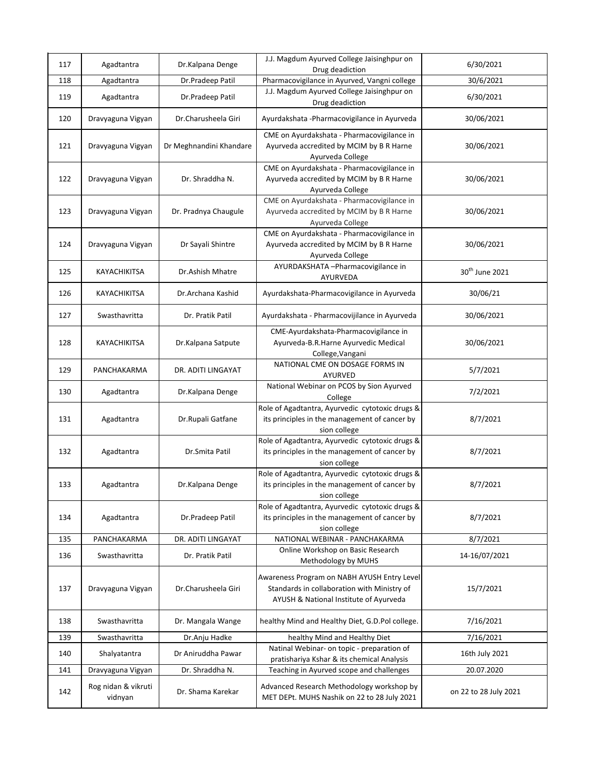| 117 | Agadtantra                     | Dr.Kalpana Denge        | J.J. Magdum Ayurved College Jaisinghpur on<br>Drug deadiction                                                                        | 6/30/2021                  |
|-----|--------------------------------|-------------------------|--------------------------------------------------------------------------------------------------------------------------------------|----------------------------|
| 118 | Agadtantra                     | Dr.Pradeep Patil        | Pharmacovigilance in Ayurved, Vangni college                                                                                         | 30/6/2021                  |
| 119 | Agadtantra                     | Dr.Pradeep Patil        | J.J. Magdum Ayurved College Jaisinghpur on<br>Drug deadiction                                                                        | 6/30/2021                  |
| 120 | Dravyaguna Vigyan              | Dr.Charusheela Giri     | Ayurdakshata - Pharmacovigilance in Ayurveda                                                                                         | 30/06/2021                 |
| 121 | Dravyaguna Vigyan              | Dr Meghnandini Khandare | CME on Ayurdakshata - Pharmacovigilance in<br>Ayurveda accredited by MCIM by B R Harne<br>Ayurveda College                           | 30/06/2021                 |
| 122 | Dravyaguna Vigyan              | Dr. Shraddha N.         | CME on Ayurdakshata - Pharmacovigilance in<br>Ayurveda accredited by MCIM by B R Harne<br>Ayurveda College                           | 30/06/2021                 |
| 123 | Dravyaguna Vigyan              | Dr. Pradnya Chaugule    | CME on Ayurdakshata - Pharmacovigilance in<br>Ayurveda accredited by MCIM by B R Harne<br>Ayurveda College                           | 30/06/2021                 |
| 124 | Dravyaguna Vigyan              | Dr Sayali Shintre       | CME on Ayurdakshata - Pharmacovigilance in<br>Ayurveda accredited by MCIM by B R Harne<br>Ayurveda College                           | 30/06/2021                 |
| 125 | KAYACHIKITSA                   | Dr.Ashish Mhatre        | AYURDAKSHATA - Pharmacovigilance in<br>AYURVEDA                                                                                      | 30 <sup>th</sup> June 2021 |
| 126 | KAYACHIKITSA                   | Dr.Archana Kashid       | Ayurdakshata-Pharmacovigilance in Ayurveda                                                                                           | 30/06/21                   |
| 127 | Swasthavritta                  | Dr. Pratik Patil        | Ayurdakshata - Pharmacovijilance in Ayurveda                                                                                         | 30/06/2021                 |
| 128 | KAYACHIKITSA                   | Dr.Kalpana Satpute      | CME-Ayurdakshata-Pharmacovigilance in<br>Ayurveda-B.R.Harne Ayurvedic Medical<br>College, Vangani                                    | 30/06/2021                 |
| 129 | PANCHAKARMA                    | DR. ADITI LINGAYAT      | NATIONAL CME ON DOSAGE FORMS IN<br>AYURVED                                                                                           | 5/7/2021                   |
| 130 | Agadtantra                     | Dr.Kalpana Denge        | National Webinar on PCOS by Sion Ayurved<br>College                                                                                  | 7/2/2021                   |
| 131 | Agadtantra                     | Dr.Rupali Gatfane       | Role of Agadtantra, Ayurvedic cytotoxic drugs &<br>its principles in the management of cancer by<br>sion college                     | 8/7/2021                   |
| 132 | Agadtantra                     | Dr.Smita Patil          | Role of Agadtantra, Ayurvedic cytotoxic drugs &<br>its principles in the management of cancer by<br>sion college                     | 8/7/2021                   |
| 133 | Agadtantra                     | Dr.Kalpana Denge        | Role of Agadtantra, Ayurvedic cytotoxic drugs &<br>its principles in the management of cancer by<br>sion college                     | 8/7/2021                   |
| 134 | Agadtantra                     | Dr.Pradeep Patil        | Role of Agadtantra, Ayurvedic cytotoxic drugs &<br>its principles in the management of cancer by<br>sion college                     | 8/7/2021                   |
| 135 | PANCHAKARMA                    | DR. ADITI LINGAYAT      | NATIONAL WEBINAR - PANCHAKARMA                                                                                                       | 8/7/2021                   |
| 136 | Swasthavritta                  | Dr. Pratik Patil        | Online Workshop on Basic Research<br>Methodology by MUHS                                                                             | 14-16/07/2021              |
| 137 | Dravyaguna Vigyan              | Dr.Charusheela Giri     | Awareness Program on NABH AYUSH Entry Level<br>Standards in collaboration with Ministry of<br>AYUSH & National Institute of Ayurveda | 15/7/2021                  |
| 138 | Swasthavritta                  | Dr. Mangala Wange       | healthy Mind and Healthy Diet, G.D.Pol college.                                                                                      | 7/16/2021                  |
| 139 | Swasthavritta                  | Dr.Anju Hadke           | healthy Mind and Healthy Diet                                                                                                        | 7/16/2021                  |
| 140 | Shalyatantra                   | Dr Aniruddha Pawar      | Natinal Webinar- on topic - preparation of<br>pratishariya Kshar & its chemical Analysis                                             | 16th July 2021             |
| 141 | Dravyaguna Vigyan              | Dr. Shraddha N.         | Teaching in Ayurved scope and challenges                                                                                             | 20.07.2020                 |
| 142 | Rog nidan & vikruti<br>vidnyan | Dr. Shama Karekar       | Advanced Research Methodology workshop by<br>MET DEPt. MUHS Nashik on 22 to 28 July 2021                                             | on 22 to 28 July 2021      |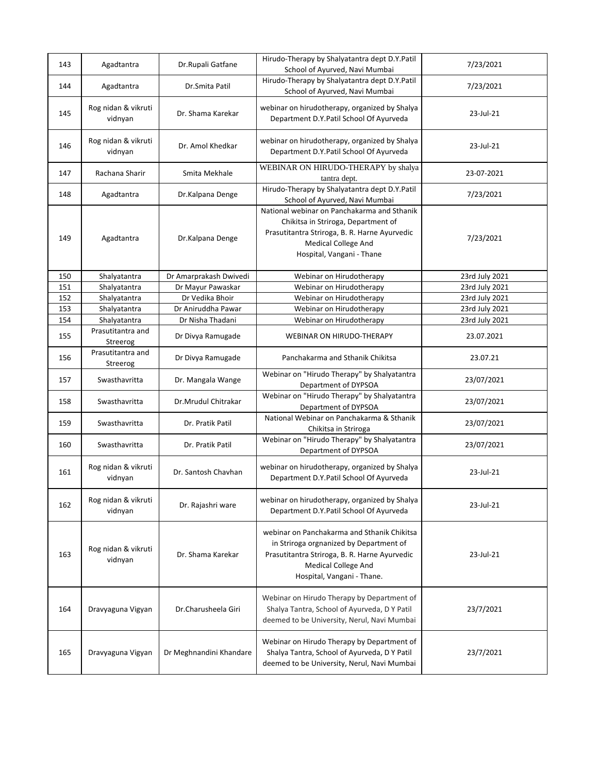| 143 | Agadtantra                     | Dr.Rupali Gatfane       | Hirudo-Therapy by Shalyatantra dept D.Y.Patil<br>School of Ayurved, Navi Mumbai                                                                                                                     | 7/23/2021      |
|-----|--------------------------------|-------------------------|-----------------------------------------------------------------------------------------------------------------------------------------------------------------------------------------------------|----------------|
| 144 | Agadtantra                     | Dr.Smita Patil          | Hirudo-Therapy by Shalyatantra dept D.Y.Patil<br>School of Ayurved, Navi Mumbai                                                                                                                     | 7/23/2021      |
| 145 | Rog nidan & vikruti<br>vidnyan | Dr. Shama Karekar       | webinar on hirudotherapy, organized by Shalya<br>Department D.Y.Patil School Of Ayurveda                                                                                                            | 23-Jul-21      |
| 146 | Rog nidan & vikruti<br>vidnyan | Dr. Amol Khedkar        | webinar on hirudotherapy, organized by Shalya<br>Department D.Y.Patil School Of Ayurveda                                                                                                            | 23-Jul-21      |
| 147 | Rachana Sharir                 | Smita Mekhale           | WEBINAR ON HIRUDO-THERAPY by shalya<br>tantra dept.                                                                                                                                                 | 23-07-2021     |
| 148 | Agadtantra                     | Dr.Kalpana Denge        | Hirudo-Therapy by Shalyatantra dept D.Y.Patil<br>School of Ayurved, Navi Mumbai                                                                                                                     | 7/23/2021      |
| 149 | Agadtantra                     | Dr.Kalpana Denge        | National webinar on Panchakarma and Sthanik<br>Chikitsa in Striroga, Department of<br>Prasutitantra Striroga, B. R. Harne Ayurvedic<br>Medical College And<br>Hospital, Vangani - Thane             | 7/23/2021      |
| 150 | Shalyatantra                   | Dr Amarprakash Dwivedi  | Webinar on Hirudotherapy                                                                                                                                                                            | 23rd July 2021 |
| 151 | Shalyatantra                   | Dr Mayur Pawaskar       | Webinar on Hirudotherapy                                                                                                                                                                            | 23rd July 2021 |
| 152 | Shalyatantra                   | Dr Vedika Bhoir         | Webinar on Hirudotherapy                                                                                                                                                                            | 23rd July 2021 |
| 153 | Shalyatantra                   | Dr Aniruddha Pawar      | Webinar on Hirudotherapy                                                                                                                                                                            | 23rd July 2021 |
| 154 | Shalyatantra                   | Dr Nisha Thadani        | Webinar on Hirudotherapy                                                                                                                                                                            | 23rd July 2021 |
| 155 | Prasutitantra and<br>Streerog  | Dr Divya Ramugade       | WEBINAR ON HIRUDO-THERAPY                                                                                                                                                                           | 23.07.2021     |
| 156 | Prasutitantra and<br>Streerog  | Dr Divya Ramugade       | Panchakarma and Sthanik Chikitsa                                                                                                                                                                    | 23.07.21       |
| 157 | Swasthavritta                  | Dr. Mangala Wange       | Webinar on "Hirudo Therapy" by Shalyatantra<br>Department of DYPSOA                                                                                                                                 | 23/07/2021     |
| 158 | Swasthavritta                  | Dr.Mrudul Chitrakar     | Webinar on "Hirudo Therapy" by Shalyatantra<br>Department of DYPSOA                                                                                                                                 | 23/07/2021     |
| 159 | Swasthavritta                  | Dr. Pratik Patil        | National Webinar on Panchakarma & Sthanik<br>Chikitsa in Striroga                                                                                                                                   | 23/07/2021     |
| 160 | Swasthavritta                  | Dr. Pratik Patil        | Webinar on "Hirudo Therapy" by Shalyatantra<br>Department of DYPSOA                                                                                                                                 | 23/07/2021     |
| 161 | Rog nidan & vikruti<br>vidnyan | Dr. Santosh Chavhan     | webinar on hirudotherapy, organized by Shalya<br>Department D.Y.Patil School Of Ayurveda                                                                                                            | 23-Jul-21      |
| 162 | Rog nidan & vikruti<br>vidnyan | Dr. Rajashri ware       | webinar on hirudotherapy, organized by Shalya<br>Department D.Y.Patil School Of Ayurveda                                                                                                            | 23-Jul-21      |
| 163 | Rog nidan & vikruti<br>vidnyan | Dr. Shama Karekar       | webinar on Panchakarma and Sthanik Chikitsa<br>in Striroga orgnanized by Department of<br>Prasutitantra Striroga, B. R. Harne Ayurvedic<br><b>Medical College And</b><br>Hospital, Vangani - Thane. | 23-Jul-21      |
| 164 | Dravyaguna Vigyan              | Dr.Charusheela Giri     | Webinar on Hirudo Therapy by Department of<br>Shalya Tantra, School of Ayurveda, D Y Patil<br>deemed to be University, Nerul, Navi Mumbai                                                           | 23/7/2021      |
| 165 | Dravyaguna Vigyan              | Dr Meghnandini Khandare | Webinar on Hirudo Therapy by Department of<br>Shalya Tantra, School of Ayurveda, D Y Patil<br>deemed to be University, Nerul, Navi Mumbai                                                           | 23/7/2021      |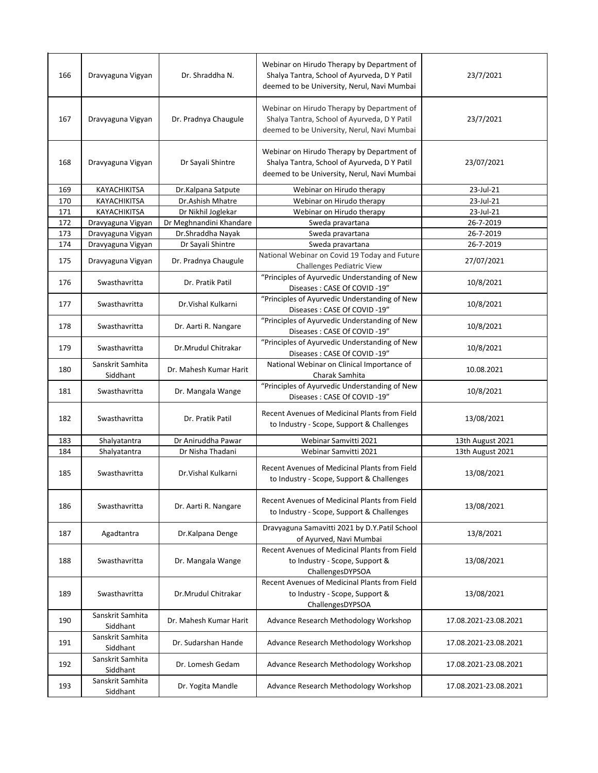| 166 | Dravyaguna Vigyan            | Dr. Shraddha N.         | Webinar on Hirudo Therapy by Department of<br>Shalya Tantra, School of Ayurveda, D Y Patil<br>deemed to be University, Nerul, Navi Mumbai | 23/7/2021             |
|-----|------------------------------|-------------------------|-------------------------------------------------------------------------------------------------------------------------------------------|-----------------------|
| 167 | Dravyaguna Vigyan            | Dr. Pradnya Chaugule    | Webinar on Hirudo Therapy by Department of<br>Shalya Tantra, School of Ayurveda, D Y Patil<br>deemed to be University, Nerul, Navi Mumbai | 23/7/2021             |
| 168 | Dravyaguna Vigyan            | Dr Sayali Shintre       | Webinar on Hirudo Therapy by Department of<br>Shalya Tantra, School of Ayurveda, D Y Patil<br>deemed to be University, Nerul, Navi Mumbai | 23/07/2021            |
| 169 | KAYACHIKITSA                 | Dr.Kalpana Satpute      | Webinar on Hirudo therapy                                                                                                                 | 23-Jul-21             |
| 170 | KAYACHIKITSA                 | Dr.Ashish Mhatre        | Webinar on Hirudo therapy                                                                                                                 | 23-Jul-21             |
| 171 | KAYACHIKITSA                 | Dr Nikhil Joglekar      | Webinar on Hirudo therapy                                                                                                                 | 23-Jul-21             |
| 172 | Dravyaguna Vigyan            | Dr Meghnandini Khandare | Sweda pravartana                                                                                                                          | 26-7-2019             |
| 173 | Dravyaguna Vigyan            | Dr.Shraddha Nayak       | Sweda pravartana                                                                                                                          | 26-7-2019             |
| 174 | Dravyaguna Vigyan            | Dr Sayali Shintre       | Sweda pravartana                                                                                                                          | 26-7-2019             |
| 175 | Dravyaguna Vigyan            | Dr. Pradnya Chaugule    | National Webinar on Covid 19 Today and Future<br>Challenges Pediatric View                                                                | 27/07/2021            |
| 176 | Swasthavritta                | Dr. Pratik Patil        | "Principles of Ayurvedic Understanding of New<br>Diseases: CASE Of COVID-19"                                                              | 10/8/2021             |
| 177 | Swasthavritta                | Dr. Vishal Kulkarni     | "Principles of Ayurvedic Understanding of New<br>Diseases: CASE Of COVID-19"                                                              | 10/8/2021             |
| 178 | Swasthavritta                | Dr. Aarti R. Nangare    | "Principles of Ayurvedic Understanding of New<br>Diseases: CASE Of COVID-19"                                                              | 10/8/2021             |
| 179 | Swasthavritta                | Dr.Mrudul Chitrakar     | "Principles of Ayurvedic Understanding of New<br>Diseases: CASE Of COVID-19"                                                              | 10/8/2021             |
| 180 | Sanskrit Samhita<br>Siddhant | Dr. Mahesh Kumar Harit  | National Webinar on Clinical Importance of<br>Charak Samhita                                                                              | 10.08.2021            |
| 181 | Swasthavritta                | Dr. Mangala Wange       | "Principles of Ayurvedic Understanding of New<br>Diseases: CASE Of COVID-19"                                                              | 10/8/2021             |
| 182 | Swasthavritta                | Dr. Pratik Patil        | Recent Avenues of Medicinal Plants from Field<br>to Industry - Scope, Support & Challenges                                                | 13/08/2021            |
| 183 | Shalyatantra                 | Dr Aniruddha Pawar      | Webinar Samvitti 2021                                                                                                                     | 13th August 2021      |
| 184 | Shalyatantra                 | Dr Nisha Thadani        | Webinar Samvitti 2021                                                                                                                     | 13th August 2021      |
| 185 | Swasthavritta                | Dr. Vishal Kulkarni     | Recent Avenues of Medicinal Plants from Field<br>to Industry - Scope, Support & Challenges                                                | 13/08/2021            |
| 186 | Swasthavritta                | Dr. Aarti R. Nangare    | Recent Avenues of Medicinal Plants from Field<br>to Industry - Scope, Support & Challenges                                                | 13/08/2021            |
| 187 | Agadtantra                   | Dr.Kalpana Denge        | Dravyaguna Samavitti 2021 by D.Y.Patil School<br>of Ayurved, Navi Mumbai                                                                  | 13/8/2021             |
| 188 | Swasthavritta                | Dr. Mangala Wange       | Recent Avenues of Medicinal Plants from Field<br>to Industry - Scope, Support &<br>ChallengesDYPSOA                                       | 13/08/2021            |
| 189 | Swasthavritta                | Dr.Mrudul Chitrakar     | Recent Avenues of Medicinal Plants from Field<br>to Industry - Scope, Support &<br>ChallengesDYPSOA                                       | 13/08/2021            |
| 190 | Sanskrit Samhita<br>Siddhant | Dr. Mahesh Kumar Harit  | Advance Research Methodology Workshop                                                                                                     | 17.08.2021-23.08.2021 |
| 191 | Sanskrit Samhita<br>Siddhant | Dr. Sudarshan Hande     | Advance Research Methodology Workshop                                                                                                     | 17.08.2021-23.08.2021 |
| 192 | Sanskrit Samhita<br>Siddhant | Dr. Lomesh Gedam        | Advance Research Methodology Workshop                                                                                                     | 17.08.2021-23.08.2021 |
| 193 | Sanskrit Samhita<br>Siddhant | Dr. Yogita Mandle       | Advance Research Methodology Workshop                                                                                                     | 17.08.2021-23.08.2021 |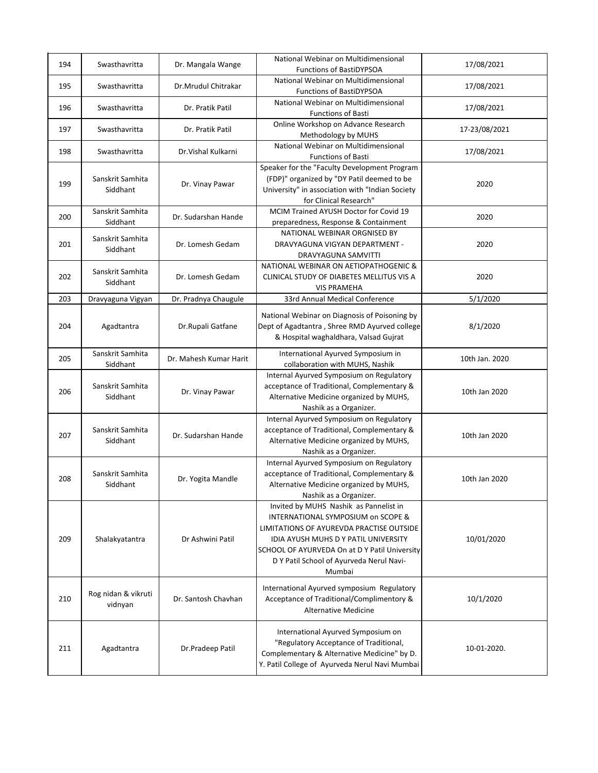| 194 | Swasthavritta                  | Dr. Mangala Wange      | National Webinar on Multidimensional<br><b>Functions of BastiDYPSOA</b>                                                                                                                                                                                                        | 17/08/2021     |
|-----|--------------------------------|------------------------|--------------------------------------------------------------------------------------------------------------------------------------------------------------------------------------------------------------------------------------------------------------------------------|----------------|
| 195 | Swasthavritta                  | Dr.Mrudul Chitrakar    | National Webinar on Multidimensional<br>Functions of BastiDYPSOA                                                                                                                                                                                                               | 17/08/2021     |
| 196 | Swasthavritta                  | Dr. Pratik Patil       | National Webinar on Multidimensional<br><b>Functions of Basti</b>                                                                                                                                                                                                              | 17/08/2021     |
| 197 | Swasthavritta                  | Dr. Pratik Patil       | Online Workshop on Advance Research<br>Methodology by MUHS                                                                                                                                                                                                                     | 17-23/08/2021  |
| 198 | Swasthavritta                  | Dr. Vishal Kulkarni    | National Webinar on Multidimensional<br><b>Functions of Basti</b>                                                                                                                                                                                                              | 17/08/2021     |
| 199 | Sanskrit Samhita<br>Siddhant   | Dr. Vinay Pawar        | Speaker for the "Faculty Development Program<br>(FDP)" organized by "DY Patil deemed to be<br>University" in association with "Indian Society<br>for Clinical Research"                                                                                                        | 2020           |
| 200 | Sanskrit Samhita<br>Siddhant   | Dr. Sudarshan Hande    | MCIM Trained AYUSH Doctor for Covid 19<br>preparedness, Response & Containment                                                                                                                                                                                                 | 2020           |
| 201 | Sanskrit Samhita<br>Siddhant   | Dr. Lomesh Gedam       | NATIONAL WEBINAR ORGNISED BY<br>DRAVYAGUNA VIGYAN DEPARTMENT -<br>DRAVYAGUNA SAMVITTI                                                                                                                                                                                          | 2020           |
| 202 | Sanskrit Samhita<br>Siddhant   | Dr. Lomesh Gedam       | NATIONAL WEBINAR ON AETIOPATHOGENIC &<br>CLINICAL STUDY OF DIABETES MELLITUS VIS A<br><b>VIS PRAMEHA</b>                                                                                                                                                                       | 2020           |
| 203 | Dravyaguna Vigyan              | Dr. Pradnya Chaugule   | 33rd Annual Medical Conference                                                                                                                                                                                                                                                 | 5/1/2020       |
| 204 | Agadtantra                     | Dr.Rupali Gatfane      | National Webinar on Diagnosis of Poisoning by<br>Dept of Agadtantra, Shree RMD Ayurved college<br>& Hospital waghaldhara, Valsad Gujrat                                                                                                                                        | 8/1/2020       |
| 205 | Sanskrit Samhita<br>Siddhant   | Dr. Mahesh Kumar Harit | International Ayurved Symposium in<br>collaboration with MUHS, Nashik                                                                                                                                                                                                          | 10th Jan. 2020 |
| 206 | Sanskrit Samhita<br>Siddhant   | Dr. Vinay Pawar        | Internal Ayurved Symposium on Regulatory<br>acceptance of Traditional, Complementary &<br>Alternative Medicine organized by MUHS,<br>Nashik as a Organizer.                                                                                                                    | 10th Jan 2020  |
| 207 | Sanskrit Samhita<br>Siddhant   | Dr. Sudarshan Hande    | Internal Ayurved Symposium on Regulatory<br>acceptance of Traditional, Complementary &<br>Alternative Medicine organized by MUHS,<br>Nashik as a Organizer.                                                                                                                    | 10th Jan 2020  |
| 208 | Sanskrit Samhita<br>Siddhant   | Dr. Yogita Mandle      | Internal Ayurved Symposium on Regulatory<br>acceptance of Traditional, Complementary &<br>Alternative Medicine organized by MUHS,<br>Nashik as a Organizer.                                                                                                                    | 10th Jan 2020  |
| 209 | Shalakyatantra                 | Dr Ashwini Patil       | Invited by MUHS Nashik as Pannelist in<br>INTERNATIONAL SYMPOSIUM on SCOPE &<br>LIMITATIONS OF AYUREVDA PRACTISE OUTSIDE<br><b>IDIA AYUSH MUHS D Y PATIL UNIVERSITY</b><br>SCHOOL OF AYURVEDA On at D Y Patil University<br>D Y Patil School of Ayurveda Nerul Navi-<br>Mumbai | 10/01/2020     |
| 210 | Rog nidan & vikruti<br>vidnyan | Dr. Santosh Chavhan    | International Ayurved symposium Regulatory<br>Acceptance of Traditional/Complimentory &<br><b>Alternative Medicine</b>                                                                                                                                                         | 10/1/2020      |
| 211 | Agadtantra                     | Dr.Pradeep Patil       | International Ayurved Symposium on<br>"Regulatory Acceptance of Traditional,<br>Complementary & Alternative Medicine" by D.<br>Y. Patil College of Ayurveda Nerul Navi Mumbai                                                                                                  | 10-01-2020.    |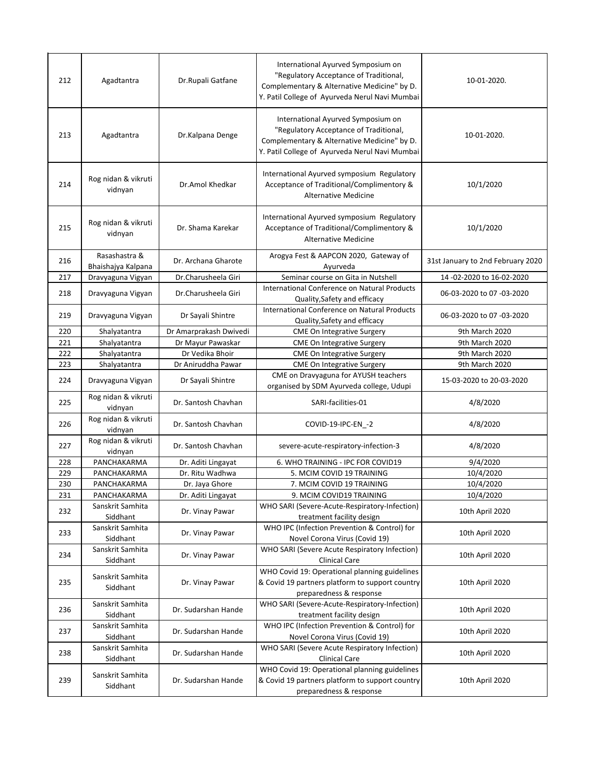| 212 | Agadtantra                          | Dr.Rupali Gatfane      | International Ayurved Symposium on<br>"Regulatory Acceptance of Traditional,<br>Complementary & Alternative Medicine" by D.<br>Y. Patil College of Ayurveda Nerul Navi Mumbai | 10-01-2020.                       |
|-----|-------------------------------------|------------------------|-------------------------------------------------------------------------------------------------------------------------------------------------------------------------------|-----------------------------------|
| 213 | Agadtantra                          | Dr.Kalpana Denge       | International Ayurved Symposium on<br>"Regulatory Acceptance of Traditional,<br>Complementary & Alternative Medicine" by D.<br>Y. Patil College of Ayurveda Nerul Navi Mumbai | 10-01-2020.                       |
| 214 | Rog nidan & vikruti<br>vidnyan      | Dr.Amol Khedkar        | International Ayurved symposium Regulatory<br>Acceptance of Traditional/Complimentory &<br><b>Alternative Medicine</b>                                                        | 10/1/2020                         |
| 215 | Rog nidan & vikruti<br>vidnyan      | Dr. Shama Karekar      | International Ayurved symposium Regulatory<br>Acceptance of Traditional/Complimentory &<br><b>Alternative Medicine</b>                                                        | 10/1/2020                         |
| 216 | Rasashastra &<br>Bhaishajya Kalpana | Dr. Archana Gharote    | Arogya Fest & AAPCON 2020, Gateway of<br>Ayurveda                                                                                                                             | 31st January to 2nd February 2020 |
| 217 | Dravyaguna Vigyan                   | Dr.Charusheela Giri    | Seminar course on Gita in Nutshell                                                                                                                                            | 14 -02-2020 to 16-02-2020         |
| 218 | Dravyaguna Vigyan                   | Dr.Charusheela Giri    | International Conference on Natural Products<br>Quality, Safety and efficacy                                                                                                  | 06-03-2020 to 07 -03-2020         |
| 219 | Dravyaguna Vigyan                   | Dr Sayali Shintre      | International Conference on Natural Products<br>Quality, Safety and efficacy                                                                                                  | 06-03-2020 to 07 -03-2020         |
| 220 | Shalyatantra                        | Dr Amarprakash Dwivedi | <b>CME On Integrative Surgery</b>                                                                                                                                             | 9th March 2020                    |
| 221 | Shalyatantra                        | Dr Mayur Pawaskar      | <b>CME On Integrative Surgery</b>                                                                                                                                             | 9th March 2020                    |
| 222 | Shalyatantra                        | Dr Vedika Bhoir        | <b>CME On Integrative Surgery</b>                                                                                                                                             | 9th March 2020                    |
| 223 | Shalyatantra                        | Dr Aniruddha Pawar     | CME On Integrative Surgery                                                                                                                                                    | 9th March 2020                    |
| 224 | Dravyaguna Vigyan                   | Dr Sayali Shintre      | CME on Dravyaguna for AYUSH teachers<br>organised by SDM Ayurveda college, Udupi                                                                                              | 15-03-2020 to 20-03-2020          |
| 225 | Rog nidan & vikruti<br>vidnyan      | Dr. Santosh Chavhan    | SARI-facilities-01                                                                                                                                                            | 4/8/2020                          |
| 226 | Rog nidan & vikruti<br>vidnyan      | Dr. Santosh Chavhan    | COVID-19-IPC-EN_-2                                                                                                                                                            | 4/8/2020                          |
| 227 | Rog nidan & vikruti<br>vidnyan      | Dr. Santosh Chavhan    | severe-acute-respiratory-infection-3                                                                                                                                          | 4/8/2020                          |
| 228 | PANCHAKARMA                         | Dr. Aditi Lingayat     | 6. WHO TRAINING - IPC FOR COVID19                                                                                                                                             | 9/4/2020                          |
| 229 | PANCHAKARMA                         | Dr. Ritu Wadhwa        | 5. MCIM COVID 19 TRAINING                                                                                                                                                     | 10/4/2020                         |
| 230 | PANCHAKARMA                         | Dr. Jaya Ghore         | 7. MCIM COVID 19 TRAINING                                                                                                                                                     | 10/4/2020                         |
| 231 | PANCHAKARMA                         | Dr. Aditi Lingayat     | 9. MCIM COVID19 TRAINING                                                                                                                                                      | 10/4/2020                         |
| 232 | Sanskrit Samhita<br>Siddhant        | Dr. Vinay Pawar        | WHO SARI (Severe-Acute-Respiratory-Infection)<br>treatment facility design                                                                                                    | 10th April 2020                   |
| 233 | Sanskrit Samhita<br>Siddhant        | Dr. Vinay Pawar        | WHO IPC (Infection Prevention & Control) for<br>Novel Corona Virus (Covid 19)                                                                                                 | 10th April 2020                   |
| 234 | Sanskrit Samhita<br>Siddhant        | Dr. Vinay Pawar        | WHO SARI (Severe Acute Respiratory Infection)<br><b>Clinical Care</b>                                                                                                         | 10th April 2020                   |
| 235 | Sanskrit Samhita<br>Siddhant        | Dr. Vinay Pawar        | WHO Covid 19: Operational planning guidelines<br>& Covid 19 partners platform to support country<br>preparedness & response                                                   | 10th April 2020                   |
| 236 | Sanskrit Samhita<br>Siddhant        | Dr. Sudarshan Hande    | WHO SARI (Severe-Acute-Respiratory-Infection)<br>treatment facility design                                                                                                    | 10th April 2020                   |
| 237 | Sanskrit Samhita<br>Siddhant        | Dr. Sudarshan Hande    | WHO IPC (Infection Prevention & Control) for<br>Novel Corona Virus (Covid 19)                                                                                                 | 10th April 2020                   |
| 238 | Sanskrit Samhita<br>Siddhant        | Dr. Sudarshan Hande    | WHO SARI (Severe Acute Respiratory Infection)<br><b>Clinical Care</b>                                                                                                         | 10th April 2020                   |
| 239 | Sanskrit Samhita<br>Siddhant        | Dr. Sudarshan Hande    | WHO Covid 19: Operational planning guidelines<br>& Covid 19 partners platform to support country<br>preparedness & response                                                   | 10th April 2020                   |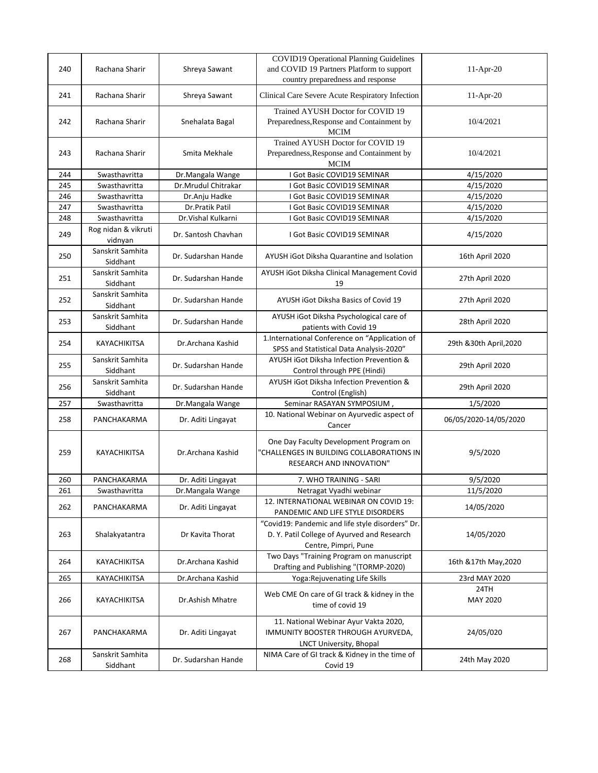| 240 | Rachana Sharir                 | Shreya Sawant       | <b>COVID19 Operational Planning Guidelines</b><br>and COVID 19 Partners Platform to support<br>country preparedness and response | $11-Apr-20$             |
|-----|--------------------------------|---------------------|----------------------------------------------------------------------------------------------------------------------------------|-------------------------|
| 241 | Rachana Sharir                 | Shreya Sawant       | Clinical Care Severe Acute Respiratory Infection                                                                                 | $11-Apr-20$             |
| 242 | Rachana Sharir                 | Snehalata Bagal     | Trained AYUSH Doctor for COVID 19<br>Preparedness, Response and Containment by<br><b>MCIM</b>                                    | 10/4/2021               |
| 243 | Rachana Sharir                 | Smita Mekhale       | Trained AYUSH Doctor for COVID 19<br>Preparedness, Response and Containment by<br><b>MCIM</b>                                    | 10/4/2021               |
| 244 | Swasthavritta                  | Dr.Mangala Wange    | I Got Basic COVID19 SEMINAR                                                                                                      | 4/15/2020               |
| 245 | Swasthavritta                  | Dr.Mrudul Chitrakar | I Got Basic COVID19 SEMINAR                                                                                                      | 4/15/2020               |
| 246 | Swasthavritta                  | Dr.Anju Hadke       | I Got Basic COVID19 SEMINAR                                                                                                      | 4/15/2020               |
| 247 | Swasthavritta                  | Dr.Pratik Patil     | I Got Basic COVID19 SEMINAR                                                                                                      | 4/15/2020               |
| 248 | Swasthavritta                  | Dr. Vishal Kulkarni | I Got Basic COVID19 SEMINAR                                                                                                      | 4/15/2020               |
| 249 | Rog nidan & vikruti<br>vidnyan | Dr. Santosh Chavhan | I Got Basic COVID19 SEMINAR                                                                                                      | 4/15/2020               |
| 250 | Sanskrit Samhita<br>Siddhant   | Dr. Sudarshan Hande | AYUSH iGot Diksha Quarantine and Isolation                                                                                       | 16th April 2020         |
| 251 | Sanskrit Samhita<br>Siddhant   | Dr. Sudarshan Hande | AYUSH iGot Diksha Clinical Management Covid<br>19                                                                                | 27th April 2020         |
| 252 | Sanskrit Samhita<br>Siddhant   | Dr. Sudarshan Hande | AYUSH iGot Diksha Basics of Covid 19                                                                                             | 27th April 2020         |
| 253 | Sanskrit Samhita<br>Siddhant   | Dr. Sudarshan Hande | AYUSH iGot Diksha Psychological care of<br>patients with Covid 19                                                                | 28th April 2020         |
| 254 | KAYACHIKITSA                   | Dr.Archana Kashid   | 1.International Conference on "Application of<br>SPSS and Statistical Data Analysis-2020"                                        | 29th & 30th April, 2020 |
| 255 | Sanskrit Samhita<br>Siddhant   | Dr. Sudarshan Hande | AYUSH iGot Diksha Infection Prevention &<br>Control through PPE (Hindi)                                                          | 29th April 2020         |
| 256 | Sanskrit Samhita<br>Siddhant   | Dr. Sudarshan Hande | AYUSH iGot Diksha Infection Prevention &<br>Control (English)                                                                    | 29th April 2020         |
| 257 | Swasthavritta                  | Dr.Mangala Wange    | Seminar RASAYAN SYMPOSIUM,                                                                                                       | 1/5/2020                |
| 258 | PANCHAKARMA                    | Dr. Aditi Lingayat  | 10. National Webinar on Ayurvedic aspect of<br>Cancer                                                                            | 06/05/2020-14/05/2020   |
| 259 | KAYACHIKITSA                   | Dr.Archana Kashid   | One Day Faculty Development Program on<br>"CHALLENGES IN BUILDING COLLABORATIONS IN<br><b>RESEARCH AND INNOVATION"</b>           | 9/5/2020                |
| 260 | PANCHAKARMA                    | Dr. Aditi Lingayat  | 7. WHO TRAINING - SARI                                                                                                           | 9/5/2020                |
| 261 | Swasthavritta                  | Dr.Mangala Wange    | Netragat Vyadhi webinar                                                                                                          | 11/5/2020               |
| 262 | PANCHAKARMA                    | Dr. Aditi Lingayat  | 12. INTERNATIONAL WEBINAR ON COVID 19:<br>PANDEMIC AND LIFE STYLE DISORDERS                                                      | 14/05/2020              |
| 263 | Shalakyatantra                 | Dr Kavita Thorat    | "Covid19: Pandemic and life style disorders" Dr.<br>D. Y. Patil College of Ayurved and Research<br>Centre, Pimpri, Pune          | 14/05/2020              |
| 264 | KAYACHIKITSA                   | Dr.Archana Kashid   | Two Days "Training Program on manuscript<br>Drafting and Publishing "(TORMP-2020)                                                | 16th & 17th May, 2020   |
| 265 | KAYACHIKITSA                   | Dr.Archana Kashid   | Yoga: Rejuvenating Life Skills                                                                                                   | 23rd MAY 2020           |
| 266 | KAYACHIKITSA                   | Dr.Ashish Mhatre    | Web CME On care of GI track & kidney in the<br>time of covid 19                                                                  | 24TH<br><b>MAY 2020</b> |
| 267 | PANCHAKARMA                    | Dr. Aditi Lingayat  | 11. National Webinar Ayur Vakta 2020,<br>IMMUNITY BOOSTER THROUGH AYURVEDA,<br>LNCT University, Bhopal                           | 24/05/020               |
| 268 | Sanskrit Samhita<br>Siddhant   | Dr. Sudarshan Hande | NIMA Care of GI track & Kidney in the time of<br>Covid 19                                                                        | 24th May 2020           |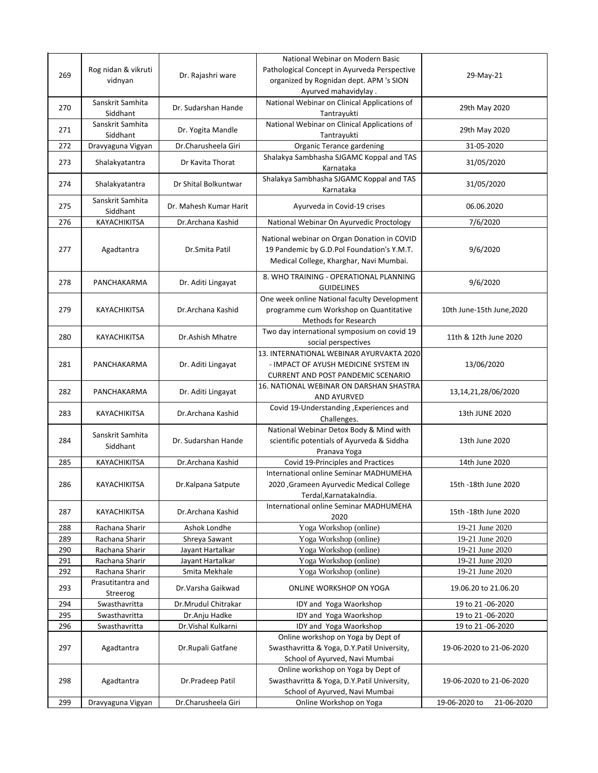|     | Rog nidan & vikruti              |                                   | National Webinar on Modern Basic<br>Pathological Concept in Ayurveda Perspective                                    |                                    |
|-----|----------------------------------|-----------------------------------|---------------------------------------------------------------------------------------------------------------------|------------------------------------|
| 269 | vidnyan                          | Dr. Rajashri ware                 | organized by Rognidan dept. APM 's SION                                                                             | 29-May-21                          |
|     |                                  |                                   | Ayurved mahavidylay.                                                                                                |                                    |
| 270 | Sanskrit Samhita                 | Dr. Sudarshan Hande               | National Webinar on Clinical Applications of                                                                        | 29th May 2020                      |
|     | Siddhant                         |                                   | Tantrayukti                                                                                                         |                                    |
| 271 | Sanskrit Samhita<br>Siddhant     | Dr. Yogita Mandle                 | National Webinar on Clinical Applications of<br>Tantrayukti                                                         | 29th May 2020                      |
| 272 | Dravyaguna Vigyan                | Dr.Charusheela Giri               | Organic Terance gardening                                                                                           | 31-05-2020                         |
|     |                                  |                                   | Shalakya Sambhasha SJGAMC Koppal and TAS                                                                            |                                    |
| 273 | Shalakyatantra                   | Dr Kavita Thorat                  | Karnataka                                                                                                           | 31/05/2020                         |
| 274 | Shalakyatantra                   | Dr Shital Bolkuntwar              | Shalakya Sambhasha SJGAMC Koppal and TAS<br>Karnataka                                                               | 31/05/2020                         |
| 275 | Sanskrit Samhita<br>Siddhant     | Dr. Mahesh Kumar Harit            | Ayurveda in Covid-19 crises                                                                                         | 06.06.2020                         |
| 276 | KAYACHIKITSA                     | Dr.Archana Kashid                 | National Webinar On Ayurvedic Proctology                                                                            | 7/6/2020                           |
| 277 | Agadtantra                       | Dr.Smita Patil                    | National webinar on Organ Donation in COVID<br>19 Pandemic by G.D.Pol Foundation's Y.M.T.                           | 9/6/2020                           |
|     |                                  |                                   | Medical College, Kharghar, Navi Mumbai.                                                                             |                                    |
| 278 | PANCHAKARMA                      | Dr. Aditi Lingayat                | 8. WHO TRAINING - OPERATIONAL PLANNING<br><b>GUIDELINES</b>                                                         | 9/6/2020                           |
|     |                                  |                                   | One week online National faculty Development                                                                        |                                    |
| 279 | <b>KAYACHIKITSA</b>              | Dr.Archana Kashid                 | programme cum Workshop on Quantitative                                                                              | 10th June-15th June, 2020          |
|     |                                  |                                   | <b>Methods for Research</b>                                                                                         |                                    |
| 280 | KAYACHIKITSA                     | Dr.Ashish Mhatre                  | Two day international symposium on covid 19<br>social perspectives                                                  | 11th & 12th June 2020              |
|     |                                  |                                   | 13. INTERNATIONAL WEBINAR AYURVAKTA 2020                                                                            |                                    |
| 281 | PANCHAKARMA                      | Dr. Aditi Lingayat                | - IMPACT OF AYUSH MEDICINE SYSTEM IN                                                                                | 13/06/2020                         |
|     |                                  |                                   | <b>CURRENT AND POST PANDEMIC SCENARIO</b>                                                                           |                                    |
| 282 | PANCHAKARMA                      | Dr. Aditi Lingayat                | 16. NATIONAL WEBINAR ON DARSHAN SHASTRA<br>AND AYURVED                                                              | 13, 14, 21, 28/06/2020             |
| 283 | KAYACHIKITSA                     | Dr.Archana Kashid                 | Covid 19-Understanding , Experiences and<br>Challenges.                                                             | 13th JUNE 2020                     |
|     |                                  |                                   | National Webinar Detox Body & Mind with                                                                             |                                    |
| 284 | Sanskrit Samhita<br>Siddhant     | Dr. Sudarshan Hande               | scientific potentials of Ayurveda & Siddha                                                                          | 13th June 2020                     |
|     |                                  |                                   | Pranava Yoga                                                                                                        |                                    |
| 285 | KAYACHIKITSA                     | Dr.Archana Kashid                 | Covid 19-Principles and Practices                                                                                   | 14th June 2020                     |
| 286 | KAYACHIKITSA                     |                                   | International online Seminar MADHUMEHA<br>2020 ,Grameen Ayurvedic Medical College                                   | 15th -18th June 2020               |
|     |                                  | Dr.Kalpana Satpute                | Terdal, Karnataka India.                                                                                            |                                    |
|     |                                  |                                   | International online Seminar MADHUMEHA                                                                              |                                    |
| 287 | KAYACHIKITSA                     | Dr.Archana Kashid                 | 2020                                                                                                                | 15th -18th June 2020               |
| 288 | Rachana Sharir                   | Ashok Londhe                      | Yoga Workshop (online)                                                                                              | 19-21 June 2020                    |
| 289 | Rachana Sharir                   | Shreya Sawant                     | Yoga Workshop (online)                                                                                              | 19-21 June 2020                    |
| 290 | Rachana Sharir                   | Jayant Hartalkar                  | Yoga Workshop (online)                                                                                              | 19-21 June 2020                    |
| 291 | Rachana Sharir<br>Rachana Sharir | Jayant Hartalkar<br>Smita Mekhale | Yoga Workshop (online)                                                                                              | 19-21 June 2020<br>19-21 June 2020 |
| 292 | Prasutitantra and                |                                   | Yoga Workshop (online)                                                                                              |                                    |
| 293 | Streerog                         | Dr.Varsha Gaikwad                 | <b>ONLINE WORKSHOP ON YOGA</b>                                                                                      | 19.06.20 to 21.06.20               |
| 294 | Swasthavritta                    | Dr.Mrudul Chitrakar               | IDY and Yoga Waorkshop                                                                                              | 19 to 21 -06-2020                  |
| 295 | Swasthavritta                    | Dr.Anju Hadke                     | IDY and Yoga Waorkshop                                                                                              | 19 to 21 -06-2020                  |
| 296 | Swasthavritta                    | Dr. Vishal Kulkarni               | IDY and Yoga Waorkshop                                                                                              | 19 to 21 -06-2020                  |
| 297 | Agadtantra                       | Dr.Rupali Gatfane                 | Online workshop on Yoga by Dept of<br>Swasthavritta & Yoga, D.Y.Patil University,<br>School of Ayurved, Navi Mumbai | 19-06-2020 to 21-06-2020           |
|     |                                  |                                   | Online workshop on Yoga by Dept of                                                                                  |                                    |
| 298 | Agadtantra                       | Dr.Pradeep Patil                  | Swasthavritta & Yoga, D.Y.Patil University,                                                                         | 19-06-2020 to 21-06-2020           |
|     |                                  |                                   | School of Ayurved, Navi Mumbai                                                                                      |                                    |
| 299 | Dravyaguna Vigyan                | Dr.Charusheela Giri               | Online Workshop on Yoga                                                                                             | 19-06-2020 to<br>21-06-2020        |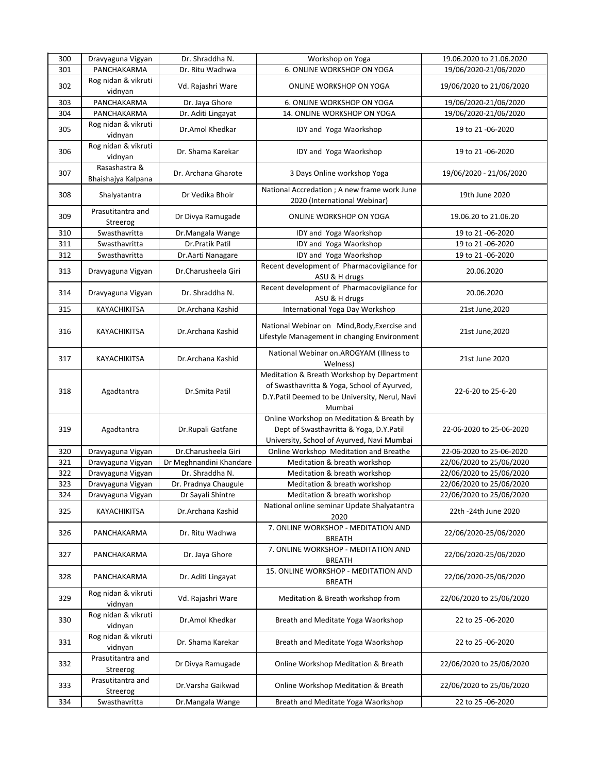| 300 | Dravyaguna Vigyan                   | Dr. Shraddha N.         | Workshop on Yoga                                                                                                                                      | 19.06.2020 to 21.06.2020 |
|-----|-------------------------------------|-------------------------|-------------------------------------------------------------------------------------------------------------------------------------------------------|--------------------------|
| 301 | PANCHAKARMA                         | Dr. Ritu Wadhwa         | 6. ONLINE WORKSHOP ON YOGA                                                                                                                            | 19/06/2020-21/06/2020    |
| 302 | Rog nidan & vikruti<br>vidnyan      | Vd. Rajashri Ware       | ONLINE WORKSHOP ON YOGA                                                                                                                               | 19/06/2020 to 21/06/2020 |
| 303 | PANCHAKARMA                         | Dr. Jaya Ghore          | 6. ONLINE WORKSHOP ON YOGA                                                                                                                            | 19/06/2020-21/06/2020    |
| 304 | PANCHAKARMA                         | Dr. Aditi Lingayat      | 14. ONLINE WORKSHOP ON YOGA                                                                                                                           | 19/06/2020-21/06/2020    |
| 305 | Rog nidan & vikruti<br>vidnyan      | Dr.Amol Khedkar         | IDY and Yoga Waorkshop                                                                                                                                | 19 to 21 -06-2020        |
| 306 | Rog nidan & vikruti<br>vidnyan      | Dr. Shama Karekar       | IDY and Yoga Waorkshop                                                                                                                                | 19 to 21 -06-2020        |
| 307 | Rasashastra &<br>Bhaishajya Kalpana | Dr. Archana Gharote     | 3 Days Online workshop Yoga                                                                                                                           | 19/06/2020 - 21/06/2020  |
| 308 | Shalyatantra                        | Dr Vedika Bhoir         | National Accredation ; A new frame work June<br>2020 (International Webinar)                                                                          | 19th June 2020           |
| 309 | Prasutitantra and<br>Streerog       | Dr Divya Ramugade       | ONLINE WORKSHOP ON YOGA                                                                                                                               | 19.06.20 to 21.06.20     |
| 310 | Swasthavritta                       | Dr.Mangala Wange        | IDY and Yoga Waorkshop                                                                                                                                | 19 to 21 -06-2020        |
| 311 | Swasthavritta                       | Dr.Pratik Patil         | IDY and Yoga Waorkshop                                                                                                                                | 19 to 21 -06-2020        |
| 312 | Swasthavritta                       | Dr.Aarti Nanagare       | IDY and Yoga Waorkshop                                                                                                                                | 19 to 21 -06-2020        |
| 313 | Dravyaguna Vigyan                   | Dr.Charusheela Giri     | Recent development of Pharmacovigilance for<br>ASU & H drugs                                                                                          | 20.06.2020               |
| 314 | Dravyaguna Vigyan                   | Dr. Shraddha N.         | Recent development of Pharmacovigilance for<br>ASU & H drugs                                                                                          | 20.06.2020               |
| 315 | KAYACHIKITSA                        | Dr.Archana Kashid       | International Yoga Day Workshop                                                                                                                       | 21st June, 2020          |
| 316 | KAYACHIKITSA                        | Dr.Archana Kashid       | National Webinar on Mind, Body, Exercise and<br>Lifestyle Management in changing Environment                                                          | 21st June, 2020          |
| 317 | KAYACHIKITSA                        | Dr.Archana Kashid       | National Webinar on.AROGYAM (Illness to<br>Welness)                                                                                                   | 21st June 2020           |
| 318 | Agadtantra                          | Dr.Smita Patil          | Meditation & Breath Workshop by Department<br>of Swasthavritta & Yoga, School of Ayurved,<br>D.Y.Patil Deemed to be University, Nerul, Navi<br>Mumbai | 22-6-20 to 25-6-20       |
| 319 | Agadtantra                          | Dr.Rupali Gatfane       | Online Workshop on Meditation & Breath by<br>Dept of Swasthavritta & Yoga, D.Y.Patil<br>University, School of Ayurved, Navi Mumbai                    | 22-06-2020 to 25-06-2020 |
| 320 | Dravyaguna Vigyan                   | Dr.Charusheela Giri     | Online Workshop Meditation and Breathe                                                                                                                | 22-06-2020 to 25-06-2020 |
| 321 | Dravyaguna Vigyan                   | Dr Meghnandini Khandare | Meditation & breath workshop                                                                                                                          | 22/06/2020 to 25/06/2020 |
| 322 | Dravyaguna Vigyan                   | Dr. Shraddha N.         | Meditation & breath workshop                                                                                                                          | 22/06/2020 to 25/06/2020 |
| 323 | Dravyaguna Vigyan                   | Dr. Pradnya Chaugule    | Meditation & breath workshop                                                                                                                          | 22/06/2020 to 25/06/2020 |
| 324 | Dravyaguna Vigyan                   | Dr Sayali Shintre       | Meditation & breath workshop                                                                                                                          | 22/06/2020 to 25/06/2020 |
| 325 | KAYACHIKITSA                        | Dr.Archana Kashid       | National online seminar Update Shalyatantra<br>2020                                                                                                   | 22th -24th June 2020     |
| 326 | PANCHAKARMA                         | Dr. Ritu Wadhwa         | 7. ONLINE WORKSHOP - MEDITATION AND<br><b>BREATH</b>                                                                                                  | 22/06/2020-25/06/2020    |
| 327 | PANCHAKARMA                         | Dr. Jaya Ghore          | 7. ONLINE WORKSHOP - MEDITATION AND<br><b>BREATH</b>                                                                                                  | 22/06/2020-25/06/2020    |
| 328 | PANCHAKARMA                         | Dr. Aditi Lingayat      | 15. ONLINE WORKSHOP - MEDITATION AND<br><b>BREATH</b>                                                                                                 | 22/06/2020-25/06/2020    |
| 329 | Rog nidan & vikruti<br>vidnyan      | Vd. Rajashri Ware       | Meditation & Breath workshop from                                                                                                                     | 22/06/2020 to 25/06/2020 |
| 330 | Rog nidan & vikruti<br>vidnyan      | Dr.Amol Khedkar         | Breath and Meditate Yoga Waorkshop                                                                                                                    | 22 to 25 -06-2020        |
| 331 | Rog nidan & vikruti<br>vidnyan      | Dr. Shama Karekar       | Breath and Meditate Yoga Waorkshop                                                                                                                    | 22 to 25 -06-2020        |
| 332 | Prasutitantra and<br>Streerog       | Dr Divya Ramugade       | Online Workshop Meditation & Breath                                                                                                                   | 22/06/2020 to 25/06/2020 |
| 333 | Prasutitantra and<br>Streerog       | Dr.Varsha Gaikwad       | Online Workshop Meditation & Breath                                                                                                                   | 22/06/2020 to 25/06/2020 |
| 334 | Swasthavritta                       | Dr.Mangala Wange        | Breath and Meditate Yoga Waorkshop                                                                                                                    | 22 to 25 -06-2020        |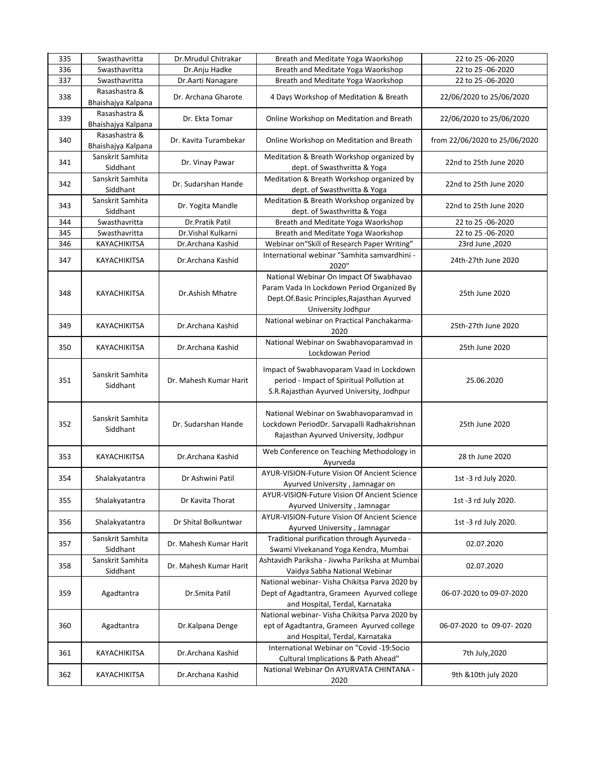| 335 | Swasthavritta                       | Dr.Mrudul Chitrakar    | Breath and Meditate Yoga Waorkshop                                                                                                                         | 22 to 25 -06-2020             |
|-----|-------------------------------------|------------------------|------------------------------------------------------------------------------------------------------------------------------------------------------------|-------------------------------|
| 336 | Swasthavritta                       | Dr.Anju Hadke          | Breath and Meditate Yoga Waorkshop                                                                                                                         | 22 to 25 -06-2020             |
| 337 | Swasthavritta                       | Dr. Aarti Nanagare     | Breath and Meditate Yoga Waorkshop                                                                                                                         | 22 to 25 -06-2020             |
| 338 | Rasashastra &<br>Bhaishajya Kalpana | Dr. Archana Gharote    | 4 Days Workshop of Meditation & Breath                                                                                                                     | 22/06/2020 to 25/06/2020      |
| 339 | Rasashastra &<br>Bhaishajya Kalpana | Dr. Ekta Tomar         | Online Workshop on Meditation and Breath                                                                                                                   | 22/06/2020 to 25/06/2020      |
| 340 | Rasashastra &<br>Bhaishajya Kalpana | Dr. Kavita Turambekar  | Online Workshop on Meditation and Breath                                                                                                                   | from 22/06/2020 to 25/06/2020 |
| 341 | Sanskrit Samhita<br>Siddhant        | Dr. Vinay Pawar        | Meditation & Breath Workshop organized by<br>dept. of Swasthvritta & Yoga                                                                                  | 22nd to 25th June 2020        |
| 342 | Sanskrit Samhita<br>Siddhant        | Dr. Sudarshan Hande    | Meditation & Breath Workshop organized by<br>dept. of Swasthvritta & Yoga                                                                                  | 22nd to 25th June 2020        |
| 343 | Sanskrit Samhita<br>Siddhant        | Dr. Yogita Mandle      | Meditation & Breath Workshop organized by<br>dept. of Swasthvritta & Yoga                                                                                  | 22nd to 25th June 2020        |
| 344 | Swasthavritta                       | Dr.Pratik Patil        | Breath and Meditate Yoga Waorkshop                                                                                                                         | 22 to 25 -06-2020             |
| 345 | Swasthavritta                       | Dr. Vishal Kulkarni    | Breath and Meditate Yoga Waorkshop                                                                                                                         | 22 to 25 -06-2020             |
| 346 | KAYACHIKITSA                        | Dr.Archana Kashid      | Webinar on "Skill of Research Paper Writing"                                                                                                               | 2020, 23rd June               |
| 347 | KAYACHIKITSA                        | Dr.Archana Kashid      | International webinar "Samhita samvardhini -<br>2020"                                                                                                      | 24th-27th June 2020           |
| 348 | KAYACHIKITSA                        | Dr.Ashish Mhatre       | National Webinar On Impact Of Swabhavao<br>Param Vada In Lockdown Period Organized By<br>Dept.Of.Basic Principles, Rajasthan Ayurved<br>University Jodhpur | 25th June 2020                |
| 349 | KAYACHIKITSA                        | Dr.Archana Kashid      | National webinar on Practical Panchakarma-<br>2020                                                                                                         | 25th-27th June 2020           |
| 350 | KAYACHIKITSA                        | Dr.Archana Kashid      | National Webinar on Swabhavoparamvad in<br>Lockdowan Period                                                                                                | 25th June 2020                |
| 351 | Sanskrit Samhita<br>Siddhant        | Dr. Mahesh Kumar Harit | Impact of Swabhavoparam Vaad in Lockdown<br>period - Impact of Spiritual Pollution at<br>S.R.Rajasthan Ayurved University, Jodhpur                         | 25.06.2020                    |
| 352 | Sanskrit Samhita<br>Siddhant        | Dr. Sudarshan Hande    | National Webinar on Swabhavoparamvad in<br>Lockdown PeriodDr. Sarvapalli Radhakrishnan<br>Rajasthan Ayurved University, Jodhpur                            | 25th June 2020                |
| 353 | KAYACHIKITSA                        | Dr.Archana Kashid      | Web Conference on Teaching Methodology in<br>Ayurveda                                                                                                      | 28 th June 2020               |
| 354 | Shalakyatantra                      | Dr Ashwini Patil       | AYUR-VISION-Future Vision Of Ancient Science<br>Ayurved University, Jamnagar on                                                                            | 1st -3 rd July 2020.          |
| 355 | Shalakyatantra                      | Dr Kavita Thorat       | AYUR-VISION-Future Vision Of Ancient Science<br>Ayurved University, Jamnagar                                                                               | 1st -3 rd July 2020.          |
| 356 | Shalakyatantra                      | Dr Shital Bolkuntwar   | AYUR-VISION-Future Vision Of Ancient Science<br>Ayurved University, Jamnagar                                                                               | 1st -3 rd July 2020.          |
| 357 | Sanskrit Samhita<br>Siddhant        | Dr. Mahesh Kumar Harit | Traditional purification through Ayurveda -<br>Swami Vivekanand Yoga Kendra, Mumbai                                                                        | 02.07.2020                    |
| 358 | Sanskrit Samhita<br>Siddhant        | Dr. Mahesh Kumar Harit | Ashtavidh Pariksha - Jivwha Pariksha at Mumbai<br>Vaidya Sabha National Webinar                                                                            | 02.07.2020                    |
| 359 | Agadtantra                          | Dr.Smita Patil         | National webinar- Visha Chikitsa Parva 2020 by<br>Dept of Agadtantra, Grameen Ayurved college<br>and Hospital, Terdal, Karnataka                           | 06-07-2020 to 09-07-2020      |
| 360 | Agadtantra                          | Dr.Kalpana Denge       | National webinar- Visha Chikitsa Parva 2020 by<br>ept of Agadtantra, Grameen Ayurved college<br>and Hospital, Terdal, Karnataka                            | 06-07-2020 to 09-07-2020      |
| 361 | KAYACHIKITSA                        | Dr.Archana Kashid      | International Webinar on "Covid -19:Socio<br>Cultural Implications & Path Ahead"                                                                           | 7th July, 2020                |
| 362 | KAYACHIKITSA                        | Dr.Archana Kashid      | National Webinar On AYURVATA CHINTANA -<br>2020                                                                                                            | 9th & 10th july 2020          |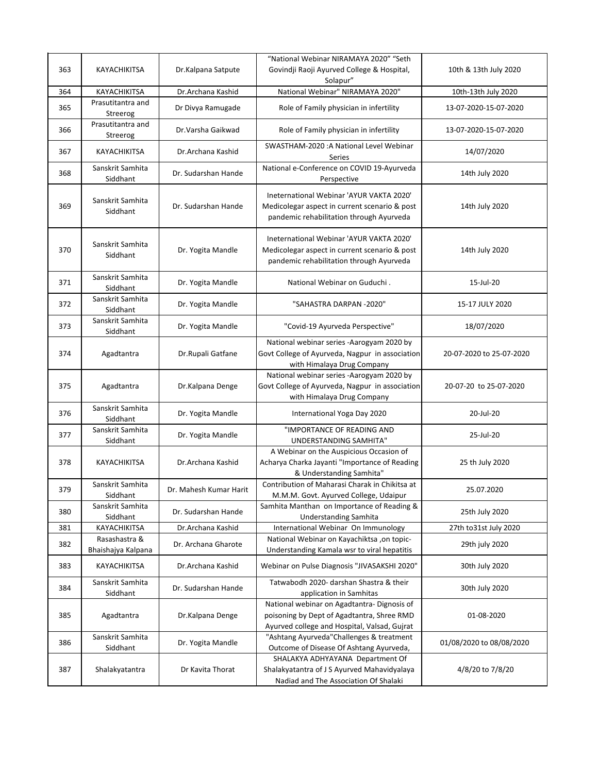|     | <b>KAYACHIKITSA</b>                 |                        | "National Webinar NIRAMAYA 2020" "Seth                                                                                                    |                          |
|-----|-------------------------------------|------------------------|-------------------------------------------------------------------------------------------------------------------------------------------|--------------------------|
| 363 |                                     | Dr.Kalpana Satpute     | Govindji Raoji Ayurved College & Hospital,<br>Solapur"                                                                                    | 10th & 13th July 2020    |
| 364 | KAYACHIKITSA                        | Dr.Archana Kashid      | National Webinar" NIRAMAYA 2020"                                                                                                          | 10th-13th July 2020      |
| 365 | Prasutitantra and<br>Streerog       | Dr Divya Ramugade      | Role of Family physician in infertility                                                                                                   | 13-07-2020-15-07-2020    |
| 366 | Prasutitantra and<br>Streerog       | Dr.Varsha Gaikwad      | Role of Family physician in infertility                                                                                                   | 13-07-2020-15-07-2020    |
| 367 | KAYACHIKITSA                        | Dr.Archana Kashid      | SWASTHAM-2020 : A National Level Webinar<br>Series                                                                                        | 14/07/2020               |
| 368 | Sanskrit Samhita<br>Siddhant        | Dr. Sudarshan Hande    | National e-Conference on COVID 19-Ayurveda<br>Perspective                                                                                 | 14th July 2020           |
| 369 | Sanskrit Samhita<br>Siddhant        | Dr. Sudarshan Hande    | Ineternational Webinar 'AYUR VAKTA 2020'<br>Medicolegar aspect in current scenario & post<br>pandemic rehabilitation through Ayurveda     | 14th July 2020           |
| 370 | Sanskrit Samhita<br>Siddhant        | Dr. Yogita Mandle      | Ineternational Webinar 'AYUR VAKTA 2020'<br>Medicolegar aspect in current scenario & post<br>pandemic rehabilitation through Ayurveda     | 14th July 2020           |
| 371 | Sanskrit Samhita<br>Siddhant        | Dr. Yogita Mandle      | National Webinar on Guduchi.                                                                                                              | 15-Jul-20                |
| 372 | Sanskrit Samhita<br>Siddhant        | Dr. Yogita Mandle      | "SAHASTRA DARPAN -2020"                                                                                                                   | 15-17 JULY 2020          |
| 373 | Sanskrit Samhita<br>Siddhant        | Dr. Yogita Mandle      | "Covid-19 Ayurveda Perspective"                                                                                                           | 18/07/2020               |
| 374 | Agadtantra                          | Dr.Rupali Gatfane      | National webinar series -Aarogyam 2020 by<br>Govt College of Ayurveda, Nagpur in association<br>with Himalaya Drug Company                | 20-07-2020 to 25-07-2020 |
| 375 | Agadtantra                          | Dr.Kalpana Denge       | National webinar series -Aarogyam 2020 by<br>Govt College of Ayurveda, Nagpur in association<br>with Himalaya Drug Company                | 20-07-20 to 25-07-2020   |
| 376 | Sanskrit Samhita<br>Siddhant        | Dr. Yogita Mandle      | International Yoga Day 2020                                                                                                               | 20-Jul-20                |
| 377 | Sanskrit Samhita<br>Siddhant        | Dr. Yogita Mandle      | "IMPORTANCE OF READING AND<br>UNDERSTANDING SAMHITA"                                                                                      | 25-Jul-20                |
| 378 | KAYACHIKITSA                        | Dr.Archana Kashid      | A Webinar on the Auspicious Occasion of<br>Acharya Charka Jayanti "Importance of Reading<br>& Understanding Samhita"                      | 25 th July 2020          |
| 379 | Sanskrit Samhita<br>Siddhant        | Dr. Mahesh Kumar Harit | Contribution of Maharasi Charak in Chikitsa at<br>M.M.M. Govt. Ayurved College, Udaipur                                                   | 25.07.2020               |
| 380 | Sanskrit Samhita<br>Siddhant        | Dr. Sudarshan Hande    | Samhita Manthan on Importance of Reading &<br><b>Understanding Samhita</b>                                                                | 25th July 2020           |
| 381 | KAYACHIKITSA                        | Dr.Archana Kashid      | International Webinar On Immunology                                                                                                       | 27th to31st July 2020    |
| 382 | Rasashastra &<br>Bhaishajya Kalpana | Dr. Archana Gharote    | National Webinar on Kayachiktsa ,on topic-<br>Understanding Kamala wsr to viral hepatitis                                                 | 29th july 2020           |
| 383 | KAYACHIKITSA                        | Dr.Archana Kashid      | Webinar on Pulse Diagnosis "JIVASAKSHI 2020"                                                                                              | 30th July 2020           |
| 384 | Sanskrit Samhita<br>Siddhant        | Dr. Sudarshan Hande    | Tatwabodh 2020- darshan Shastra & their<br>application in Samhitas                                                                        | 30th July 2020           |
| 385 | Agadtantra                          | Dr.Kalpana Denge       | National webinar on Agadtantra- Dignosis of<br>poisoning by Dept of Agadtantra, Shree RMD<br>Ayurved college and Hospital, Valsad, Gujrat | 01-08-2020               |
| 386 | Sanskrit Samhita<br>Siddhant        | Dr. Yogita Mandle      | "Ashtang Ayurveda"Challenges & treatment<br>Outcome of Disease Of Ashtang Ayurveda,                                                       | 01/08/2020 to 08/08/2020 |
| 387 | Shalakyatantra                      | Dr Kavita Thorat       | SHALAKYA ADHYAYANA Department Of<br>Shalakyatantra of J S Ayurved Mahavidyalaya<br>Nadiad and The Association Of Shalaki                  | 4/8/20 to 7/8/20         |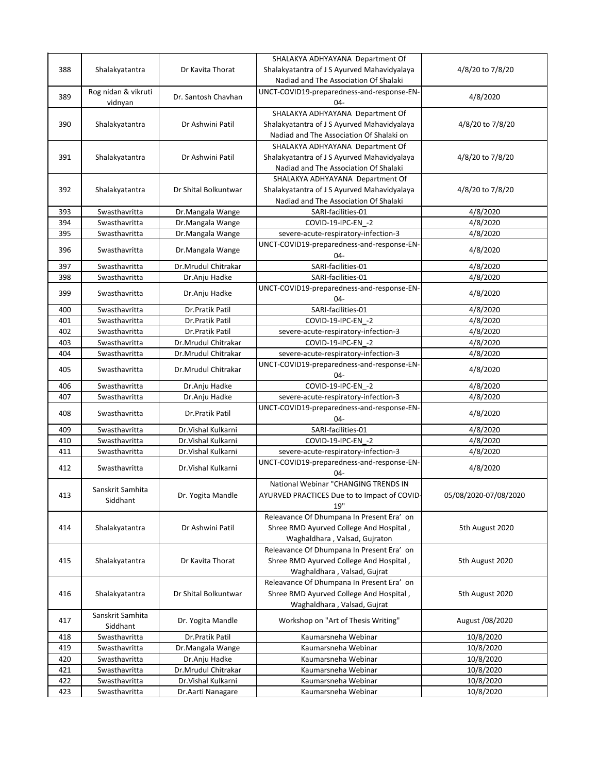|     |                     |                      | SHALAKYA ADHYAYANA Department Of             |                       |
|-----|---------------------|----------------------|----------------------------------------------|-----------------------|
| 388 | Shalakyatantra      | Dr Kavita Thorat     | Shalakyatantra of J S Ayurved Mahavidyalaya  | 4/8/20 to 7/8/20      |
|     |                     |                      | Nadiad and The Association Of Shalaki        |                       |
|     | Rog nidan & vikruti |                      | UNCT-COVID19-preparedness-and-response-EN-   |                       |
| 389 | vidnyan             | Dr. Santosh Chavhan  | $04 -$                                       | 4/8/2020              |
|     |                     |                      | SHALAKYA ADHYAYANA Department Of             |                       |
| 390 | Shalakyatantra      | Dr Ashwini Patil     | Shalakyatantra of J S Ayurved Mahavidyalaya  | 4/8/20 to 7/8/20      |
|     |                     |                      |                                              |                       |
|     |                     |                      | Nadiad and The Association Of Shalaki on     |                       |
|     |                     |                      | SHALAKYA ADHYAYANA Department Of             |                       |
| 391 | Shalakyatantra      | Dr Ashwini Patil     | Shalakyatantra of J S Ayurved Mahavidyalaya  | 4/8/20 to 7/8/20      |
|     |                     |                      | Nadiad and The Association Of Shalaki        |                       |
|     |                     |                      | SHALAKYA ADHYAYANA Department Of             |                       |
| 392 | Shalakyatantra      | Dr Shital Bolkuntwar | Shalakyatantra of J S Ayurved Mahavidyalaya  | 4/8/20 to 7/8/20      |
|     |                     |                      | Nadiad and The Association Of Shalaki        |                       |
| 393 | Swasthavritta       | Dr.Mangala Wange     | SARI-facilities-01                           | 4/8/2020              |
| 394 | Swasthavritta       | Dr.Mangala Wange     | COVID-19-IPC-EN -2                           | 4/8/2020              |
| 395 | Swasthavritta       | Dr.Mangala Wange     | severe-acute-respiratory-infection-3         | 4/8/2020              |
|     | Swasthavritta       |                      | UNCT-COVID19-preparedness-and-response-EN-   |                       |
| 396 |                     | Dr.Mangala Wange     | $04 -$                                       | 4/8/2020              |
| 397 | Swasthavritta       | Dr.Mrudul Chitrakar  | SARI-facilities-01                           | 4/8/2020              |
| 398 | Swasthavritta       | Dr.Anju Hadke        | SARI-facilities-01                           | 4/8/2020              |
|     |                     |                      | UNCT-COVID19-preparedness-and-response-EN-   |                       |
| 399 | Swasthavritta       | Dr.Anju Hadke        | $04 -$                                       | 4/8/2020              |
| 400 | Swasthavritta       | Dr.Pratik Patil      | SARI-facilities-01                           | 4/8/2020              |
| 401 | Swasthavritta       | Dr.Pratik Patil      | COVID-19-IPC-EN -2                           | 4/8/2020              |
| 402 | Swasthavritta       | Dr.Pratik Patil      |                                              | 4/8/2020              |
|     |                     |                      | severe-acute-respiratory-infection-3         |                       |
| 403 | Swasthavritta       | Dr.Mrudul Chitrakar  | COVID-19-IPC-EN_-2                           | 4/8/2020              |
| 404 | Swasthavritta       | Dr.Mrudul Chitrakar  | severe-acute-respiratory-infection-3         | 4/8/2020              |
| 405 | Swasthavritta       | Dr.Mrudul Chitrakar  | UNCT-COVID19-preparedness-and-response-EN-   | 4/8/2020              |
|     |                     |                      | 04-                                          |                       |
| 406 | Swasthavritta       | Dr.Anju Hadke        | COVID-19-IPC-EN_-2                           | 4/8/2020              |
| 407 | Swasthavritta       | Dr.Anju Hadke        | severe-acute-respiratory-infection-3         | 4/8/2020              |
| 408 | Swasthavritta       | Dr.Pratik Patil      | UNCT-COVID19-preparedness-and-response-EN-   | 4/8/2020              |
|     |                     |                      | $04 -$                                       |                       |
| 409 | Swasthavritta       | Dr. Vishal Kulkarni  | SARI-facilities-01                           | 4/8/2020              |
| 410 | Swasthavritta       | Dr. Vishal Kulkarni  | COVID-19-IPC-EN -2                           | 4/8/2020              |
| 411 | Swasthavritta       | Dr. Vishal Kulkarni  | severe-acute-respiratory-infection-3         | 4/8/2020              |
|     |                     |                      | UNCT-COVID19-preparedness-and-response-EN-   |                       |
| 412 | Swasthavritta       | Dr. Vishal Kulkarni  | 04-                                          | 4/8/2020              |
|     |                     |                      | National Webinar "CHANGING TRENDS IN         |                       |
| 413 | Sanskrit Samhita    | Dr. Yogita Mandle    | AYURVED PRACTICES Due to to Impact of COVID- | 05/08/2020-07/08/2020 |
|     | Siddhant            |                      | 19"                                          |                       |
|     |                     |                      | Releavance Of Dhumpana In Present Era' on    |                       |
| 414 | Shalakyatantra      | Dr Ashwini Patil     | Shree RMD Ayurved College And Hospital,      | 5th August 2020       |
|     |                     |                      | Waghaldhara, Valsad, Gujraton                |                       |
|     |                     |                      |                                              |                       |
|     |                     |                      | Releavance Of Dhumpana In Present Era' on    |                       |
| 415 | Shalakyatantra      | Dr Kavita Thorat     | Shree RMD Ayurved College And Hospital,      | 5th August 2020       |
|     |                     |                      | Waghaldhara, Valsad, Gujrat                  |                       |
|     |                     |                      | Releavance Of Dhumpana In Present Era' on    |                       |
| 416 | Shalakyatantra      | Dr Shital Bolkuntwar | Shree RMD Ayurved College And Hospital,      | 5th August 2020       |
|     |                     |                      | Waghaldhara, Valsad, Gujrat                  |                       |
| 417 | Sanskrit Samhita    | Dr. Yogita Mandle    | Workshop on "Art of Thesis Writing"          | August /08/2020       |
|     | Siddhant            |                      |                                              |                       |
| 418 | Swasthavritta       | Dr.Pratik Patil      | Kaumarsneha Webinar                          | 10/8/2020             |
| 419 | Swasthavritta       | Dr.Mangala Wange     | Kaumarsneha Webinar                          | 10/8/2020             |
| 420 | Swasthavritta       | Dr.Anju Hadke        | Kaumarsneha Webinar                          | 10/8/2020             |
| 421 | Swasthavritta       | Dr.Mrudul Chitrakar  | Kaumarsneha Webinar                          | 10/8/2020             |
| 422 | Swasthavritta       | Dr.Vishal Kulkarni   | Kaumarsneha Webinar                          | 10/8/2020             |
| 423 | Swasthavritta       | Dr. Aarti Nanagare   | Kaumarsneha Webinar                          | 10/8/2020             |
|     |                     |                      |                                              |                       |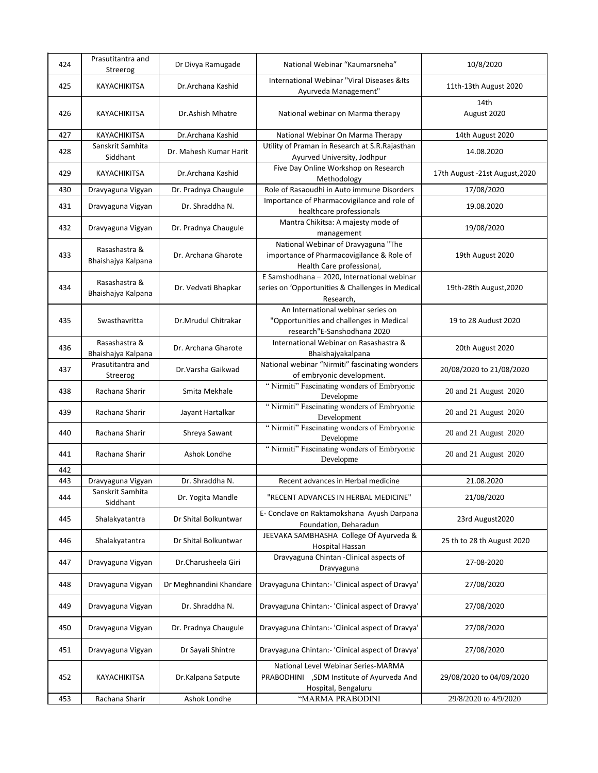| 424 | Prasutitantra and<br>Streerog       | Dr Divya Ramugade       | National Webinar "Kaumarsneha"                                                                                | 10/8/2020                      |
|-----|-------------------------------------|-------------------------|---------------------------------------------------------------------------------------------------------------|--------------------------------|
| 425 | KAYACHIKITSA                        | Dr.Archana Kashid       | International Webinar "Viral Diseases & Its<br>Ayurveda Management"                                           | 11th-13th August 2020          |
| 426 | KAYACHIKITSA                        | Dr.Ashish Mhatre        | National webinar on Marma therapy                                                                             | 14th<br>August 2020            |
| 427 | KAYACHIKITSA                        | Dr.Archana Kashid       | National Webinar On Marma Therapy                                                                             | 14th August 2020               |
| 428 | Sanskrit Samhita<br>Siddhant        | Dr. Mahesh Kumar Harit  | Utility of Praman in Research at S.R.Rajasthan<br>Ayurved University, Jodhpur                                 | 14.08.2020                     |
| 429 | KAYACHIKITSA                        | Dr.Archana Kashid       | Five Day Online Workshop on Research<br>Methodology                                                           | 17th August -21st August, 2020 |
| 430 | Dravyaguna Vigyan                   | Dr. Pradnya Chaugule    | Role of Rasaoudhi in Auto immune Disorders                                                                    | 17/08/2020                     |
| 431 | Dravyaguna Vigyan                   | Dr. Shraddha N.         | Importance of Pharmacovigilance and role of<br>healthcare professionals                                       | 19.08.2020                     |
| 432 | Dravyaguna Vigyan                   | Dr. Pradnya Chaugule    | Mantra Chikitsa: A majesty mode of<br>management                                                              | 19/08/2020                     |
| 433 | Rasashastra &<br>Bhaishajya Kalpana | Dr. Archana Gharote     | National Webinar of Dravyaguna "The<br>importance of Pharmacovigilance & Role of<br>Health Care professional, | 19th August 2020               |
| 434 | Rasashastra &<br>Bhaishajya Kalpana | Dr. Vedvati Bhapkar     | E Samshodhana - 2020, International webinar<br>series on 'Opportunities & Challenges in Medical<br>Research,  | 19th-28th August, 2020         |
| 435 | Swasthavritta                       | Dr.Mrudul Chitrakar     | An International webinar series on<br>"Opportunities and challenges in Medical<br>research"E-Sanshodhana 2020 | 19 to 28 Audust 2020           |
| 436 | Rasashastra &<br>Bhaishajya Kalpana | Dr. Archana Gharote     | International Webinar on Rasashastra &<br>Bhaishajyakalpana                                                   | 20th August 2020               |
| 437 | Prasutitantra and<br>Streerog       | Dr.Varsha Gaikwad       | National webinar "Nirmiti" fascinating wonders<br>of embryonic development.                                   | 20/08/2020 to 21/08/2020       |
| 438 | Rachana Sharir                      | Smita Mekhale           | "Nirmiti" Fascinating wonders of Embryonic<br>Developme                                                       | 20 and 21 August 2020          |
| 439 | Rachana Sharir                      | Jayant Hartalkar        | "Nirmiti" Fascinating wonders of Embryonic<br>Development                                                     | 20 and 21 August 2020          |
| 440 | Rachana Sharir                      | Shreya Sawant           | "Nirmiti" Fascinating wonders of Embryonic<br>Developme                                                       | 20 and 21 August 2020          |
| 441 | Rachana Sharir                      | Ashok Londhe            | "Nirmiti" Fascinating wonders of Embryonic<br>Developme                                                       | 20 and 21 August 2020          |
| 442 |                                     |                         |                                                                                                               |                                |
| 443 | Dravyaguna Vigyan                   | Dr. Shraddha N.         | Recent advances in Herbal medicine                                                                            | 21.08.2020                     |
| 444 | Sanskrit Samhita<br>Siddhant        | Dr. Yogita Mandle       | "RECENT ADVANCES IN HERBAL MEDICINE"                                                                          | 21/08/2020                     |
| 445 | Shalakyatantra                      | Dr Shital Bolkuntwar    | E- Conclave on Raktamokshana Ayush Darpana<br>Foundation, Deharadun                                           | 23rd August2020                |
| 446 | Shalakyatantra                      | Dr Shital Bolkuntwar    | JEEVAKA SAMBHASHA College Of Ayurveda &<br>Hospital Hassan                                                    | 25 th to 28 th August 2020     |
| 447 | Dravyaguna Vigyan                   | Dr.Charusheela Giri     | Dravyaguna Chintan - Clinical aspects of<br>Dravyaguna                                                        | 27-08-2020                     |
| 448 | Dravyaguna Vigyan                   | Dr Meghnandini Khandare | Dravyaguna Chintan:- 'Clinical aspect of Dravya'                                                              | 27/08/2020                     |
| 449 | Dravyaguna Vigyan                   | Dr. Shraddha N.         | Dravyaguna Chintan:- 'Clinical aspect of Dravya'                                                              | 27/08/2020                     |
| 450 | Dravyaguna Vigyan                   | Dr. Pradnya Chaugule    | Dravyaguna Chintan:- 'Clinical aspect of Dravya'                                                              | 27/08/2020                     |
| 451 | Dravyaguna Vigyan                   | Dr Sayali Shintre       | Dravyaguna Chintan:- 'Clinical aspect of Dravya'                                                              | 27/08/2020                     |
| 452 | KAYACHIKITSA                        | Dr.Kalpana Satpute      | National Level Webinar Series-MARMA<br>PRABODHINI ,SDM Institute of Ayurveda And<br>Hospital, Bengaluru       | 29/08/2020 to 04/09/2020       |
| 453 | Rachana Sharir                      | Ashok Londhe            | "MARMA PRABODINI                                                                                              | 29/8/2020 to 4/9/2020          |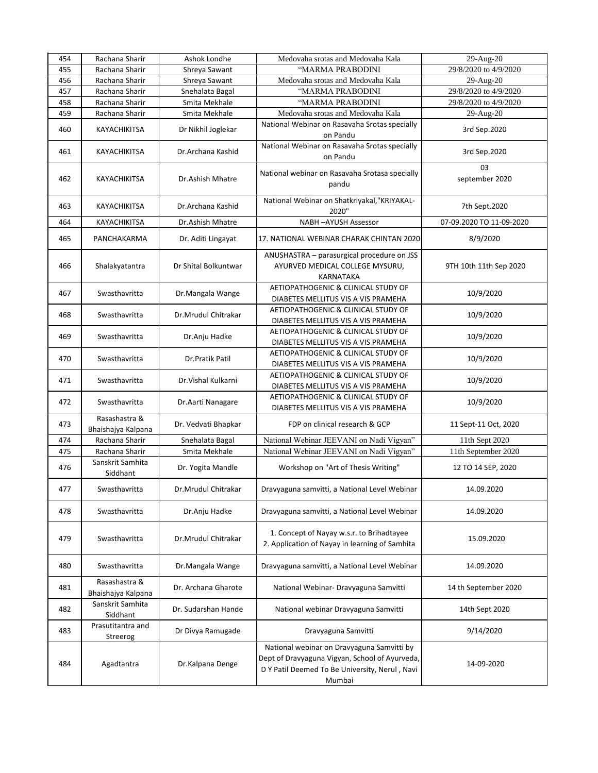| 454 | Rachana Sharir                      | Ashok Londhe         | Medovaha srotas and Medovaha Kala                                                                                                                        | 29-Aug-20                |
|-----|-------------------------------------|----------------------|----------------------------------------------------------------------------------------------------------------------------------------------------------|--------------------------|
| 455 | Rachana Sharir                      | Shreya Sawant        | "MARMA PRABODINI                                                                                                                                         | 29/8/2020 to 4/9/2020    |
| 456 | Rachana Sharir                      | Shreya Sawant        | Medovaha srotas and Medovaha Kala                                                                                                                        | 29-Aug-20                |
| 457 | Rachana Sharir                      | Snehalata Bagal      | "MARMA PRABODINI                                                                                                                                         | 29/8/2020 to 4/9/2020    |
| 458 | Rachana Sharir                      | Smita Mekhale        | "MARMA PRABODINI                                                                                                                                         | 29/8/2020 to 4/9/2020    |
| 459 | Rachana Sharir                      | Smita Mekhale        | Medovaha srotas and Medovaha Kala                                                                                                                        | 29-Aug-20                |
| 460 | KAYACHIKITSA                        | Dr Nikhil Joglekar   | National Webinar on Rasavaha Srotas specially<br>on Pandu                                                                                                | 3rd Sep.2020             |
| 461 | KAYACHIKITSA                        | Dr.Archana Kashid    | National Webinar on Rasavaha Srotas specially<br>on Pandu                                                                                                | 3rd Sep.2020             |
| 462 | KAYACHIKITSA                        | Dr.Ashish Mhatre     | National webinar on Rasavaha Srotasa specially<br>pandu                                                                                                  | 03<br>september 2020     |
| 463 | KAYACHIKITSA                        | Dr.Archana Kashid    | National Webinar on Shatkriyakal, "KRIYAKAL-<br>2020"                                                                                                    | 7th Sept.2020            |
| 464 | KAYACHIKITSA                        | Dr.Ashish Mhatre     | NABH-AYUSH Assessor                                                                                                                                      | 07-09.2020 TO 11-09-2020 |
| 465 | PANCHAKARMA                         | Dr. Aditi Lingayat   | 17. NATIONAL WEBINAR CHARAK CHINTAN 2020                                                                                                                 | 8/9/2020                 |
| 466 | Shalakyatantra                      | Dr Shital Bolkuntwar | ANUSHASTRA - parasurgical procedure on JSS<br>AYURVED MEDICAL COLLEGE MYSURU,<br>KARNATAKA                                                               | 9TH 10th 11th Sep 2020   |
| 467 | Swasthavritta                       | Dr.Mangala Wange     | AETIOPATHOGENIC & CLINICAL STUDY OF<br>DIABETES MELLITUS VIS A VIS PRAMEHA                                                                               | 10/9/2020                |
| 468 | Swasthavritta                       | Dr.Mrudul Chitrakar  | AETIOPATHOGENIC & CLINICAL STUDY OF<br>DIABETES MELLITUS VIS A VIS PRAMEHA                                                                               | 10/9/2020                |
| 469 | Swasthavritta                       | Dr.Anju Hadke        | AETIOPATHOGENIC & CLINICAL STUDY OF<br>DIABETES MELLITUS VIS A VIS PRAMEHA                                                                               | 10/9/2020                |
| 470 | Swasthavritta                       | Dr.Pratik Patil      | AETIOPATHOGENIC & CLINICAL STUDY OF<br>DIABETES MELLITUS VIS A VIS PRAMEHA                                                                               | 10/9/2020                |
| 471 | Swasthavritta                       | Dr. Vishal Kulkarni  | AETIOPATHOGENIC & CLINICAL STUDY OF<br>DIABETES MELLITUS VIS A VIS PRAMEHA                                                                               | 10/9/2020                |
| 472 | Swasthavritta                       | Dr.Aarti Nanagare    | AETIOPATHOGENIC & CLINICAL STUDY OF<br>DIABETES MELLITUS VIS A VIS PRAMEHA                                                                               | 10/9/2020                |
| 473 | Rasashastra &<br>Bhaishajya Kalpana | Dr. Vedvati Bhapkar  | FDP on clinical research & GCP                                                                                                                           | 11 Sept-11 Oct, 2020     |
| 474 | Rachana Sharir                      | Snehalata Bagal      | National Webinar JEEVANI on Nadi Vigyan"                                                                                                                 | 11th Sept 2020           |
| 475 | Rachana Sharir                      | Smita Mekhale        | National Webinar JEEVANI on Nadi Vigyan"                                                                                                                 | 11th September 2020      |
| 476 | Sanskrit Samhita<br>Siddhant        | Dr. Yogita Mandle    | Workshop on "Art of Thesis Writing"                                                                                                                      | 12 TO 14 SEP, 2020       |
| 477 | Swasthavritta                       | Dr.Mrudul Chitrakar  | Dravyaguna samvitti, a National Level Webinar                                                                                                            | 14.09.2020               |
| 478 | Swasthavritta                       | Dr.Anju Hadke        | Dravyaguna samvitti, a National Level Webinar                                                                                                            | 14.09.2020               |
| 479 | Swasthavritta                       | Dr.Mrudul Chitrakar  | 1. Concept of Nayay w.s.r. to Brihadtayee<br>2. Application of Nayay in learning of Samhita                                                              | 15.09.2020               |
| 480 | Swasthavritta                       | Dr.Mangala Wange     | Dravyaguna samvitti, a National Level Webinar                                                                                                            | 14.09.2020               |
| 481 | Rasashastra &<br>Bhaishajya Kalpana | Dr. Archana Gharote  | National Webinar- Dravyaguna Samvitti                                                                                                                    | 14 th September 2020     |
| 482 | Sanskrit Samhita<br>Siddhant        | Dr. Sudarshan Hande  | National webinar Dravyaguna Samvitti                                                                                                                     | 14th Sept 2020           |
| 483 | Prasutitantra and<br>Streerog       | Dr Divya Ramugade    | Dravyaguna Samvitti                                                                                                                                      | 9/14/2020                |
| 484 | Agadtantra                          | Dr.Kalpana Denge     | National webinar on Dravyaguna Samvitti by<br>Dept of Dravyaguna Vigyan, School of Ayurveda,<br>D Y Patil Deemed To Be University, Nerul, Navi<br>Mumbai | 14-09-2020               |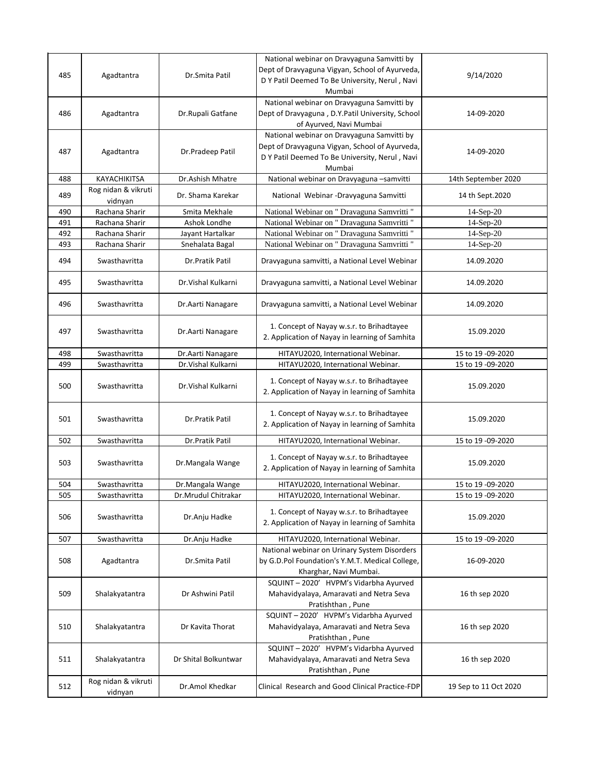|     |                           |                      | National webinar on Dravyaguna Samvitti by       |                        |
|-----|---------------------------|----------------------|--------------------------------------------------|------------------------|
| 485 | Agadtantra                | Dr.Smita Patil       | Dept of Dravyaguna Vigyan, School of Ayurveda,   | 9/14/2020              |
|     |                           |                      | D Y Patil Deemed To Be University, Nerul, Navi   |                        |
|     |                           |                      | Mumbai                                           |                        |
|     |                           |                      | National webinar on Dravyaguna Samvitti by       |                        |
| 486 | Agadtantra                | Dr.Rupali Gatfane    | Dept of Dravyaguna, D.Y.Patil University, School | 14-09-2020             |
|     |                           |                      | of Ayurved, Navi Mumbai                          |                        |
|     |                           |                      | National webinar on Dravyaguna Samvitti by       |                        |
| 487 | Agadtantra                | Dr.Pradeep Patil     | Dept of Dravyaguna Vigyan, School of Ayurveda,   | 14-09-2020             |
|     |                           |                      | D Y Patil Deemed To Be University, Nerul, Navi   |                        |
|     |                           |                      | Mumbai                                           |                        |
| 488 | KAYACHIKITSA              | Dr.Ashish Mhatre     | National webinar on Dravyaguna -samvitti         | 14th September 2020    |
| 489 | Rog nidan & vikruti       | Dr. Shama Karekar    | National Webinar - Dravyaguna Samvitti           | 14 th Sept.2020        |
| 490 | vidnyan<br>Rachana Sharir | Smita Mekhale        | National Webinar on " Dravaguna Samvritti "      | 14-Sep-20              |
| 491 | Rachana Sharir            | Ashok Londhe         | National Webinar on " Dravaguna Samvritti "      |                        |
| 492 | Rachana Sharir            |                      | National Webinar on " Dravaguna Samvritti "      | 14-Sep-20<br>14-Sep-20 |
|     |                           | Jayant Hartalkar     |                                                  |                        |
| 493 | Rachana Sharir            | Snehalata Bagal      | National Webinar on " Dravaguna Samvritti "      | 14-Sep-20              |
| 494 | Swasthavritta             | Dr.Pratik Patil      | Dravyaguna samvitti, a National Level Webinar    | 14.09.2020             |
| 495 | Swasthavritta             | Dr. Vishal Kulkarni  | Dravyaguna samvitti, a National Level Webinar    | 14.09.2020             |
|     |                           |                      |                                                  |                        |
| 496 | Swasthavritta             | Dr.Aarti Nanagare    | Dravyaguna samvitti, a National Level Webinar    | 14.09.2020             |
|     |                           |                      |                                                  |                        |
| 497 | Swasthavritta             | Dr. Aarti Nanagare   | 1. Concept of Nayay w.s.r. to Brihadtayee        | 15.09.2020             |
|     |                           |                      | 2. Application of Nayay in learning of Samhita   |                        |
| 498 | Swasthavritta             | Dr.Aarti Nanagare    | HITAYU2020, International Webinar.               | 15 to 19 -09-2020      |
| 499 | Swasthavritta             | Dr. Vishal Kulkarni  | HITAYU2020, International Webinar.               | 15 to 19 -09-2020      |
|     |                           |                      |                                                  |                        |
| 500 | Swasthavritta             | Dr. Vishal Kulkarni  | 1. Concept of Nayay w.s.r. to Brihadtayee        | 15.09.2020             |
|     |                           |                      | 2. Application of Nayay in learning of Samhita   |                        |
|     |                           |                      |                                                  |                        |
| 501 | Swasthavritta             | Dr.Pratik Patil      | 1. Concept of Nayay w.s.r. to Brihadtayee        | 15.09.2020             |
|     |                           |                      | 2. Application of Nayay in learning of Samhita   |                        |
| 502 | Swasthavritta             | Dr.Pratik Patil      | HITAYU2020, International Webinar.               | 15 to 19 -09-2020      |
|     |                           |                      |                                                  |                        |
| 503 | Swasthavritta             | Dr.Mangala Wange     | 1. Concept of Nayay w.s.r. to Brihadtayee        | 15.09.2020             |
|     |                           |                      | 2. Application of Nayay in learning of Samhita   |                        |
| 504 | Swasthavritta             | Dr.Mangala Wange     | HITAYU2020, International Webinar.               | 15 to 19 -09-2020      |
| 505 | Swasthavritta             | Dr.Mrudul Chitrakar  | HITAYU2020, International Webinar.               | 15 to 19 -09-2020      |
|     |                           |                      |                                                  |                        |
| 506 | Swasthavritta             | Dr.Anju Hadke        | 1. Concept of Nayay w.s.r. to Brihadtayee        | 15.09.2020             |
|     |                           |                      | 2. Application of Nayay in learning of Samhita   |                        |
| 507 | Swasthavritta             | Dr.Anju Hadke        | HITAYU2020, International Webinar.               | 15 to 19 -09-2020      |
|     |                           |                      | National webinar on Urinary System Disorders     |                        |
| 508 | Agadtantra                | Dr.Smita Patil       | by G.D.Pol Foundation's Y.M.T. Medical College,  | 16-09-2020             |
|     |                           |                      | Kharghar, Navi Mumbai.                           |                        |
|     |                           |                      | SQUINT-2020' HVPM's Vidarbha Ayurved             |                        |
| 509 | Shalakyatantra            | Dr Ashwini Patil     | Mahavidyalaya, Amaravati and Netra Seva          | 16 th sep 2020         |
|     |                           |                      | Pratishthan, Pune                                |                        |
|     |                           |                      | SQUINT-2020' HVPM's Vidarbha Ayurved             |                        |
| 510 | Shalakyatantra            | Dr Kavita Thorat     | Mahavidyalaya, Amaravati and Netra Seva          | 16 th sep 2020         |
|     |                           |                      | Pratishthan, Pune                                |                        |
|     |                           |                      | SQUINT-2020' HVPM's Vidarbha Ayurved             |                        |
| 511 | Shalakyatantra            | Dr Shital Bolkuntwar | Mahavidyalaya, Amaravati and Netra Seva          | 16 th sep 2020         |
|     |                           |                      | Pratishthan, Pune                                |                        |
|     | Rog nidan & vikruti       |                      |                                                  |                        |
| 512 | vidnyan                   | Dr.Amol Khedkar      | Clinical Research and Good Clinical Practice-FDP | 19 Sep to 11 Oct 2020  |
|     |                           |                      |                                                  |                        |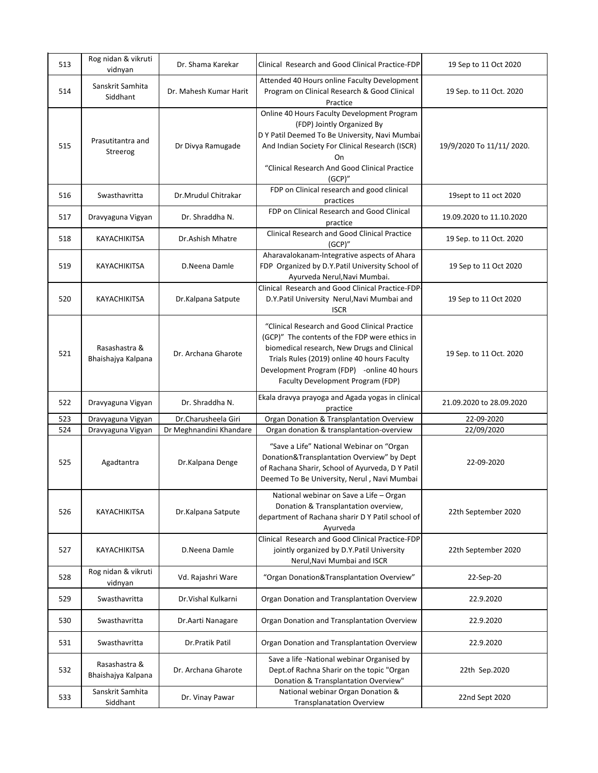| 513 | Rog nidan & vikruti<br>vidnyan      | Dr. Shama Karekar       | Clinical Research and Good Clinical Practice-FDP                                                                                                                                                                                                                                | 19 Sep to 11 Oct 2020    |
|-----|-------------------------------------|-------------------------|---------------------------------------------------------------------------------------------------------------------------------------------------------------------------------------------------------------------------------------------------------------------------------|--------------------------|
| 514 | Sanskrit Samhita<br>Siddhant        | Dr. Mahesh Kumar Harit  | Attended 40 Hours online Faculty Development<br>Program on Clinical Research & Good Clinical<br>Practice                                                                                                                                                                        | 19 Sep. to 11 Oct. 2020  |
| 515 | Prasutitantra and<br>Streerog       | Dr Divya Ramugade       | Online 40 Hours Faculty Development Program<br>(FDP) Jointly Organized By<br>D Y Patil Deemed To Be University, Navi Mumbai<br>And Indian Society For Clinical Research (ISCR)<br>On<br>"Clinical Research And Good Clinical Practice<br>(GCP)''                                | 19/9/2020 To 11/11/2020. |
| 516 | Swasthavritta                       | Dr.Mrudul Chitrakar     | FDP on Clinical research and good clinical<br>practices                                                                                                                                                                                                                         | 19sept to 11 oct 2020    |
| 517 | Dravyaguna Vigyan                   | Dr. Shraddha N.         | FDP on Clinical Research and Good Clinical<br>practice                                                                                                                                                                                                                          | 19.09.2020 to 11.10.2020 |
| 518 | KAYACHIKITSA                        | Dr.Ashish Mhatre        | Clinical Research and Good Clinical Practice<br>(GCP)''                                                                                                                                                                                                                         | 19 Sep. to 11 Oct. 2020  |
| 519 | KAYACHIKITSA                        | D.Neena Damle           | Aharavalokanam-Integrative aspects of Ahara<br>FDP Organized by D.Y.Patil University School of<br>Ayurveda Nerul, Navi Mumbai.                                                                                                                                                  | 19 Sep to 11 Oct 2020    |
| 520 | <b>KAYACHIKITSA</b>                 | Dr.Kalpana Satpute      | Clinical Research and Good Clinical Practice-FDP-<br>D.Y.Patil University Nerul, Navi Mumbai and<br><b>ISCR</b>                                                                                                                                                                 | 19 Sep to 11 Oct 2020    |
| 521 | Rasashastra &<br>Bhaishajya Kalpana | Dr. Archana Gharote     | "Clinical Research and Good Clinical Practice<br>(GCP)" The contents of the FDP were ethics in<br>biomedical research, New Drugs and Clinical<br>Trials Rules (2019) online 40 hours Faculty<br>Development Program (FDP) -online 40 hours<br>Faculty Development Program (FDP) | 19 Sep. to 11 Oct. 2020  |
| 522 | Dravyaguna Vigyan                   | Dr. Shraddha N.         | Ekala dravya prayoga and Agada yogas in clinical<br>practice                                                                                                                                                                                                                    | 21.09.2020 to 28.09.2020 |
| 523 | Dravyaguna Vigyan                   | Dr.Charusheela Giri     | Organ Donation & Transplantation Overview                                                                                                                                                                                                                                       | 22-09-2020               |
| 524 | Dravyaguna Vigyan                   | Dr Meghnandini Khandare | Organ donation & transplantation-overview                                                                                                                                                                                                                                       | 22/09/2020               |
| 525 | Agadtantra                          | Dr.Kalpana Denge        | "Save a Life" National Webinar on "Organ<br>Donation&Transplantation Overview" by Dept<br>of Rachana Sharir, School of Ayurveda, D Y Patil<br>Deemed To Be University, Nerul, Navi Mumbai                                                                                       | 22-09-2020               |
| 526 | <b>KAYACHIKITSA</b>                 | Dr.Kalpana Satpute      | National webinar on Save a Life - Organ<br>Donation & Transplantation overview,<br>department of Rachana sharir D Y Patil school of<br>Ayurveda                                                                                                                                 | 22th September 2020      |
| 527 | KAYACHIKITSA                        | D.Neena Damle           | Clinical Research and Good Clinical Practice-FDP<br>jointly organized by D.Y.Patil University<br>Nerul, Navi Mumbai and ISCR                                                                                                                                                    | 22th September 2020      |
| 528 | Rog nidan & vikruti<br>vidnyan      | Vd. Rajashri Ware       | "Organ Donation&Transplantation Overview"                                                                                                                                                                                                                                       | 22-Sep-20                |
| 529 | Swasthavritta                       | Dr. Vishal Kulkarni     | Organ Donation and Transplantation Overview                                                                                                                                                                                                                                     | 22.9.2020                |
| 530 | Swasthavritta                       | Dr.Aarti Nanagare       | Organ Donation and Transplantation Overview                                                                                                                                                                                                                                     | 22.9.2020                |
| 531 | Swasthavritta                       | Dr.Pratik Patil         | Organ Donation and Transplantation Overview                                                                                                                                                                                                                                     | 22.9.2020                |
| 532 | Rasashastra &<br>Bhaishajya Kalpana | Dr. Archana Gharote     | Save a life -National webinar Organised by<br>Dept.of Rachna Sharir on the topic "Organ<br>Donation & Transplantation Overview"                                                                                                                                                 | 22th Sep.2020            |
| 533 | Sanskrit Samhita<br>Siddhant        | Dr. Vinay Pawar         | National webinar Organ Donation &<br><b>Transplanatation Overview</b>                                                                                                                                                                                                           | 22nd Sept 2020           |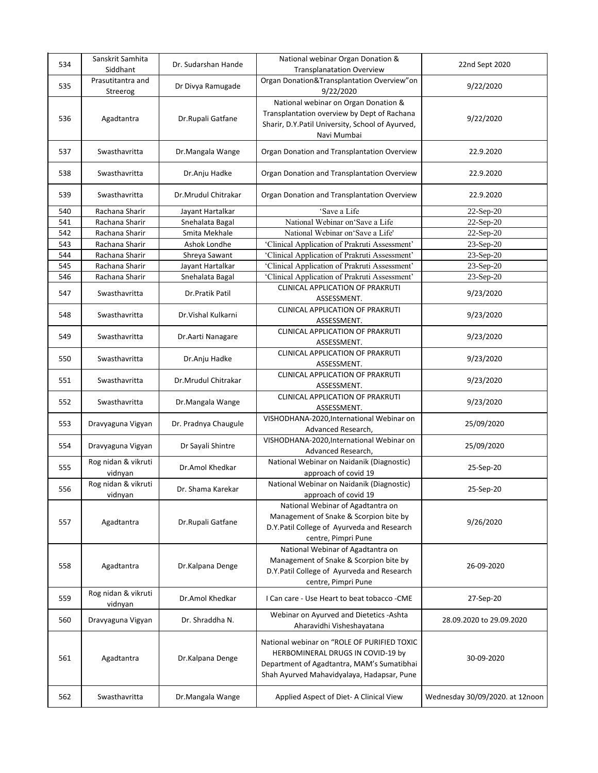| 534 | Sanskrit Samhita<br>Siddhant   | Dr. Sudarshan Hande  | National webinar Organ Donation &<br><b>Transplanatation Overview</b>                                                                                                        | 22nd Sept 2020                  |
|-----|--------------------------------|----------------------|------------------------------------------------------------------------------------------------------------------------------------------------------------------------------|---------------------------------|
| 535 | Prasutitantra and<br>Streerog  | Dr Divya Ramugade    | Organ Donation&Transplantation Overview"on<br>9/22/2020                                                                                                                      | 9/22/2020                       |
| 536 | Agadtantra                     | Dr.Rupali Gatfane    | National webinar on Organ Donation &<br>Transplantation overview by Dept of Rachana<br>Sharir, D.Y.Patil University, School of Ayurved,<br>Navi Mumbai                       | 9/22/2020                       |
| 537 | Swasthavritta                  | Dr.Mangala Wange     | Organ Donation and Transplantation Overview                                                                                                                                  | 22.9.2020                       |
| 538 | Swasthavritta                  | Dr.Anju Hadke        | Organ Donation and Transplantation Overview                                                                                                                                  | 22.9.2020                       |
| 539 | Swasthavritta                  | Dr.Mrudul Chitrakar  | Organ Donation and Transplantation Overview                                                                                                                                  | 22.9.2020                       |
| 540 | Rachana Sharir                 | Jayant Hartalkar     | 'Save a Life                                                                                                                                                                 | $22-Sep-20$                     |
| 541 | Rachana Sharir                 | Snehalata Bagal      | National Webinar on Save a Life                                                                                                                                              | 22-Sep-20                       |
| 542 | Rachana Sharir                 | Smita Mekhale        | National Webinar on Save a Life'                                                                                                                                             | 22-Sep-20                       |
| 543 | Rachana Sharir                 | Ashok Londhe         | 'Clinical Application of Prakruti Assessment'                                                                                                                                | 23-Sep-20                       |
| 544 | Rachana Sharir                 | Shreya Sawant        | 'Clinical Application of Prakruti Assessment'                                                                                                                                | 23-Sep-20                       |
|     |                                |                      |                                                                                                                                                                              |                                 |
| 545 | Rachana Sharir                 | Jayant Hartalkar     | 'Clinical Application of Prakruti Assessment'                                                                                                                                | 23-Sep-20                       |
| 546 | Rachana Sharir                 | Snehalata Bagal      | 'Clinical Application of Prakruti Assessment'                                                                                                                                | 23-Sep-20                       |
| 547 | Swasthavritta                  | Dr.Pratik Patil      | CLINICAL APPLICATION OF PRAKRUTI<br>ASSESSMENT.                                                                                                                              | 9/23/2020                       |
| 548 | Swasthavritta                  | Dr. Vishal Kulkarni  | CLINICAL APPLICATION OF PRAKRUTI<br>ASSESSMENT.                                                                                                                              | 9/23/2020                       |
| 549 | Swasthavritta                  | Dr.Aarti Nanagare    | CLINICAL APPLICATION OF PRAKRUTI<br>ASSESSMENT.                                                                                                                              | 9/23/2020                       |
| 550 | Swasthavritta                  | Dr.Anju Hadke        | CLINICAL APPLICATION OF PRAKRUTI<br>ASSESSMENT.                                                                                                                              | 9/23/2020                       |
| 551 | Swasthavritta                  | Dr.Mrudul Chitrakar  | CLINICAL APPLICATION OF PRAKRUTI<br>ASSESSMENT.                                                                                                                              | 9/23/2020                       |
| 552 | Swasthavritta                  | Dr.Mangala Wange     | CLINICAL APPLICATION OF PRAKRUTI<br>ASSESSMENT.                                                                                                                              | 9/23/2020                       |
| 553 | Dravyaguna Vigyan              | Dr. Pradnya Chaugule | VISHODHANA-2020, International Webinar on<br>Advanced Research,                                                                                                              | 25/09/2020                      |
| 554 | Dravyaguna Vigyan              | Dr Sayali Shintre    | VISHODHANA-2020, International Webinar on<br>Advanced Research,                                                                                                              | 25/09/2020                      |
| 555 | Rog nidan & vikruti<br>vidnyan | Dr.Amol Khedkar      | National Webinar on Naidanik (Diagnostic)<br>approach of covid 19                                                                                                            | 25-Sep-20                       |
| 556 | Rog nidan & vikruti<br>vidnyan | Dr. Shama Karekar    | National Webinar on Naidanik (Diagnostic)<br>approach of covid 19                                                                                                            | 25-Sep-20                       |
| 557 | Agadtantra                     | Dr.Rupali Gatfane    | National Webinar of Agadtantra on<br>Management of Snake & Scorpion bite by<br>D.Y.Patil College of Ayurveda and Research<br>centre, Pimpri Pune                             | 9/26/2020                       |
| 558 | Agadtantra                     | Dr.Kalpana Denge     | National Webinar of Agadtantra on<br>Management of Snake & Scorpion bite by<br>D.Y.Patil College of Ayurveda and Research<br>centre, Pimpri Pune                             | 26-09-2020                      |
| 559 | Rog nidan & vikruti<br>vidnyan | Dr.Amol Khedkar      | I Can care - Use Heart to beat tobacco - CME                                                                                                                                 | 27-Sep-20                       |
| 560 | Dravyaguna Vigyan              | Dr. Shraddha N.      | Webinar on Ayurved and Dietetics - Ashta<br>Aharavidhi Visheshayatana                                                                                                        | 28.09.2020 to 29.09.2020        |
| 561 | Agadtantra                     | Dr.Kalpana Denge     | National webinar on "ROLE OF PURIFIED TOXIC<br>HERBOMINERAL DRUGS IN COVID-19 by<br>Department of Agadtantra, MAM's Sumatibhai<br>Shah Ayurved Mahavidyalaya, Hadapsar, Pune | 30-09-2020                      |
| 562 | Swasthavritta                  | Dr.Mangala Wange     | Applied Aspect of Diet- A Clinical View                                                                                                                                      | Wednesday 30/09/2020. at 12noon |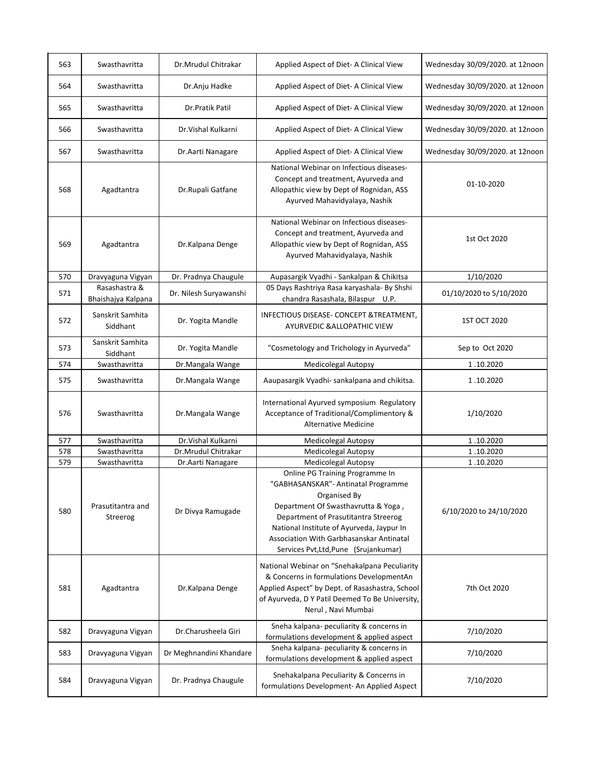| 563 | Swasthavritta                       | Dr.Mrudul Chitrakar     | Applied Aspect of Diet- A Clinical View                                                                                                                                                                                                                                                                 | Wednesday 30/09/2020. at 12noon |
|-----|-------------------------------------|-------------------------|---------------------------------------------------------------------------------------------------------------------------------------------------------------------------------------------------------------------------------------------------------------------------------------------------------|---------------------------------|
| 564 | Swasthavritta                       | Dr.Anju Hadke           | Applied Aspect of Diet- A Clinical View                                                                                                                                                                                                                                                                 | Wednesday 30/09/2020. at 12noon |
| 565 | Swasthavritta                       | Dr.Pratik Patil         | Applied Aspect of Diet- A Clinical View                                                                                                                                                                                                                                                                 | Wednesday 30/09/2020. at 12noon |
| 566 | Swasthavritta                       | Dr. Vishal Kulkarni     | Applied Aspect of Diet- A Clinical View                                                                                                                                                                                                                                                                 | Wednesday 30/09/2020. at 12noon |
| 567 | Swasthavritta                       | Dr. Aarti Nanagare      | Applied Aspect of Diet- A Clinical View                                                                                                                                                                                                                                                                 | Wednesday 30/09/2020. at 12noon |
| 568 | Agadtantra                          | Dr.Rupali Gatfane       | National Webinar on Infectious diseases-<br>Concept and treatment, Ayurveda and<br>Allopathic view by Dept of Rognidan, ASS<br>Ayurved Mahavidyalaya, Nashik                                                                                                                                            | 01-10-2020                      |
| 569 | Agadtantra                          | Dr.Kalpana Denge        | National Webinar on Infectious diseases-<br>Concept and treatment, Ayurveda and<br>Allopathic view by Dept of Rognidan, ASS<br>Ayurved Mahavidyalaya, Nashik                                                                                                                                            | 1st Oct 2020                    |
| 570 | Dravyaguna Vigyan                   | Dr. Pradnya Chaugule    | Aupasargik Vyadhi - Sankalpan & Chikitsa                                                                                                                                                                                                                                                                | 1/10/2020                       |
| 571 | Rasashastra &<br>Bhaishajya Kalpana | Dr. Nilesh Suryawanshi  | 05 Days Rashtriya Rasa karyashala- By Shshi<br>chandra Rasashala, Bilaspur U.P.                                                                                                                                                                                                                         | 01/10/2020 to 5/10/2020         |
| 572 | Sanskrit Samhita<br>Siddhant        | Dr. Yogita Mandle       | INFECTIOUS DISEASE- CONCEPT & TREATMENT,<br>AYURVEDIC & ALLOPATHIC VIEW                                                                                                                                                                                                                                 | 1ST OCT 2020                    |
| 573 | Sanskrit Samhita<br>Siddhant        | Dr. Yogita Mandle       | "Cosmetology and Trichology in Ayurveda"                                                                                                                                                                                                                                                                | Sep to Oct 2020                 |
| 574 | Swasthavritta                       | Dr.Mangala Wange        | <b>Medicolegal Autopsy</b>                                                                                                                                                                                                                                                                              | 1.10.2020                       |
| 575 | Swasthavritta                       | Dr.Mangala Wange        | Aaupasargik Vyadhi- sankalpana and chikitsa.                                                                                                                                                                                                                                                            | 1.10.2020                       |
| 576 | Swasthavritta                       | Dr.Mangala Wange        | International Ayurved symposium Regulatory<br>Acceptance of Traditional/Complimentory &<br><b>Alternative Medicine</b>                                                                                                                                                                                  | 1/10/2020                       |
| 577 | Swasthavritta                       | Dr. Vishal Kulkarni     | <b>Medicolegal Autopsy</b>                                                                                                                                                                                                                                                                              | 1.10.2020                       |
| 578 | Swasthavritta                       | Dr.Mrudul Chitrakar     | <b>Medicolegal Autopsy</b>                                                                                                                                                                                                                                                                              | 1.10.2020                       |
| 579 | Swasthavritta                       | Dr. Aarti Nanagare      | <b>Medicolegal Autopsy</b>                                                                                                                                                                                                                                                                              | 1.10.2020                       |
| 580 | Prasutitantra and<br>Streerog       | Dr Divya Ramugade       | Online PG Training Programme In<br>"GABHASANSKAR"- Antinatal Programme<br>Organised By<br>Department Of Swasthavrutta & Yoga,<br>Department of Prasutitantra Streerog<br>National Institute of Ayurveda, Jaypur In<br>Association With Garbhasanskar Antinatal<br>Services Pvt, Ltd, Pune (Srujankumar) | 6/10/2020 to 24/10/2020         |
| 581 | Agadtantra                          | Dr.Kalpana Denge        | National Webinar on "Snehakalpana Peculiarity<br>& Concerns in formulations DevelopmentAn<br>Applied Aspect" by Dept. of Rasashastra, School<br>of Ayurveda, D Y Patil Deemed To Be University,<br>Nerul, Navi Mumbai                                                                                   | 7th Oct 2020                    |
| 582 | Dravyaguna Vigyan                   | Dr.Charusheela Giri     | Sneha kalpana- peculiarity & concerns in<br>formulations development & applied aspect                                                                                                                                                                                                                   | 7/10/2020                       |
| 583 | Dravyaguna Vigyan                   | Dr Meghnandini Khandare | Sneha kalpana- peculiarity & concerns in<br>formulations development & applied aspect                                                                                                                                                                                                                   | 7/10/2020                       |
| 584 | Dravyaguna Vigyan                   | Dr. Pradnya Chaugule    | Snehakalpana Peculiarity & Concerns in<br>formulations Development- An Applied Aspect                                                                                                                                                                                                                   | 7/10/2020                       |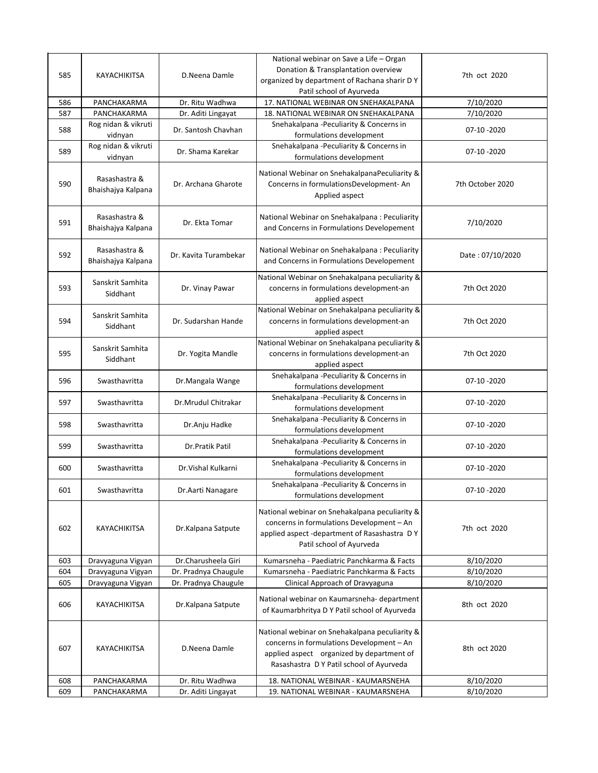| 585 | KAYACHIKITSA                        | D.Neena Damle         | National webinar on Save a Life – Organ<br>Donation & Transplantation overview<br>organized by department of Rachana sharir D Y<br>Patil school of Ayurveda                          | 7th oct 2020     |
|-----|-------------------------------------|-----------------------|--------------------------------------------------------------------------------------------------------------------------------------------------------------------------------------|------------------|
| 586 | PANCHAKARMA                         | Dr. Ritu Wadhwa       | 17. NATIONAL WEBINAR ON SNEHAKALPANA                                                                                                                                                 | 7/10/2020        |
| 587 | PANCHAKARMA                         | Dr. Aditi Lingayat    | 18. NATIONAL WEBINAR ON SNEHAKALPANA                                                                                                                                                 | 7/10/2020        |
| 588 | Rog nidan & vikruti<br>vidnyan      | Dr. Santosh Chavhan   | Snehakalpana -Peculiarity & Concerns in<br>formulations development                                                                                                                  | 07-10-2020       |
| 589 | Rog nidan & vikruti<br>vidnyan      | Dr. Shama Karekar     | Snehakalpana -Peculiarity & Concerns in<br>formulations development                                                                                                                  | 07-10 -2020      |
| 590 | Rasashastra &<br>Bhaishajya Kalpana | Dr. Archana Gharote   | National Webinar on SnehakalpanaPeculiarity &<br>Concerns in formulationsDevelopment-An<br>Applied aspect                                                                            | 7th October 2020 |
| 591 | Rasashastra &<br>Bhaishajya Kalpana | Dr. Ekta Tomar        | National Webinar on Snehakalpana: Peculiarity<br>and Concerns in Formulations Developement                                                                                           | 7/10/2020        |
| 592 | Rasashastra &<br>Bhaishajya Kalpana | Dr. Kavita Turambekar | National Webinar on Snehakalpana: Peculiarity<br>and Concerns in Formulations Developement                                                                                           | Date: 07/10/2020 |
| 593 | Sanskrit Samhita<br>Siddhant        | Dr. Vinay Pawar       | National Webinar on Snehakalpana peculiarity &<br>concerns in formulations development-an<br>applied aspect                                                                          | 7th Oct 2020     |
| 594 | Sanskrit Samhita<br>Siddhant        | Dr. Sudarshan Hande   | National Webinar on Snehakalpana peculiarity &<br>concerns in formulations development-an<br>applied aspect                                                                          | 7th Oct 2020     |
| 595 | Sanskrit Samhita<br>Siddhant        | Dr. Yogita Mandle     | National Webinar on Snehakalpana peculiarity &<br>concerns in formulations development-an<br>applied aspect                                                                          | 7th Oct 2020     |
| 596 | Swasthavritta                       | Dr.Mangala Wange      | Snehakalpana -Peculiarity & Concerns in<br>formulations development                                                                                                                  | 07-10-2020       |
| 597 | Swasthavritta                       | Dr.Mrudul Chitrakar   | Snehakalpana -Peculiarity & Concerns in<br>formulations development                                                                                                                  | 07-10 -2020      |
| 598 | Swasthavritta                       | Dr.Anju Hadke         | Snehakalpana -Peculiarity & Concerns in<br>formulations development                                                                                                                  | 07-10-2020       |
| 599 | Swasthavritta                       | Dr.Pratik Patil       | Snehakalpana -Peculiarity & Concerns in<br>formulations development                                                                                                                  | 07-10-2020       |
| 600 | Swasthavritta                       | Dr. Vishal Kulkarni   | Snehakalpana -Peculiarity & Concerns in<br>formulations development                                                                                                                  | 07-10 -2020      |
| 601 | Swasthavritta                       | Dr.Aarti Nanagare     | Snehakalpana -Peculiarity & Concerns in<br>formulations development                                                                                                                  | 07-10-2020       |
| 602 | KAYACHIKITSA                        | Dr.Kalpana Satpute    | National webinar on Snehakalpana peculiarity &<br>concerns in formulations Development - An<br>applied aspect -department of Rasashastra DY<br>Patil school of Ayurveda              | 7th oct 2020     |
| 603 | Dravyaguna Vigyan                   | Dr.Charusheela Giri   | Kumarsneha - Paediatric Panchkarma & Facts                                                                                                                                           | 8/10/2020        |
| 604 | Dravyaguna Vigyan                   | Dr. Pradnya Chaugule  | Kumarsneha - Paediatric Panchkarma & Facts                                                                                                                                           | 8/10/2020        |
| 605 | Dravyaguna Vigyan                   | Dr. Pradnya Chaugule  | Clinical Approach of Dravyaguna                                                                                                                                                      | 8/10/2020        |
| 606 | KAYACHIKITSA                        | Dr.Kalpana Satpute    | National webinar on Kaumarsneha- department<br>of Kaumarbhritya D Y Patil school of Ayurveda                                                                                         | 8th oct 2020     |
| 607 | KAYACHIKITSA                        | D.Neena Damle         | National webinar on Snehakalpana peculiarity &<br>concerns in formulations Development - An<br>applied aspect organized by department of<br>Rasashastra D Y Patil school of Ayurveda | 8th oct 2020     |
| 608 | PANCHAKARMA                         | Dr. Ritu Wadhwa       | 18. NATIONAL WEBINAR - KAUMARSNEHA                                                                                                                                                   | 8/10/2020        |
| 609 | PANCHAKARMA                         | Dr. Aditi Lingayat    | 19. NATIONAL WEBINAR - KAUMARSNEHA                                                                                                                                                   | 8/10/2020        |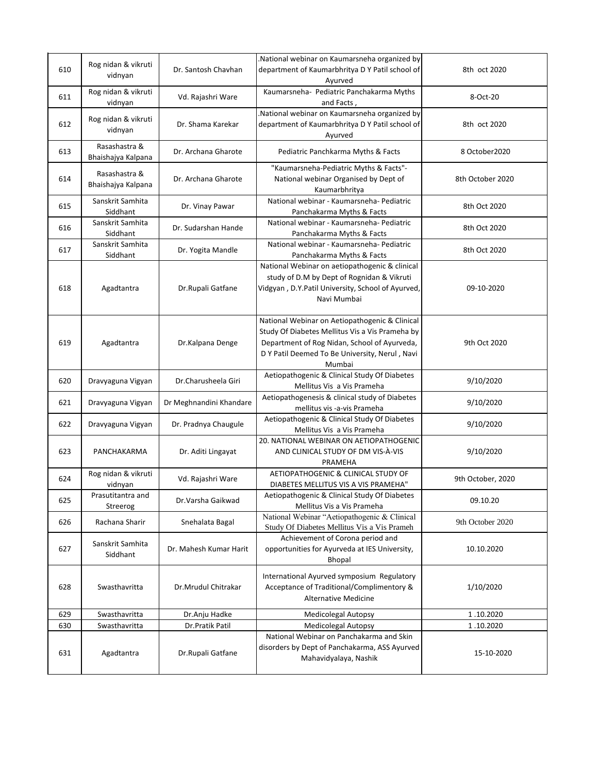| 610 | Rog nidan & vikruti<br>vidnyan      | Dr. Santosh Chavhan     | National webinar on Kaumarsneha organized by<br>department of Kaumarbhritya D Y Patil school of<br>Ayurved                                                                                                    | 8th oct 2020      |
|-----|-------------------------------------|-------------------------|---------------------------------------------------------------------------------------------------------------------------------------------------------------------------------------------------------------|-------------------|
| 611 | Rog nidan & vikruti<br>vidnyan      | Vd. Rajashri Ware       | Kaumarsneha- Pediatric Panchakarma Myths<br>and Facts,                                                                                                                                                        | 8-Oct-20          |
| 612 | Rog nidan & vikruti<br>vidnyan      | Dr. Shama Karekar       | National webinar on Kaumarsneha organized by<br>department of Kaumarbhritya D Y Patil school of<br>Ayurved                                                                                                    | 8th oct 2020      |
| 613 | Rasashastra &<br>Bhaishajya Kalpana | Dr. Archana Gharote     | Pediatric Panchkarma Myths & Facts                                                                                                                                                                            | 8 October 2020    |
| 614 | Rasashastra &<br>Bhaishajya Kalpana | Dr. Archana Gharote     | "Kaumarsneha-Pediatric Myths & Facts"-<br>National webinar Organised by Dept of<br>Kaumarbhritya                                                                                                              | 8th October 2020  |
| 615 | Sanskrit Samhita<br>Siddhant        | Dr. Vinay Pawar         | National webinar - Kaumarsneha- Pediatric<br>Panchakarma Myths & Facts                                                                                                                                        | 8th Oct 2020      |
| 616 | Sanskrit Samhita<br>Siddhant        | Dr. Sudarshan Hande     | National webinar - Kaumarsneha- Pediatric<br>Panchakarma Myths & Facts                                                                                                                                        | 8th Oct 2020      |
| 617 | Sanskrit Samhita<br>Siddhant        | Dr. Yogita Mandle       | National webinar - Kaumarsneha- Pediatric<br>Panchakarma Myths & Facts                                                                                                                                        | 8th Oct 2020      |
| 618 | Agadtantra                          | Dr.Rupali Gatfane       | National Webinar on aetiopathogenic & clinical<br>study of D.M by Dept of Rognidan & Vikruti<br>Vidgyan, D.Y.Patil University, School of Ayurved,<br>Navi Mumbai                                              | 09-10-2020        |
| 619 | Agadtantra                          | Dr.Kalpana Denge        | National Webinar on Aetiopathogenic & Clinical<br>Study Of Diabetes Mellitus Vis a Vis Prameha by<br>Department of Rog Nidan, School of Ayurveda,<br>D Y Patil Deemed To Be University, Nerul, Navi<br>Mumbai | 9th Oct 2020      |
| 620 | Dravyaguna Vigyan                   | Dr.Charusheela Giri     | Aetiopathogenic & Clinical Study Of Diabetes<br>Mellitus Vis a Vis Prameha                                                                                                                                    | 9/10/2020         |
| 621 | Dravyaguna Vigyan                   | Dr Meghnandini Khandare | Aetiopathogenesis & clinical study of Diabetes<br>mellitus vis -a-vis Prameha                                                                                                                                 | 9/10/2020         |
| 622 | Dravyaguna Vigyan                   | Dr. Pradnya Chaugule    | Aetiopathogenic & Clinical Study Of Diabetes<br>Mellitus Vis a Vis Prameha                                                                                                                                    | 9/10/2020         |
| 623 | PANCHAKARMA                         | Dr. Aditi Lingayat      | 20. NATIONAL WEBINAR ON AETIOPATHOGENIC<br>AND CLINICAL STUDY OF DM VIS-A-VIS<br>PRAMEHA                                                                                                                      | 9/10/2020         |
| 624 | Rog nidan & vikruti<br>vidnyan      | Vd. Rajashri Ware       | AETIOPATHOGENIC & CLINICAL STUDY OF<br>DIABETES MELLITUS VIS A VIS PRAMEHA"                                                                                                                                   | 9th October, 2020 |
| 625 | Prasutitantra and<br>Streerog       | Dr.Varsha Gaikwad       | Aetiopathogenic & Clinical Study Of Diabetes<br>Mellitus Vis a Vis Prameha                                                                                                                                    | 09.10.20          |
| 626 | Rachana Sharir                      | Snehalata Bagal         | National Webinar "Aetiopathogenic & Clinical<br>Study Of Diabetes Mellitus Vis a Vis Prameh                                                                                                                   | 9th October 2020  |
| 627 | Sanskrit Samhita<br>Siddhant        | Dr. Mahesh Kumar Harit  | Achievement of Corona period and<br>opportunities for Ayurveda at IES University,<br>Bhopal                                                                                                                   | 10.10.2020        |
| 628 | Swasthavritta                       | Dr.Mrudul Chitrakar     | International Ayurved symposium Regulatory<br>Acceptance of Traditional/Complimentory &<br>Alternative Medicine                                                                                               | 1/10/2020         |
| 629 | Swasthavritta                       | Dr.Anju Hadke           | <b>Medicolegal Autopsy</b>                                                                                                                                                                                    | 1.10.2020         |
| 630 | Swasthavritta                       | Dr.Pratik Patil         | Medicolegal Autopsy                                                                                                                                                                                           | 1.10.2020         |
| 631 | Agadtantra                          | Dr.Rupali Gatfane       | National Webinar on Panchakarma and Skin<br>disorders by Dept of Panchakarma, ASS Ayurved<br>Mahavidyalaya, Nashik                                                                                            | 15-10-2020        |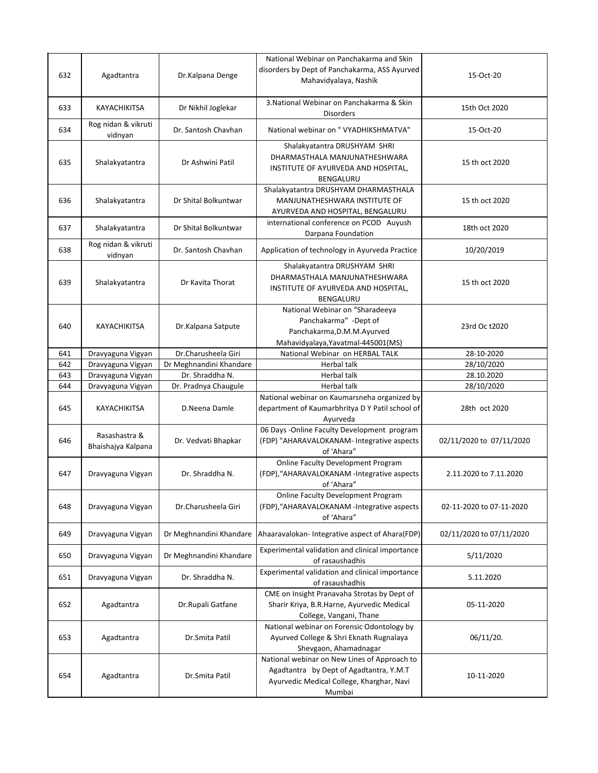| 632 | Agadtantra                          | Dr.Kalpana Denge        | National Webinar on Panchakarma and Skin<br>disorders by Dept of Panchakarma, ASS Ayurved<br>Mahavidyalaya, Nashik                             | 15-Oct-20                |
|-----|-------------------------------------|-------------------------|------------------------------------------------------------------------------------------------------------------------------------------------|--------------------------|
| 633 | KAYACHIKITSA                        | Dr Nikhil Joglekar      | 3. National Webinar on Panchakarma & Skin<br><b>Disorders</b>                                                                                  | 15th Oct 2020            |
| 634 | Rog nidan & vikruti<br>vidnyan      | Dr. Santosh Chavhan     | National webinar on " VYADHIKSHMATVA"                                                                                                          | 15-Oct-20                |
| 635 | Shalakyatantra                      | Dr Ashwini Patil        | Shalakyatantra DRUSHYAM SHRI<br>DHARMASTHALA MANJUNATHESHWARA<br>INSTITUTE OF AYURVEDA AND HOSPITAL,<br>BENGALURU                              | 15 th oct 2020           |
| 636 | Shalakyatantra                      | Dr Shital Bolkuntwar    | Shalakyatantra DRUSHYAM DHARMASTHALA<br>MANJUNATHESHWARA INSTITUTE OF<br>AYURVEDA AND HOSPITAL, BENGALURU                                      | 15 th oct 2020           |
| 637 | Shalakyatantra                      | Dr Shital Bolkuntwar    | international conference on PCOD Auyush<br>Darpana Foundation                                                                                  | 18th oct 2020            |
| 638 | Rog nidan & vikruti<br>vidnyan      | Dr. Santosh Chavhan     | Application of technology in Ayurveda Practice                                                                                                 | 10/20/2019               |
| 639 | Shalakyatantra                      | Dr Kavita Thorat        | Shalakyatantra DRUSHYAM SHRI<br>DHARMASTHALA MANJUNATHESHWARA<br>INSTITUTE OF AYURVEDA AND HOSPITAL,<br><b>BENGALURU</b>                       | 15 th oct 2020           |
| 640 | KAYACHIKITSA                        | Dr.Kalpana Satpute      | National Webinar on "Sharadeeya<br>Panchakarma" -Dept of<br>Panchakarma, D.M.M. Ayurved<br>Mahavidyalaya, Yavatmal-445001 (MS)                 | 23rd Oc t2020            |
| 641 | Dravyaguna Vigyan                   | Dr.Charusheela Giri     | National Webinar on HERBAL TALK                                                                                                                | 28-10-2020               |
| 642 | Dravyaguna Vigyan                   | Dr Meghnandini Khandare | Herbal talk                                                                                                                                    | 28/10/2020               |
| 643 | Dravyaguna Vigyan                   | Dr. Shraddha N.         | Herbal talk                                                                                                                                    | 28.10.2020               |
| 644 | Dravyaguna Vigyan                   | Dr. Pradnya Chaugule    | Herbal talk                                                                                                                                    | 28/10/2020               |
| 645 | KAYACHIKITSA                        | D.Neena Damle           | National webinar on Kaumarsneha organized by<br>department of Kaumarbhritya D Y Patil school of<br>Ayurveda                                    | 28th oct 2020            |
| 646 | Rasashastra &<br>Bhaishajya Kalpana | Dr. Vedvati Bhapkar     | 06 Days -Online Faculty Development program<br>(FDP) "AHARAVALOKANAM- Integrative aspects<br>of 'Ahara"                                        | 02/11/2020 to 07/11/2020 |
| 647 | Dravyaguna Vigyan                   | Dr. Shraddha N.         | <b>Online Faculty Development Program</b><br>(FDP), "AHARAVALOKANAM -Integrative aspects<br>of 'Ahara"                                         | 2.11.2020 to 7.11.2020   |
| 648 | Dravyaguna Vigyan                   | Dr.Charusheela Giri     | Online Faculty Development Program<br>(FDP), "AHARAVALOKANAM -Integrative aspects<br>of 'Ahara"                                                | 02-11-2020 to 07-11-2020 |
| 649 | Dravyaguna Vigyan                   | Dr Meghnandini Khandare | Ahaaravalokan- Integrative aspect of Ahara(FDP)                                                                                                | 02/11/2020 to 07/11/2020 |
| 650 | Dravyaguna Vigyan                   | Dr Meghnandini Khandare | Experimental validation and clinical importance<br>of rasaushadhis                                                                             | 5/11/2020                |
| 651 | Dravyaguna Vigyan                   | Dr. Shraddha N.         | Experimental validation and clinical importance<br>of rasaushadhis                                                                             | 5.11.2020                |
| 652 | Agadtantra                          | Dr.Rupali Gatfane       | CME on Insight Pranavaha Strotas by Dept of<br>Sharir Kriya, B.R.Harne, Ayurvedic Medical<br>College, Vangani, Thane                           | 05-11-2020               |
| 653 | Agadtantra                          | Dr.Smita Patil          | National webinar on Forensic Odontology by<br>Ayurved College & Shri Eknath Rugnalaya<br>Shevgaon, Ahamadnagar                                 | 06/11/20.                |
| 654 | Agadtantra                          | Dr.Smita Patil          | National webinar on New Lines of Approach to<br>Agadtantra by Dept of Agadtantra, Y.M.T<br>Ayurvedic Medical College, Kharghar, Navi<br>Mumbai | 10-11-2020               |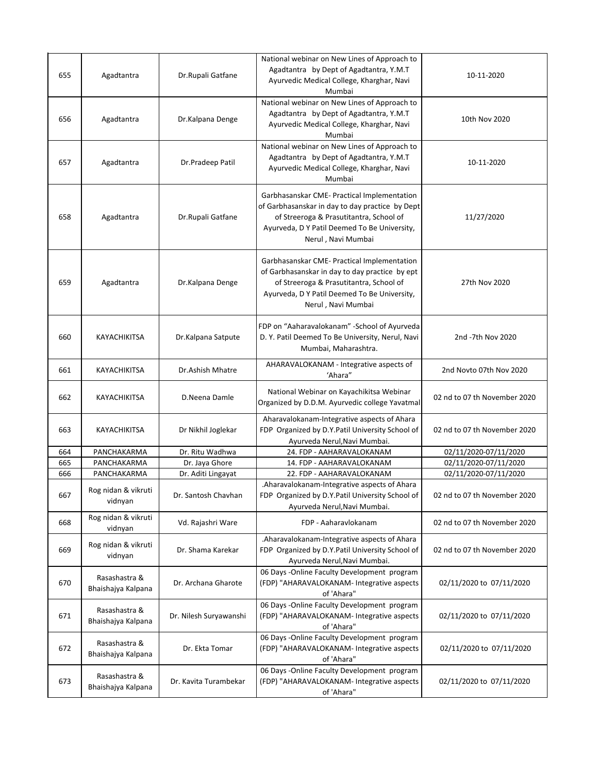| 655 | Agadtantra                          | Dr.Rupali Gatfane      | National webinar on New Lines of Approach to<br>Agadtantra by Dept of Agadtantra, Y.M.T<br>Ayurvedic Medical College, Kharghar, Navi<br>Mumbai                                                                  | 10-11-2020                   |
|-----|-------------------------------------|------------------------|-----------------------------------------------------------------------------------------------------------------------------------------------------------------------------------------------------------------|------------------------------|
| 656 | Agadtantra                          | Dr.Kalpana Denge       | National webinar on New Lines of Approach to<br>Agadtantra by Dept of Agadtantra, Y.M.T<br>Ayurvedic Medical College, Kharghar, Navi<br>Mumbai                                                                  | 10th Nov 2020                |
| 657 | Agadtantra                          | Dr.Pradeep Patil       | National webinar on New Lines of Approach to<br>Agadtantra by Dept of Agadtantra, Y.M.T<br>Ayurvedic Medical College, Kharghar, Navi<br>Mumbai                                                                  | 10-11-2020                   |
| 658 | Agadtantra                          | Dr.Rupali Gatfane      | Garbhasanskar CME- Practical Implementation<br>of Garbhasanskar in day to day practice by Dept<br>of Streeroga & Prasutitantra, School of<br>Ayurveda, D Y Patil Deemed To Be University,<br>Nerul, Navi Mumbai | 11/27/2020                   |
| 659 | Agadtantra                          | Dr.Kalpana Denge       | Garbhasanskar CME- Practical Implementation<br>of Garbhasanskar in day to day practice by ept<br>of Streeroga & Prasutitantra, School of<br>Ayurveda, D Y Patil Deemed To Be University,<br>Nerul, Navi Mumbai  | 27th Nov 2020                |
| 660 | KAYACHIKITSA                        | Dr.Kalpana Satpute     | FDP on "Aaharavalokanam" - School of Ayurveda<br>D. Y. Patil Deemed To Be University, Nerul, Navi<br>Mumbai, Maharashtra.                                                                                       | 2nd -7th Nov 2020            |
| 661 | KAYACHIKITSA                        | Dr.Ashish Mhatre       | AHARAVALOKANAM - Integrative aspects of<br>'Ahara"                                                                                                                                                              | 2nd Novto 07th Nov 2020      |
| 662 | KAYACHIKITSA                        | D.Neena Damle          | National Webinar on Kayachikitsa Webinar<br>Organized by D.D.M. Ayurvedic college Yavatmal                                                                                                                      | 02 nd to 07 th November 2020 |
| 663 | KAYACHIKITSA                        | Dr Nikhil Joglekar     | Aharavalokanam-Integrative aspects of Ahara<br>FDP Organized by D.Y.Patil University School of<br>Ayurveda Nerul, Navi Mumbai.                                                                                  | 02 nd to 07 th November 2020 |
| 664 | PANCHAKARMA                         | Dr. Ritu Wadhwa        | 24. FDP - AAHARAVALOKANAM                                                                                                                                                                                       | 02/11/2020-07/11/2020        |
| 665 | PANCHAKARMA                         | Dr. Jaya Ghore         | 14. FDP - AAHARAVALOKANAM                                                                                                                                                                                       | 02/11/2020-07/11/2020        |
| 666 | PANCHAKARMA                         | Dr. Aditi Lingayat     | 22. FDP - AAHARAVALOKANAM                                                                                                                                                                                       | 02/11/2020-07/11/2020        |
| 667 | Rog nidan & vikruti<br>vidnyan      | Dr. Santosh Chavhan    | Aharavalokanam-Integrative aspects of Ahara.<br>FDP Organized by D.Y.Patil University School of<br>Ayurveda Nerul, Navi Mumbai.                                                                                 | 02 nd to 07 th November 2020 |
| 668 | Rog nidan & vikruti<br>vidnyan      | Vd. Rajashri Ware      | FDP - Aaharavlokanam                                                                                                                                                                                            | 02 nd to 07 th November 2020 |
| 669 | Rog nidan & vikruti<br>vidnyan      | Dr. Shama Karekar      | .Aharavalokanam-Integrative aspects of Ahara<br>FDP Organized by D.Y.Patil University School of<br>Ayurveda Nerul, Navi Mumbai.                                                                                 | 02 nd to 07 th November 2020 |
| 670 | Rasashastra &<br>Bhaishajya Kalpana | Dr. Archana Gharote    | 06 Days -Online Faculty Development program<br>(FDP) "AHARAVALOKANAM- Integrative aspects<br>of 'Ahara"                                                                                                         | 02/11/2020 to 07/11/2020     |
| 671 | Rasashastra &<br>Bhaishajya Kalpana | Dr. Nilesh Suryawanshi | 06 Days -Online Faculty Development program<br>(FDP) "AHARAVALOKANAM- Integrative aspects<br>of 'Ahara"                                                                                                         | 02/11/2020 to 07/11/2020     |
| 672 | Rasashastra &<br>Bhaishajya Kalpana | Dr. Ekta Tomar         | 06 Days -Online Faculty Development program<br>(FDP) "AHARAVALOKANAM- Integrative aspects<br>of 'Ahara"                                                                                                         | 02/11/2020 to 07/11/2020     |
| 673 | Rasashastra &<br>Bhaishajya Kalpana | Dr. Kavita Turambekar  | 06 Days -Online Faculty Development program<br>(FDP) "AHARAVALOKANAM- Integrative aspects<br>of 'Ahara"                                                                                                         | 02/11/2020 to 07/11/2020     |
|     |                                     |                        |                                                                                                                                                                                                                 |                              |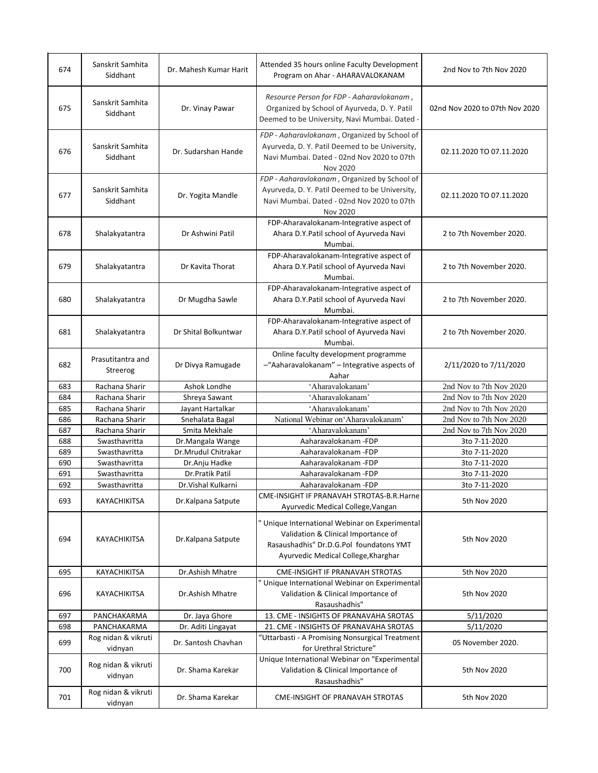| 674        | Sanskrit Samhita<br>Siddhant                          | Dr. Mahesh Kumar Harit                    | Attended 35 hours online Faculty Development<br>Program on Ahar - AHARAVALOKANAM                                                                                        | 2nd Nov to 7th Nov 2020        |
|------------|-------------------------------------------------------|-------------------------------------------|-------------------------------------------------------------------------------------------------------------------------------------------------------------------------|--------------------------------|
| 675        | Sanskrit Samhita<br>Siddhant                          | Dr. Vinay Pawar                           | Resource Person for FDP - Aaharavlokanam,<br>Organized by School of Ayurveda, D.Y. Patil<br>Deemed to be University, Navi Mumbai. Dated -                               | 02nd Nov 2020 to 07th Nov 2020 |
| 676        | Sanskrit Samhita<br>Siddhant                          | Dr. Sudarshan Hande                       | FDP - Aaharavlokanam, Organized by School of<br>Ayurveda, D. Y. Patil Deemed to be University,<br>Navi Mumbai. Dated - 02nd Nov 2020 to 07th<br>Nov 2020                | 02.11.2020 TO 07.11.2020       |
| 677        | Sanskrit Samhita<br>Siddhant                          | Dr. Yogita Mandle                         | FDP - Aaharavlokanam, Organized by School of<br>Ayurveda, D. Y. Patil Deemed to be University,<br>Navi Mumbai. Dated - 02nd Nov 2020 to 07th<br><b>Nov 2020</b>         | 02.11.2020 TO 07.11.2020       |
| 678        | Shalakyatantra                                        | Dr Ashwini Patil                          | FDP-Aharavalokanam-Integrative aspect of<br>Ahara D.Y.Patil school of Ayurveda Navi<br>Mumbai.                                                                          | 2 to 7th November 2020.        |
| 679        | Shalakyatantra                                        | Dr Kavita Thorat                          | FDP-Aharavalokanam-Integrative aspect of<br>Ahara D.Y.Patil school of Ayurveda Navi<br>Mumbai.                                                                          | 2 to 7th November 2020.        |
| 680        | Shalakyatantra                                        | Dr Mugdha Sawle                           | FDP-Aharavalokanam-Integrative aspect of<br>Ahara D.Y.Patil school of Ayurveda Navi<br>Mumbai.                                                                          | 2 to 7th November 2020.        |
| 681        | Shalakyatantra                                        | Dr Shital Bolkuntwar                      | FDP-Aharavalokanam-Integrative aspect of<br>Ahara D.Y.Patil school of Ayurveda Navi<br>Mumbai.                                                                          | 2 to 7th November 2020.        |
| 682        | Prasutitantra and<br>Streerog                         | Dr Divya Ramugade                         | Online faculty development programme<br>-"Aaharavalokanam" - Integrative aspects of<br>Aahar                                                                            | 2/11/2020 to 7/11/2020         |
| 683        | Rachana Sharir                                        | Ashok Londhe                              | 'Aharavalokanam'                                                                                                                                                        | 2nd Nov to 7th Nov 2020        |
|            |                                                       |                                           |                                                                                                                                                                         |                                |
| 684        | Rachana Sharir                                        | Shreya Sawant                             | 'Aharavalokanam'                                                                                                                                                        | 2nd Nov to 7th Nov 2020        |
| 685        | Rachana Sharir                                        | Jayant Hartalkar                          | 'Aharavalokanam'                                                                                                                                                        | 2nd Nov to 7th Nov 2020        |
| 686        | Rachana Sharir                                        | Snehalata Bagal                           | National Webinar on Aharavalokanam'                                                                                                                                     | 2nd Nov to 7th Nov 2020        |
| 687        | Rachana Sharir                                        | Smita Mekhale                             | 'Aharavalokanam'                                                                                                                                                        | 2nd Nov to 7th Nov 2020        |
| 688        | Swasthavritta                                         | Dr.Mangala Wange                          | Aaharavalokanam -FDP                                                                                                                                                    | 3to 7-11-2020                  |
| 689        | Swasthavritta                                         | Dr.Mrudul Chitrakar                       | Aaharavalokanam -FDP                                                                                                                                                    | 3to 7-11-2020                  |
| 690        | Swasthavritta                                         | Dr.Anju Hadke                             | Aaharavalokanam -FDP                                                                                                                                                    | 3to 7-11-2020                  |
| 691        | Swasthavritta                                         | Dr.Pratik Patil                           | Aaharavalokanam -FDP                                                                                                                                                    | 3to 7-11-2020                  |
| 692<br>693 | Swasthavritta<br>KAYACHIKITSA                         | Dr. Vishal Kulkarni<br>Dr.Kalpana Satpute | Aaharavalokanam -FDP<br>CME-INSIGHT IF PRANAVAH STROTAS-B.R.Harne<br>Ayurvedic Medical College, Vangan                                                                  | 3to 7-11-2020<br>5th Nov 2020  |
| 694        | <b>KAYACHIKITSA</b>                                   | Dr.Kalpana Satpute                        | " Unique International Webinar on Experimental<br>Validation & Clinical Importance of<br>Rasaushadhis" Dr.D.G.Pol foundatons YMT<br>Ayurvedic Medical College, Kharghar | 5th Nov 2020                   |
| 695        | KAYACHIKITSA                                          | Dr.Ashish Mhatre                          | <b>CME-INSIGHT IF PRANAVAH STROTAS</b>                                                                                                                                  | 5th Nov 2020                   |
| 696        | KAYACHIKITSA                                          | Dr.Ashish Mhatre                          | " Unique International Webinar on Experimental<br>Validation & Clinical Importance of<br>Rasaushadhis"                                                                  | 5th Nov 2020                   |
| 697        | PANCHAKARMA                                           | Dr. Jaya Ghore                            | 13. CME - INSIGHTS OF PRANAVAHA SROTAS                                                                                                                                  | 5/11/2020                      |
| 698        | PANCHAKARMA                                           | Dr. Aditi Lingayat                        | 21. CME - INSIGHTS OF PRANAVAHA SROTAS                                                                                                                                  | 5/11/2020                      |
| 699        | Rog nidan & vikruti<br>vidnyan                        | Dr. Santosh Chavhan                       | "Uttarbasti - A Promising Nonsurgical Treatment<br>for Urethral Stricture"                                                                                              | 05 November 2020.              |
| 700        | Rog nidan & vikruti<br>vidnyan<br>Rog nidan & vikruti | Dr. Shama Karekar                         | Unique International Webinar on "Experimental<br>Validation & Clinical Importance of<br>Rasaushadhis"                                                                   | 5th Nov 2020                   |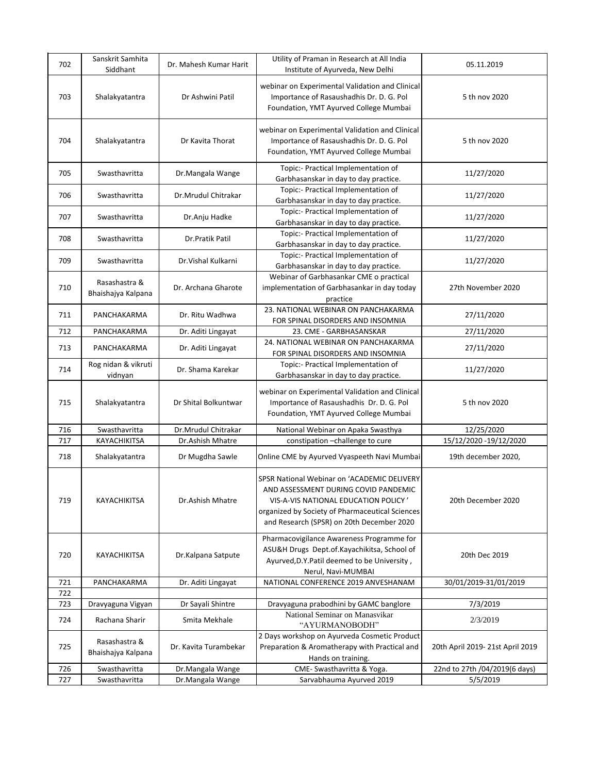| 702 | Sanskrit Samhita                    | Dr. Mahesh Kumar Harit | Utility of Praman in Research at All India                                                                                                                                                                                  | 05.11.2019                      |
|-----|-------------------------------------|------------------------|-----------------------------------------------------------------------------------------------------------------------------------------------------------------------------------------------------------------------------|---------------------------------|
| 703 | Siddhant<br>Shalakyatantra          | Dr Ashwini Patil       | Institute of Ayurveda, New Delhi<br>webinar on Experimental Validation and Clinical<br>Importance of Rasaushadhis Dr. D. G. Pol                                                                                             | 5 th nov 2020                   |
| 704 | Shalakyatantra                      | Dr Kavita Thorat       | Foundation, YMT Ayurved College Mumbai<br>webinar on Experimental Validation and Clinical<br>Importance of Rasaushadhis Dr. D. G. Pol<br>Foundation, YMT Ayurved College Mumbai                                             | 5 th nov 2020                   |
| 705 | Swasthavritta                       | Dr.Mangala Wange       | Topic:- Practical Implementation of<br>Garbhasanskar in day to day practice.                                                                                                                                                | 11/27/2020                      |
| 706 | Swasthavritta                       | Dr.Mrudul Chitrakar    | Topic:- Practical Implementation of<br>Garbhasanskar in day to day practice.                                                                                                                                                | 11/27/2020                      |
| 707 | Swasthavritta                       | Dr.Anju Hadke          | Topic:- Practical Implementation of<br>Garbhasanskar in day to day practice.                                                                                                                                                | 11/27/2020                      |
| 708 | Swasthavritta                       | Dr.Pratik Patil        | Topic:- Practical Implementation of<br>Garbhasanskar in day to day practice.                                                                                                                                                | 11/27/2020                      |
| 709 | Swasthavritta                       | Dr. Vishal Kulkarni    | Topic:- Practical Implementation of<br>Garbhasanskar in day to day practice.                                                                                                                                                | 11/27/2020                      |
| 710 | Rasashastra &<br>Bhaishajya Kalpana | Dr. Archana Gharote    | Webinar of Garbhasankar CME o practical<br>implementation of Garbhasankar in day today<br>practice                                                                                                                          | 27th November 2020              |
| 711 | PANCHAKARMA                         | Dr. Ritu Wadhwa        | 23. NATIONAL WEBINAR ON PANCHAKARMA<br>FOR SPINAL DISORDERS AND INSOMNIA                                                                                                                                                    | 27/11/2020                      |
| 712 | PANCHAKARMA                         | Dr. Aditi Lingayat     | 23. CME - GARBHASANSKAR                                                                                                                                                                                                     | 27/11/2020                      |
| 713 | PANCHAKARMA                         | Dr. Aditi Lingayat     | 24. NATIONAL WEBINAR ON PANCHAKARMA<br>FOR SPINAL DISORDERS AND INSOMNIA                                                                                                                                                    | 27/11/2020                      |
| 714 | Rog nidan & vikruti<br>vidnyan      | Dr. Shama Karekar      | Topic:- Practical Implementation of<br>Garbhasanskar in day to day practice.                                                                                                                                                | 11/27/2020                      |
| 715 | Shalakyatantra                      | Dr Shital Bolkuntwar   | webinar on Experimental Validation and Clinical<br>Importance of Rasaushadhis Dr. D. G. Pol<br>Foundation, YMT Ayurved College Mumbai                                                                                       | 5 th nov 2020                   |
| 716 | Swasthavritta                       | Dr.Mrudul Chitrakar    | National Webinar on Apaka Swasthya                                                                                                                                                                                          | 12/25/2020                      |
| 717 | KAYACHIKITSA                        | Dr.Ashish Mhatre       | constipation -challenge to cure                                                                                                                                                                                             | 15/12/2020 -19/12/2020          |
| 718 | Shalakyatantra                      | Dr Mugdha Sawle        | Online CME by Ayurved Vyaspeeth Navi Mumbai                                                                                                                                                                                 | 19th december 2020,             |
| 719 | KAYACHIKITSA                        | Dr.Ashish Mhatre       | SPSR National Webinar on 'ACADEMIC DELIVERY<br>AND ASSESSMENT DURING COVID PANDEMIC<br>VIS-A-VIS NATIONAL EDUCATION POLICY'<br>organized by Society of Pharmaceutical Sciences<br>and Research (SPSR) on 20th December 2020 | 20th December 2020              |
| 720 | KAYACHIKITSA                        | Dr.Kalpana Satpute     | Pharmacovigilance Awareness Programme for<br>ASU&H Drugs Dept.of.Kayachikitsa, School of<br>Ayurved, D.Y. Patil deemed to be University,<br>Nerul, Navi-MUMBAI                                                              | 20th Dec 2019                   |
| 721 | PANCHAKARMA                         | Dr. Aditi Lingayat     | NATIONAL CONFERENCE 2019 ANVESHANAM                                                                                                                                                                                         | 30/01/2019-31/01/2019           |
| 722 |                                     |                        |                                                                                                                                                                                                                             |                                 |
| 723 | Dravyaguna Vigyan                   | Dr Sayali Shintre      | Dravyaguna prabodhini by GAMC banglore                                                                                                                                                                                      | 7/3/2019                        |
| 724 | Rachana Sharir                      | Smita Mekhale          | National Seminar on Manasvikar<br>"AYURMANOBODH"                                                                                                                                                                            | 2/3/2019                        |
| 725 | Rasashastra &<br>Bhaishajya Kalpana | Dr. Kavita Turambekar  | 2 Days workshop on Ayurveda Cosmetic Product<br>Preparation & Aromatherapy with Practical and<br>Hands on training.                                                                                                         | 20th April 2019-21st April 2019 |
| 726 | Swasthavritta                       | Dr.Mangala Wange       | CME- Swasthavritta & Yoga.                                                                                                                                                                                                  | 22nd to 27th /04/2019(6 days)   |
| 727 | Swasthavritta                       | Dr.Mangala Wange       | Sarvabhauma Ayurved 2019                                                                                                                                                                                                    | 5/5/2019                        |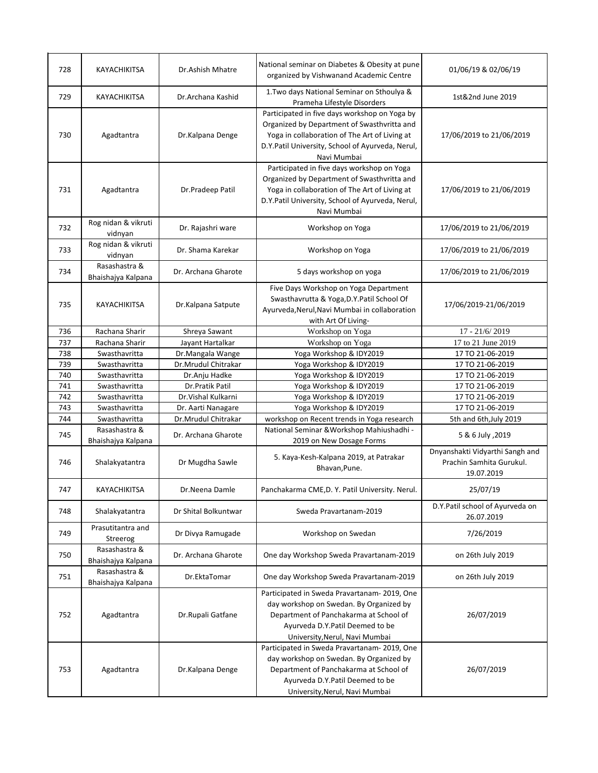| 728 | KAYACHIKITSA                        | Dr.Ashish Mhatre     | National seminar on Diabetes & Obesity at pune<br>organized by Vishwanand Academic Centre                                                                                                                        | 01/06/19 & 02/06/19                                                       |
|-----|-------------------------------------|----------------------|------------------------------------------------------------------------------------------------------------------------------------------------------------------------------------------------------------------|---------------------------------------------------------------------------|
| 729 | KAYACHIKITSA                        | Dr.Archana Kashid    | 1. Two days National Seminar on Sthoulya &<br>Prameha Lifestyle Disorders                                                                                                                                        | 1st&2nd June 2019                                                         |
| 730 | Agadtantra                          | Dr.Kalpana Denge     | Participated in five days workshop on Yoga by<br>Organized by Department of Swasthvritta and<br>Yoga in collaboration of The Art of Living at<br>D.Y.Patil University, School of Ayurveda, Nerul,<br>Navi Mumbai | 17/06/2019 to 21/06/2019                                                  |
| 731 | Agadtantra                          | Dr.Pradeep Patil     | Participated in five days workshop on Yoga<br>Organized by Department of Swasthvritta and<br>Yoga in collaboration of The Art of Living at<br>D.Y.Patil University, School of Ayurveda, Nerul,<br>Navi Mumbai    | 17/06/2019 to 21/06/2019                                                  |
| 732 | Rog nidan & vikruti<br>vidnyan      | Dr. Rajashri ware    | Workshop on Yoga                                                                                                                                                                                                 | 17/06/2019 to 21/06/2019                                                  |
| 733 | Rog nidan & vikruti<br>vidnyan      | Dr. Shama Karekar    | Workshop on Yoga                                                                                                                                                                                                 | 17/06/2019 to 21/06/2019                                                  |
| 734 | Rasashastra &<br>Bhaishajya Kalpana | Dr. Archana Gharote  | 5 days workshop on yoga                                                                                                                                                                                          | 17/06/2019 to 21/06/2019                                                  |
| 735 | KAYACHIKITSA                        | Dr.Kalpana Satpute   | Five Days Workshop on Yoga Department<br>Swasthavrutta & Yoga, D.Y. Patil School Of<br>Ayurveda, Nerul, Navi Mumbai in collaboration<br>with Art Of Living-                                                      | 17/06/2019-21/06/2019                                                     |
| 736 | Rachana Sharir                      | Shreya Sawant        | Workshop on Yoga                                                                                                                                                                                                 | 17 - 21/6/2019                                                            |
| 737 | Rachana Sharir                      | Jayant Hartalkar     | Workshop on Yoga                                                                                                                                                                                                 | 17 to 21 June 2019                                                        |
| 738 | Swasthavritta                       | Dr.Mangala Wange     | Yoga Workshop & IDY2019                                                                                                                                                                                          | 17 TO 21-06-2019                                                          |
| 739 | Swasthavritta                       | Dr.Mrudul Chitrakar  | Yoga Workshop & IDY2019                                                                                                                                                                                          | 17 TO 21-06-2019                                                          |
| 740 | Swasthavritta                       | Dr.Anju Hadke        | Yoga Workshop & IDY2019                                                                                                                                                                                          | 17 TO 21-06-2019                                                          |
| 741 | Swasthavritta                       | Dr.Pratik Patil      | Yoga Workshop & IDY2019                                                                                                                                                                                          | 17 TO 21-06-2019                                                          |
| 742 | Swasthavritta                       | Dr. Vishal Kulkarni  | Yoga Workshop & IDY2019                                                                                                                                                                                          | 17 TO 21-06-2019                                                          |
| 743 | Swasthavritta                       | Dr. Aarti Nanagare   | Yoga Workshop & IDY2019                                                                                                                                                                                          | 17 TO 21-06-2019                                                          |
| 744 | Swasthavritta                       | Dr.Mrudul Chitrakar  | workshop on Recent trends in Yoga research                                                                                                                                                                       | 5th and 6th, July 2019                                                    |
| 745 | Rasashastra &<br>Bhaishajya Kalpana | Dr. Archana Gharote  | National Seminar & Workshop Mahiushadhi -<br>2019 on New Dosage Forms                                                                                                                                            | 5 & 6 July , 2019                                                         |
| 746 | Shalakyatantra                      | Dr Mugdha Sawle      | 5. Kaya-Kesh-Kalpana 2019, at Patrakar<br>Bhavan, Pune.                                                                                                                                                          | Dnyanshakti Vidyarthi Sangh and<br>Prachin Samhita Gurukul.<br>19.07.2019 |
| 747 | KAYACHIKITSA                        | Dr.Neena Damle       | Panchakarma CME, D. Y. Patil University. Nerul.                                                                                                                                                                  | 25/07/19                                                                  |
| 748 | Shalakyatantra                      | Dr Shital Bolkuntwar | Sweda Pravartanam-2019                                                                                                                                                                                           | D.Y.Patil school of Ayurveda on<br>26.07.2019                             |
| 749 | Prasutitantra and<br>Streerog       | Dr Divya Ramugade    | Workshop on Swedan                                                                                                                                                                                               | 7/26/2019                                                                 |
| 750 | Rasashastra &<br>Bhaishajya Kalpana | Dr. Archana Gharote  | One day Workshop Sweda Pravartanam-2019                                                                                                                                                                          | on 26th July 2019                                                         |
| 751 | Rasashastra &<br>Bhaishajya Kalpana | Dr.EktaTomar         | One day Workshop Sweda Pravartanam-2019                                                                                                                                                                          | on 26th July 2019                                                         |
| 752 | Agadtantra                          | Dr.Rupali Gatfane    | Participated in Sweda Pravartanam-2019, One<br>day workshop on Swedan. By Organized by<br>Department of Panchakarma at School of<br>Ayurveda D.Y.Patil Deemed to be<br>University, Nerul, Navi Mumbai            | 26/07/2019                                                                |
| 753 | Agadtantra                          | Dr.Kalpana Denge     | Participated in Sweda Pravartanam-2019, One<br>day workshop on Swedan. By Organized by<br>Department of Panchakarma at School of<br>Ayurveda D.Y.Patil Deemed to be<br>University, Nerul, Navi Mumbai            | 26/07/2019                                                                |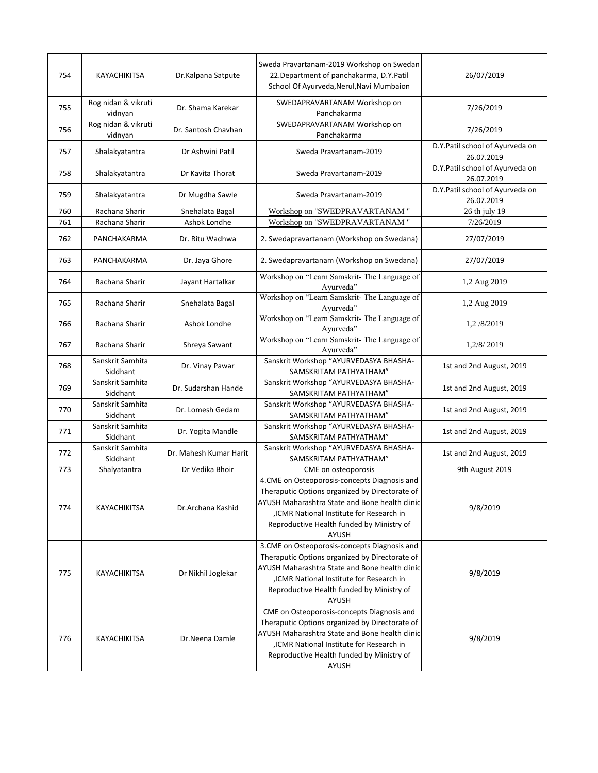| 754 | KAYACHIKITSA                   | Dr.Kalpana Satpute     | Sweda Pravartanam-2019 Workshop on Swedan<br>22. Department of panchakarma, D.Y. Patil<br>School Of Ayurveda, Nerul, Navi Mumbaion                                                                                                                       | 26/07/2019                                    |
|-----|--------------------------------|------------------------|----------------------------------------------------------------------------------------------------------------------------------------------------------------------------------------------------------------------------------------------------------|-----------------------------------------------|
| 755 | Rog nidan & vikruti<br>vidnyan | Dr. Shama Karekar      | SWEDAPRAVARTANAM Workshop on<br>Panchakarma                                                                                                                                                                                                              | 7/26/2019                                     |
| 756 | Rog nidan & vikruti<br>vidnyan | Dr. Santosh Chavhan    | SWEDAPRAVARTANAM Workshop on<br>Panchakarma                                                                                                                                                                                                              | 7/26/2019                                     |
| 757 | Shalakyatantra                 | Dr Ashwini Patil       | Sweda Pravartanam-2019                                                                                                                                                                                                                                   | D.Y.Patil school of Ayurveda on<br>26.07.2019 |
| 758 | Shalakyatantra                 | Dr Kavita Thorat       | Sweda Pravartanam-2019                                                                                                                                                                                                                                   | D.Y.Patil school of Ayurveda on<br>26.07.2019 |
| 759 | Shalakyatantra                 | Dr Mugdha Sawle        | Sweda Pravartanam-2019                                                                                                                                                                                                                                   | D.Y.Patil school of Ayurveda on<br>26.07.2019 |
| 760 | Rachana Sharir                 | Snehalata Bagal        | Workshop on "SWEDPRAVARTANAM "                                                                                                                                                                                                                           | 26 th july 19                                 |
| 761 | Rachana Sharir                 | Ashok Londhe           | Workshop on "SWEDPRAVARTANAM "                                                                                                                                                                                                                           | 7/26/2019                                     |
| 762 | PANCHAKARMA                    | Dr. Ritu Wadhwa        | 2. Swedapravartanam (Workshop on Swedana)                                                                                                                                                                                                                | 27/07/2019                                    |
| 763 | PANCHAKARMA                    | Dr. Jaya Ghore         | 2. Swedapravartanam (Workshop on Swedana)                                                                                                                                                                                                                | 27/07/2019                                    |
| 764 | Rachana Sharir                 | Jayant Hartalkar       | Workshop on "Learn Samskrit- The Language of<br>Ayurveda"                                                                                                                                                                                                | 1,2 Aug 2019                                  |
| 765 | Rachana Sharir                 | Snehalata Bagal        | Workshop on "Learn Samskrit- The Language of<br>Ayurveda"                                                                                                                                                                                                | 1,2 Aug 2019                                  |
| 766 | Rachana Sharir                 | Ashok Londhe           | Workshop on "Learn Samskrit- The Language of<br>Ayurveda"                                                                                                                                                                                                | 1,2/8/2019                                    |
| 767 | Rachana Sharir                 | Shreya Sawant          | Workshop on "Learn Samskrit- The Language of<br>Ayurveda"                                                                                                                                                                                                | 1,2/8/2019                                    |
| 768 | Sanskrit Samhita<br>Siddhant   | Dr. Vinay Pawar        | Sanskrit Workshop "AYURVEDASYA BHASHA-<br>SAMSKRITAM PATHYATHAM"                                                                                                                                                                                         | 1st and 2nd August, 2019                      |
| 769 | Sanskrit Samhita<br>Siddhant   | Dr. Sudarshan Hande    | Sanskrit Workshop "AYURVEDASYA BHASHA-<br>SAMSKRITAM PATHYATHAM"                                                                                                                                                                                         | 1st and 2nd August, 2019                      |
| 770 | Sanskrit Samhita<br>Siddhant   | Dr. Lomesh Gedam       | Sanskrit Workshop "AYURVEDASYA BHASHA-<br>SAMSKRITAM PATHYATHAM"                                                                                                                                                                                         | 1st and 2nd August, 2019                      |
| 771 | Sanskrit Samhita<br>Siddhant   | Dr. Yogita Mandle      | Sanskrit Workshop "AYURVEDASYA BHASHA-<br>SAMSKRITAM PATHYATHAM"                                                                                                                                                                                         | 1st and 2nd August, 2019                      |
| 772 | Sanskrit Samhita<br>Siddhant   | Dr. Mahesh Kumar Harit | Sanskrit Workshop "AYURVEDASYA BHASHA-<br>SAMSKRITAM PATHYATHAM"                                                                                                                                                                                         | 1st and 2nd August, 2019                      |
| 773 | Shalyatantra                   | Dr Vedika Bhoir        | CME on osteoporosis                                                                                                                                                                                                                                      | 9th August 2019                               |
| 774 | <b>KAYACHIKITSA</b>            | Dr.Archana Kashid      | 4.CME on Osteoporosis-concepts Diagnosis and<br>Theraputic Options organized by Directorate of<br>AYUSH Maharashtra State and Bone health clinic<br>, ICMR National Institute for Research in<br>Reproductive Health funded by Ministry of<br>AYUSH      | 9/8/2019                                      |
| 775 | KAYACHIKITSA                   | Dr Nikhil Joglekar     | 3.CME on Osteoporosis-concepts Diagnosis and<br>Theraputic Options organized by Directorate of<br>AYUSH Maharashtra State and Bone health clinic<br>ICMR National Institute for Research in<br>Reproductive Health funded by Ministry of<br><b>AYUSH</b> | 9/8/2019                                      |
| 776 | KAYACHIKITSA                   | Dr.Neena Damle         | CME on Osteoporosis-concepts Diagnosis and<br>Theraputic Options organized by Directorate of<br>AYUSH Maharashtra State and Bone health clinic<br>ICMR National Institute for Research in<br>Reproductive Health funded by Ministry of<br>AYUSH          | 9/8/2019                                      |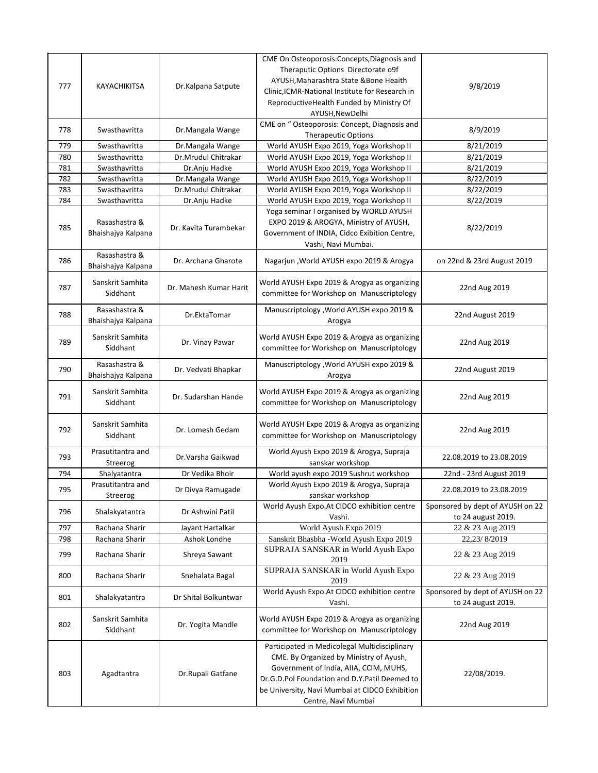| 777 | KAYACHIKITSA                        | Dr.Kalpana Satpute     | CME On Osteoporosis: Concepts, Diagnosis and<br>Theraputic Options Directorate o9f<br>AYUSH, Maharashtra State & Bone Heaith<br>Clinic, ICMR-National Institute for Research in<br>ReproductiveHealth Funded by Ministry Of<br>AYUSH, New Delhi              | 9/8/2019                                               |
|-----|-------------------------------------|------------------------|--------------------------------------------------------------------------------------------------------------------------------------------------------------------------------------------------------------------------------------------------------------|--------------------------------------------------------|
| 778 | Swasthavritta                       | Dr.Mangala Wange       | CME on " Osteoporosis: Concept, Diagnosis and<br><b>Therapeutic Options</b>                                                                                                                                                                                  | 8/9/2019                                               |
| 779 | Swasthavritta                       | Dr.Mangala Wange       | World AYUSH Expo 2019, Yoga Workshop II                                                                                                                                                                                                                      | 8/21/2019                                              |
| 780 | Swasthavritta                       | Dr.Mrudul Chitrakar    | World AYUSH Expo 2019, Yoga Workshop II                                                                                                                                                                                                                      | 8/21/2019                                              |
| 781 | Swasthavritta                       | Dr.Anju Hadke          | World AYUSH Expo 2019, Yoga Workshop II                                                                                                                                                                                                                      | 8/21/2019                                              |
| 782 | Swasthavritta                       | Dr.Mangala Wange       | World AYUSH Expo 2019, Yoga Workshop II                                                                                                                                                                                                                      | 8/22/2019                                              |
| 783 | Swasthavritta                       | Dr.Mrudul Chitrakar    | World AYUSH Expo 2019, Yoga Workshop II                                                                                                                                                                                                                      | 8/22/2019                                              |
| 784 | Swasthavritta                       | Dr.Anju Hadke          | World AYUSH Expo 2019, Yoga Workshop II                                                                                                                                                                                                                      | 8/22/2019                                              |
| 785 | Rasashastra &<br>Bhaishajya Kalpana | Dr. Kavita Turambekar  | Yoga seminar I organised by WORLD AYUSH<br>EXPO 2019 & AROGYA, Ministry of AYUSH,<br>Government of INDIA, Cidco Exibition Centre,<br>Vashi, Navi Mumbai.                                                                                                     | 8/22/2019                                              |
| 786 | Rasashastra &<br>Bhaishajya Kalpana | Dr. Archana Gharote    | Nagarjun, World AYUSH expo 2019 & Arogya                                                                                                                                                                                                                     | on 22nd & 23rd August 2019                             |
| 787 | Sanskrit Samhita<br>Siddhant        | Dr. Mahesh Kumar Harit | World AYUSH Expo 2019 & Arogya as organizing<br>committee for Workshop on Manuscriptology                                                                                                                                                                    | 22nd Aug 2019                                          |
| 788 | Rasashastra &<br>Bhaishajya Kalpana | Dr.EktaTomar           | Manuscriptology , World AYUSH expo 2019 &<br>Arogya                                                                                                                                                                                                          | 22nd August 2019                                       |
| 789 | Sanskrit Samhita<br>Siddhant        | Dr. Vinay Pawar        | World AYUSH Expo 2019 & Arogya as organizing<br>committee for Workshop on Manuscriptology                                                                                                                                                                    | 22nd Aug 2019                                          |
| 790 | Rasashastra &<br>Bhaishajya Kalpana | Dr. Vedvati Bhapkar    | Manuscriptology , World AYUSH expo 2019 &<br>Arogya                                                                                                                                                                                                          | 22nd August 2019                                       |
| 791 | Sanskrit Samhita<br>Siddhant        | Dr. Sudarshan Hande    | World AYUSH Expo 2019 & Arogya as organizing<br>committee for Workshop on Manuscriptology                                                                                                                                                                    | 22nd Aug 2019                                          |
| 792 | Sanskrit Samhita<br>Siddhant        | Dr. Lomesh Gedam       | World AYUSH Expo 2019 & Arogya as organizing<br>committee for Workshop on Manuscriptology                                                                                                                                                                    | 22nd Aug 2019                                          |
| 793 | Prasutitantra and<br>Streerog       | Dr.Varsha Gaikwad      | World Ayush Expo 2019 & Arogya, Supraja<br>sanskar workshop                                                                                                                                                                                                  | 22.08.2019 to 23.08.2019                               |
| 794 | Shalyatantra                        | Dr Vedika Bhoir        | World ayush expo 2019 Sushrut workshop                                                                                                                                                                                                                       | 22nd - 23rd August 2019                                |
| 795 | Prasutitantra and                   | Dr Divya Ramugade      | World Ayush Expo 2019 & Arogya, Supraja                                                                                                                                                                                                                      | 22.08.2019 to 23.08.2019                               |
|     | Streerog                            |                        | sanskar workshop                                                                                                                                                                                                                                             |                                                        |
| 796 | Shalakyatantra                      | Dr Ashwini Patil       | World Ayush Expo.At CIDCO exhibition centre<br>Vashi.                                                                                                                                                                                                        | Sponsored by dept of AYUSH on 22<br>to 24 august 2019. |
| 797 | Rachana Sharir                      | Jayant Hartalkar       | World Ayush Expo 2019                                                                                                                                                                                                                                        | 22 & 23 Aug 2019                                       |
| 798 | Rachana Sharir                      | Ashok Londhe           | Sanskrit Bhasbha - World Ayush Expo 2019                                                                                                                                                                                                                     | 22,23/8/2019                                           |
| 799 | Rachana Sharir                      | Shreya Sawant          | SUPRAJA SANSKAR in World Ayush Expo<br>2019                                                                                                                                                                                                                  | 22 & 23 Aug 2019                                       |
| 800 | Rachana Sharir                      | Snehalata Bagal        | SUPRAJA SANSKAR in World Ayush Expo<br>2019                                                                                                                                                                                                                  | 22 & 23 Aug 2019                                       |
| 801 | Shalakyatantra                      | Dr Shital Bolkuntwar   | World Ayush Expo.At CIDCO exhibition centre<br>Vashi.                                                                                                                                                                                                        | Sponsored by dept of AYUSH on 22<br>to 24 august 2019. |
| 802 | Sanskrit Samhita<br>Siddhant        | Dr. Yogita Mandle      | World AYUSH Expo 2019 & Arogya as organizing<br>committee for Workshop on Manuscriptology                                                                                                                                                                    | 22nd Aug 2019                                          |
| 803 | Agadtantra                          | Dr.Rupali Gatfane      | Participated in Medicolegal Multidisciplinary<br>CME. By Organized by Ministry of Ayush,<br>Government of India, AIIA, CCIM, MUHS,<br>Dr.G.D.Pol Foundation and D.Y.Patil Deemed to<br>be University, Navi Mumbai at CIDCO Exhibition<br>Centre, Navi Mumbai | 22/08/2019.                                            |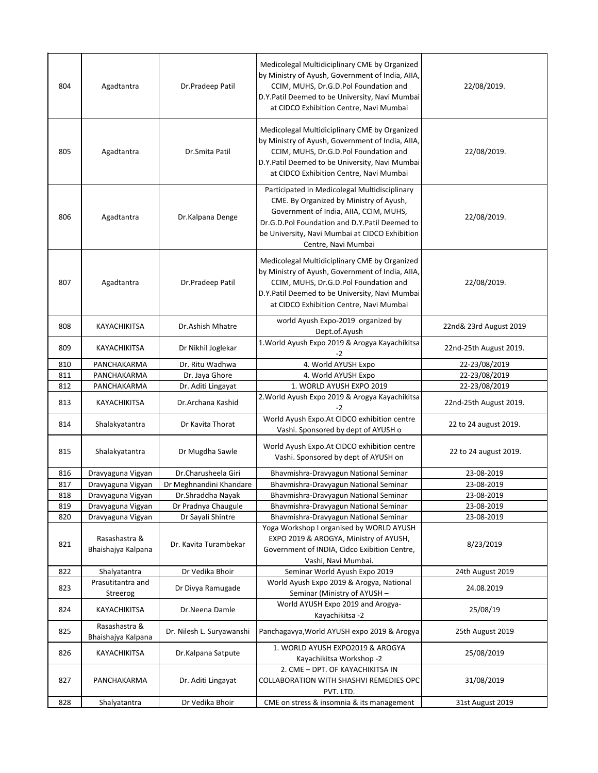| 804 | Agadtantra                          | Dr.Pradeep Patil          | Medicolegal Multidiciplinary CME by Organized<br>by Ministry of Ayush, Government of India, AIIA,<br>CCIM, MUHS, Dr.G.D.Pol Foundation and<br>D.Y.Patil Deemed to be University, Navi Mumbai<br>at CIDCO Exhibition Centre, Navi Mumbai                      | 22/08/2019.            |
|-----|-------------------------------------|---------------------------|--------------------------------------------------------------------------------------------------------------------------------------------------------------------------------------------------------------------------------------------------------------|------------------------|
| 805 | Agadtantra                          | Dr.Smita Patil            | Medicolegal Multidiciplinary CME by Organized<br>by Ministry of Ayush, Government of India, AIIA,<br>CCIM, MUHS, Dr.G.D.Pol Foundation and<br>D.Y.Patil Deemed to be University, Navi Mumbai<br>at CIDCO Exhibition Centre, Navi Mumbai                      | 22/08/2019.            |
| 806 | Agadtantra                          | Dr.Kalpana Denge          | Participated in Medicolegal Multidisciplinary<br>CME. By Organized by Ministry of Ayush,<br>Government of India, AIIA, CCIM, MUHS,<br>Dr.G.D.Pol Foundation and D.Y.Patil Deemed to<br>be University, Navi Mumbai at CIDCO Exhibition<br>Centre, Navi Mumbai | 22/08/2019.            |
| 807 | Agadtantra                          | Dr.Pradeep Patil          | Medicolegal Multidiciplinary CME by Organized<br>by Ministry of Ayush, Government of India, AIIA,<br>CCIM, MUHS, Dr.G.D.Pol Foundation and<br>D.Y.Patil Deemed to be University, Navi Mumbai<br>at CIDCO Exhibition Centre, Navi Mumbai                      | 22/08/2019.            |
| 808 | KAYACHIKITSA                        | Dr.Ashish Mhatre          | world Ayush Expo-2019 organized by<br>Dept.of.Ayush                                                                                                                                                                                                          | 22nd& 23rd August 2019 |
| 809 | KAYACHIKITSA                        | Dr Nikhil Joglekar        | 1. World Ayush Expo 2019 & Arogya Kayachikitsa<br>-2                                                                                                                                                                                                         | 22nd-25th August 2019. |
| 810 | PANCHAKARMA                         | Dr. Ritu Wadhwa           | 4. World AYUSH Expo                                                                                                                                                                                                                                          | 22-23/08/2019          |
| 811 | PANCHAKARMA                         | Dr. Jaya Ghore            | 4. World AYUSH Expo                                                                                                                                                                                                                                          | 22-23/08/2019          |
| 812 | PANCHAKARMA                         | Dr. Aditi Lingayat        | 1. WORLD AYUSH EXPO 2019                                                                                                                                                                                                                                     | 22-23/08/2019          |
| 813 | KAYACHIKITSA                        | Dr.Archana Kashid         | 2. World Ayush Expo 2019 & Arogya Kayachikitsa<br>$-2$                                                                                                                                                                                                       | 22nd-25th August 2019. |
| 814 | Shalakyatantra                      | Dr Kavita Thorat          | World Ayush Expo.At CIDCO exhibition centre<br>Vashi. Sponsored by dept of AYUSH o                                                                                                                                                                           | 22 to 24 august 2019.  |
| 815 | Shalakyatantra                      | Dr Mugdha Sawle           | World Ayush Expo.At CIDCO exhibition centre                                                                                                                                                                                                                  | 22 to 24 august 2019.  |
|     |                                     |                           | Vashi. Sponsored by dept of AYUSH on                                                                                                                                                                                                                         |                        |
| 816 | Dravyaguna Vigyan                   | Dr.Charusheela Giri       | Bhavmishra-Dravyagun National Seminar                                                                                                                                                                                                                        | 23-08-2019             |
| 817 | Dravyaguna Vigyan                   | Dr Meghnandini Khandare   | Bhavmishra-Dravyagun National Seminar                                                                                                                                                                                                                        | 23-08-2019             |
| 818 | Dravyaguna Vigyan                   | Dr.Shraddha Nayak         | Bhavmishra-Dravyagun National Seminar                                                                                                                                                                                                                        | 23-08-2019             |
| 819 | Dravyaguna Vigyan                   | Dr Pradnya Chaugule       | Bhavmishra-Dravyagun National Seminar                                                                                                                                                                                                                        | 23-08-2019             |
| 820 | Dravyaguna Vigyan                   | Dr Sayali Shintre         | Bhavmishra-Dravyagun National Seminar                                                                                                                                                                                                                        | 23-08-2019             |
| 821 | Rasashastra &<br>Bhaishajya Kalpana | Dr. Kavita Turambekar     | Yoga Workshop I organised by WORLD AYUSH<br>EXPO 2019 & AROGYA, Ministry of AYUSH,<br>Government of INDIA, Cidco Exibition Centre,<br>Vashi, Navi Mumbai.                                                                                                    | 8/23/2019              |
| 822 | Shalyatantra                        | Dr Vedika Bhoir           | Seminar World Ayush Expo 2019                                                                                                                                                                                                                                | 24th August 2019       |
| 823 | Prasutitantra and<br>Streerog       | Dr Divya Ramugade         | World Ayush Expo 2019 & Arogya, National<br>Seminar (Ministry of AYUSH -                                                                                                                                                                                     | 24.08.2019             |
| 824 | KAYACHIKITSA                        | Dr.Neena Damle            | World AYUSH Expo 2019 and Arogya-<br>Kayachikitsa -2                                                                                                                                                                                                         | 25/08/19               |
| 825 | Rasashastra &<br>Bhaishajya Kalpana | Dr. Nilesh L. Suryawanshi | Panchagavya, World AYUSH expo 2019 & Arogya                                                                                                                                                                                                                  | 25th August 2019       |
| 826 | KAYACHIKITSA                        | Dr.Kalpana Satpute        | 1. WORLD AYUSH EXPO2019 & AROGYA<br>Kayachikitsa Workshop -2                                                                                                                                                                                                 | 25/08/2019             |
| 827 | PANCHAKARMA                         | Dr. Aditi Lingayat        | 2. CME - DPT. OF KAYACHIKITSA IN<br>COLLABORATION WITH SHASHVI REMEDIES OPC<br>PVT. LTD.                                                                                                                                                                     | 31/08/2019             |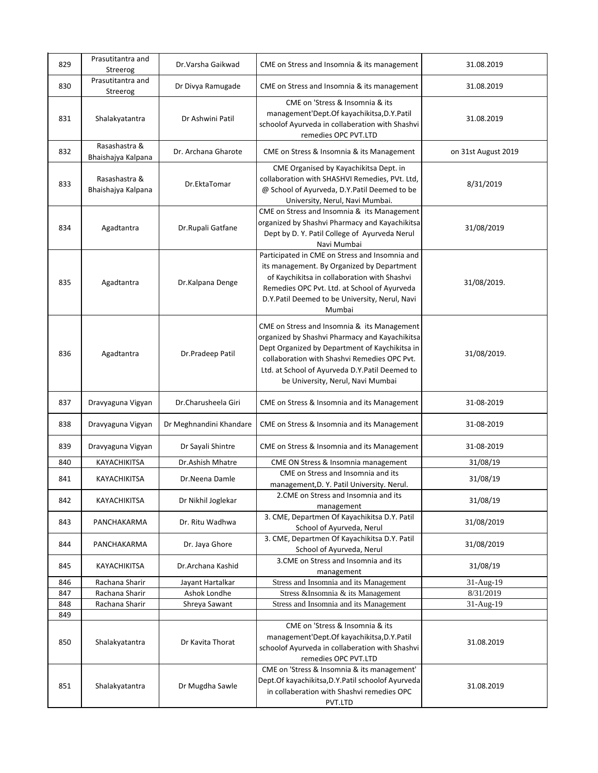| 829 | Prasutitantra and<br>Streerog       | Dr.Varsha Gaikwad       | CME on Stress and Insomnia & its management                                                                                                                                                                                                                                            | 31.08.2019          |
|-----|-------------------------------------|-------------------------|----------------------------------------------------------------------------------------------------------------------------------------------------------------------------------------------------------------------------------------------------------------------------------------|---------------------|
| 830 | Prasutitantra and<br>Streerog       | Dr Divya Ramugade       | CME on Stress and Insomnia & its management                                                                                                                                                                                                                                            | 31.08.2019          |
| 831 | Shalakyatantra                      | Dr Ashwini Patil        | CME on 'Stress & Insomnia & its<br>management'Dept.Of kayachikitsa,D.Y.Patil<br>schoolof Ayurveda in collaberation with Shashvi<br>remedies OPC PVT.LTD                                                                                                                                | 31.08.2019          |
| 832 | Rasashastra &<br>Bhaishajya Kalpana | Dr. Archana Gharote     | CME on Stress & Insomnia & its Management                                                                                                                                                                                                                                              | on 31st August 2019 |
| 833 | Rasashastra &<br>Bhaishajya Kalpana | Dr.EktaTomar            | CME Organised by Kayachikitsa Dept. in<br>collaboration with SHASHVI Remedies, PVt. Ltd,<br>@ School of Ayurveda, D.Y.Patil Deemed to be<br>University, Nerul, Navi Mumbai.                                                                                                            | 8/31/2019           |
| 834 | Agadtantra                          | Dr.Rupali Gatfane       | CME on Stress and Insomnia & its Management<br>organized by Shashvi Pharmacy and Kayachikitsa<br>Dept by D. Y. Patil College of Ayurveda Nerul<br>Navi Mumbai                                                                                                                          | 31/08/2019          |
| 835 | Agadtantra                          | Dr.Kalpana Denge        | Participated in CME on Stress and Insomnia and<br>its management. By Organized by Department<br>of Kaychikitsa in collaboration with Shashvi<br>Remedies OPC Pvt. Ltd. at School of Ayurveda<br>D.Y.Patil Deemed to be University, Nerul, Navi<br>Mumbai                               | 31/08/2019.         |
| 836 | Agadtantra                          | Dr.Pradeep Patil        | CME on Stress and Insomnia & its Management<br>organized by Shashvi Pharmacy and Kayachikitsa<br>Dept Organized by Department of Kaychikitsa in<br>collaboration with Shashvi Remedies OPC Pvt.<br>Ltd. at School of Ayurveda D.Y.Patil Deemed to<br>be University, Nerul, Navi Mumbai | 31/08/2019.         |
| 837 | Dravyaguna Vigyan                   | Dr.Charusheela Giri     | CME on Stress & Insomnia and its Management                                                                                                                                                                                                                                            | 31-08-2019          |
| 838 | Dravyaguna Vigyan                   | Dr Meghnandini Khandare | CME on Stress & Insomnia and its Management                                                                                                                                                                                                                                            | 31-08-2019          |
| 839 | Dravyaguna Vigyan                   | Dr Sayali Shintre       | CME on Stress & Insomnia and its Management                                                                                                                                                                                                                                            | 31-08-2019          |
| 840 | KAYACHIKITSA                        | Dr.Ashish Mhatre        | CME ON Stress & Insomnia management                                                                                                                                                                                                                                                    | 31/08/19            |
| 841 | KAYACHIKITSA                        | Dr.Neena Damle          | CME on Stress and Insomnia and its<br>management, D. Y. Patil University. Nerul.                                                                                                                                                                                                       | 31/08/19            |
| 842 | KAYACHIKITSA                        | Dr Nikhil Joglekar      | 2. CME on Stress and Insomnia and its<br>management                                                                                                                                                                                                                                    | 31/08/19            |
| 843 | PANCHAKARMA                         | Dr. Ritu Wadhwa         | 3. CME, Departmen Of Kayachikitsa D.Y. Patil<br>School of Ayurveda, Nerul                                                                                                                                                                                                              | 31/08/2019          |
| 844 | PANCHAKARMA                         | Dr. Jaya Ghore          | 3. CME, Departmen Of Kayachikitsa D.Y. Patil<br>School of Ayurveda, Nerul                                                                                                                                                                                                              | 31/08/2019          |
| 845 | KAYACHIKITSA                        | Dr.Archana Kashid       | 3. CME on Stress and Insomnia and its<br>management                                                                                                                                                                                                                                    | 31/08/19            |
| 846 | Rachana Sharir                      | Jayant Hartalkar        | Stress and Insomnia and its Management                                                                                                                                                                                                                                                 | 31-Aug-19           |
| 847 | Rachana Sharir                      | Ashok Londhe            | Stress &Insomnia & its Management                                                                                                                                                                                                                                                      | 8/31/2019           |
| 848 | Rachana Sharir                      | Shreya Sawant           | Stress and Insomnia and its Management                                                                                                                                                                                                                                                 | 31-Aug-19           |
| 849 |                                     |                         |                                                                                                                                                                                                                                                                                        |                     |
| 850 | Shalakyatantra                      | Dr Kavita Thorat        | CME on 'Stress & Insomnia & its<br>management'Dept.Of kayachikitsa,D.Y.Patil<br>schoolof Ayurveda in collaberation with Shashvi<br>remedies OPC PVT.LTD                                                                                                                                | 31.08.2019          |
| 851 | Shalakyatantra                      | Dr Mugdha Sawle         | CME on 'Stress & Insomnia & its management'<br>Dept.Of kayachikitsa, D.Y. Patil schoolof Ayurveda<br>in collaberation with Shashvi remedies OPC<br>PVT.LTD                                                                                                                             | 31.08.2019          |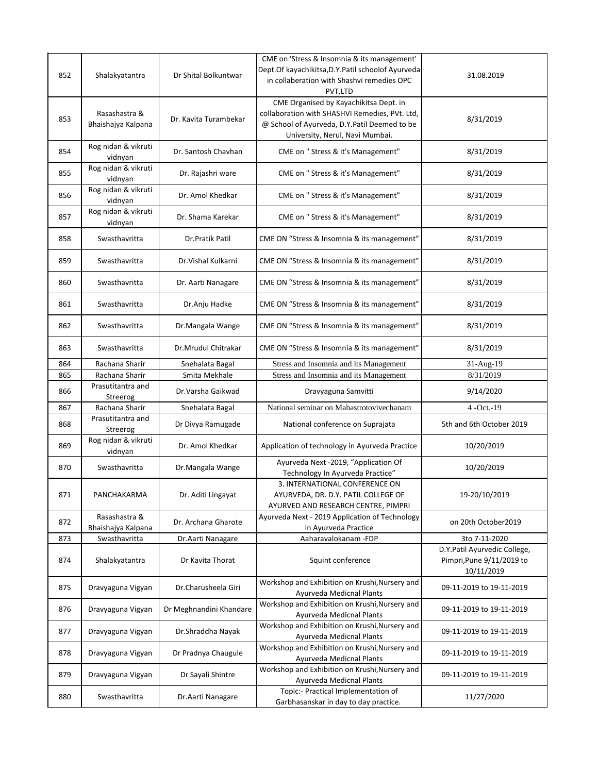| 852 | Shalakyatantra                      | Dr Shital Bolkuntwar    | CME on 'Stress & Insomnia & its management'<br>Dept.Of kayachikitsa, D.Y. Patil schoolof Ayurveda<br>in collaberation with Shashvi remedies OPC<br>PVT.LTD                  | 31.08.2019                                                              |
|-----|-------------------------------------|-------------------------|-----------------------------------------------------------------------------------------------------------------------------------------------------------------------------|-------------------------------------------------------------------------|
| 853 | Rasashastra &<br>Bhaishajya Kalpana | Dr. Kavita Turambekar   | CME Organised by Kayachikitsa Dept. in<br>collaboration with SHASHVI Remedies, PVt. Ltd,<br>@ School of Ayurveda, D.Y.Patil Deemed to be<br>University, Nerul, Navi Mumbai. | 8/31/2019                                                               |
| 854 | Rog nidan & vikruti<br>vidnyan      | Dr. Santosh Chavhan     | CME on " Stress & it's Management"                                                                                                                                          | 8/31/2019                                                               |
| 855 | Rog nidan & vikruti<br>vidnyan      | Dr. Rajashri ware       | CME on " Stress & it's Management"                                                                                                                                          | 8/31/2019                                                               |
| 856 | Rog nidan & vikruti<br>vidnyan      | Dr. Amol Khedkar        | CME on " Stress & it's Management"                                                                                                                                          | 8/31/2019                                                               |
| 857 | Rog nidan & vikruti<br>vidnyan      | Dr. Shama Karekar       | CME on " Stress & it's Management"                                                                                                                                          | 8/31/2019                                                               |
| 858 | Swasthavritta                       | Dr.Pratik Patil         | CME ON "Stress & Insomnia & its management"                                                                                                                                 | 8/31/2019                                                               |
| 859 | Swasthavritta                       | Dr. Vishal Kulkarni     | CME ON "Stress & Insomnia & its management"                                                                                                                                 | 8/31/2019                                                               |
| 860 | Swasthavritta                       | Dr. Aarti Nanagare      | CME ON "Stress & Insomnia & its management"                                                                                                                                 | 8/31/2019                                                               |
| 861 | Swasthavritta                       | Dr.Anju Hadke           | CME ON "Stress & Insomnia & its management"                                                                                                                                 | 8/31/2019                                                               |
| 862 | Swasthavritta                       | Dr.Mangala Wange        | CME ON "Stress & Insomnia & its management"                                                                                                                                 | 8/31/2019                                                               |
| 863 | Swasthavritta                       | Dr.Mrudul Chitrakar     | CME ON "Stress & Insomnia & its management"                                                                                                                                 | 8/31/2019                                                               |
| 864 | Rachana Sharir                      | Snehalata Bagal         | Stress and Insomnia and its Management                                                                                                                                      | 31-Aug-19                                                               |
| 865 | Rachana Sharir                      | Smita Mekhale           | Stress and Insomnia and its Management                                                                                                                                      | 8/31/2019                                                               |
| 866 | Prasutitantra and<br>Streerog       | Dr.Varsha Gaikwad       | Dravyaguna Samvitti                                                                                                                                                         | 9/14/2020                                                               |
| 867 | Rachana Sharir                      | Snehalata Bagal         | National seminar on Mahastrotovivechanam                                                                                                                                    | $4 - Oct. -19$                                                          |
| 868 | Prasutitantra and<br>Streerog       | Dr Divya Ramugade       | National conference on Suprajata                                                                                                                                            | 5th and 6th October 2019                                                |
| 869 | Rog nidan & vikruti<br>vidnyan      | Dr. Amol Khedkar        | Application of technology in Ayurveda Practice                                                                                                                              | 10/20/2019                                                              |
| 870 | Swasthavritta                       | Dr.Mangala Wange        | Ayurveda Next -2019, "Application Of<br>Technology In Ayurveda Practice"                                                                                                    | 10/20/2019                                                              |
| 871 | PANCHAKARMA                         | Dr. Aditi Lingayat      | 3. INTERNATIONAL CONFERENCE ON<br>AYURVEDA, DR. D.Y. PATIL COLLEGE OF<br>AYURVED AND RESEARCH CENTRE, PIMPRI                                                                | 19-20/10/2019                                                           |
| 872 | Rasashastra &<br>Bhaishajya Kalpana | Dr. Archana Gharote     | Ayurveda Next - 2019 Application of Technology<br>in Ayurveda Practice                                                                                                      | on 20th October2019                                                     |
| 873 | Swasthavritta                       | Dr.Aarti Nanagare       | Aaharavalokanam -FDP                                                                                                                                                        | 3to 7-11-2020                                                           |
| 874 | Shalakyatantra                      | Dr Kavita Thorat        | Squint conference                                                                                                                                                           | D.Y.Patil Ayurvedic College,<br>Pimpri, Pune 9/11/2019 to<br>10/11/2019 |
| 875 | Dravyaguna Vigyan                   | Dr.Charusheela Giri     | Workshop and Exhibition on Krushi, Nursery and<br>Ayurveda Medicnal Plants                                                                                                  | 09-11-2019 to 19-11-2019                                                |
| 876 | Dravyaguna Vigyan                   | Dr Meghnandini Khandare | Workshop and Exhibition on Krushi, Nursery and<br>Ayurveda Medicnal Plants                                                                                                  | 09-11-2019 to 19-11-2019                                                |
| 877 | Dravyaguna Vigyan                   | Dr.Shraddha Nayak       | Workshop and Exhibition on Krushi, Nursery and<br>Ayurveda Medicnal Plants                                                                                                  | 09-11-2019 to 19-11-2019                                                |
| 878 | Dravyaguna Vigyan                   | Dr Pradnya Chaugule     | Workshop and Exhibition on Krushi, Nursery and<br>Ayurveda Medicnal Plants                                                                                                  | 09-11-2019 to 19-11-2019                                                |
| 879 | Dravyaguna Vigyan                   | Dr Sayali Shintre       | Workshop and Exhibition on Krushi, Nursery and<br>Ayurveda Medicnal Plants                                                                                                  | 09-11-2019 to 19-11-2019                                                |
| 880 | Swasthavritta                       | Dr.Aarti Nanagare       | Topic:- Practical Implementation of<br>Garbhasanskar in day to day practice.                                                                                                | 11/27/2020                                                              |
|     |                                     |                         |                                                                                                                                                                             |                                                                         |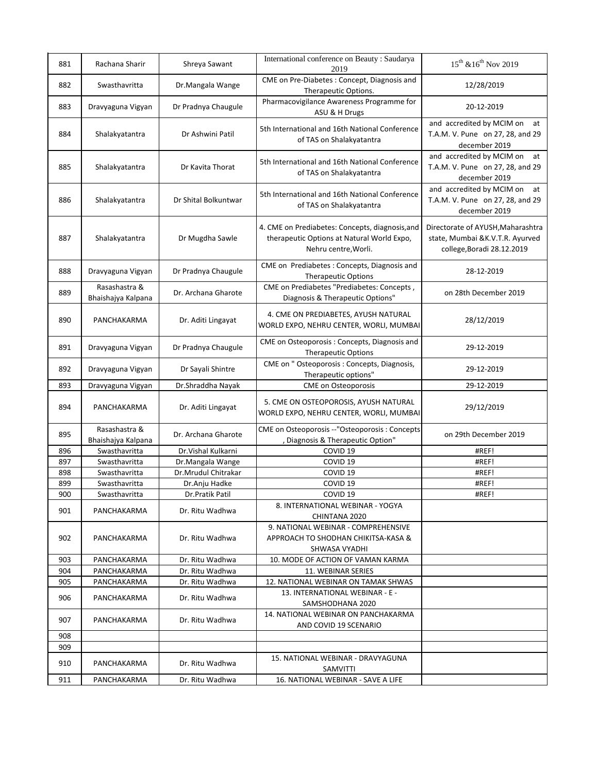|     |                                     |                      | International conference on Beauty : Saudarya                                                                         |                                                                                                     |
|-----|-------------------------------------|----------------------|-----------------------------------------------------------------------------------------------------------------------|-----------------------------------------------------------------------------------------------------|
| 881 | Rachana Sharir                      | Shreya Sawant        | 2019                                                                                                                  | $15^{th}$ & $16^{th}$ Nov 2019                                                                      |
| 882 | Swasthavritta                       | Dr.Mangala Wange     | CME on Pre-Diabetes : Concept, Diagnosis and<br>Therapeutic Options.                                                  | 12/28/2019                                                                                          |
| 883 | Dravyaguna Vigyan                   | Dr Pradnya Chaugule  | Pharmacovigilance Awareness Programme for<br>ASU & H Drugs                                                            | 20-12-2019                                                                                          |
| 884 | Shalakyatantra                      | Dr Ashwini Patil     | 5th International and 16th National Conference<br>of TAS on Shalakyatantra                                            | and accredited by MCIM on<br>at<br>T.A.M. V. Pune on 27, 28, and 29<br>december 2019                |
| 885 | Shalakyatantra                      | Dr Kavita Thorat     | 5th International and 16th National Conference<br>of TAS on Shalakyatantra                                            | and accredited by MCIM on<br>at<br>T.A.M. V. Pune on 27, 28, and 29<br>december 2019                |
| 886 | Shalakyatantra                      | Dr Shital Bolkuntwar | 5th International and 16th National Conference<br>of TAS on Shalakyatantra                                            | and accredited by MCIM on<br>at<br>T.A.M. V. Pune on 27, 28, and 29<br>december 2019                |
| 887 | Shalakyatantra                      | Dr Mugdha Sawle      | 4. CME on Prediabetes: Concepts, diagnosis, and<br>therapeutic Options at Natural World Expo,<br>Nehru centre, Worli. | Directorate of AYUSH, Maharashtra<br>state, Mumbai & K.V.T.R. Ayurved<br>college, Boradi 28.12.2019 |
| 888 | Dravyaguna Vigyan                   | Dr Pradnya Chaugule  | CME on Prediabetes : Concepts, Diagnosis and<br><b>Therapeutic Options</b>                                            | 28-12-2019                                                                                          |
| 889 | Rasashastra &<br>Bhaishajya Kalpana | Dr. Archana Gharote  | CME on Prediabetes "Prediabetes: Concepts,<br>Diagnosis & Therapeutic Options"                                        | on 28th December 2019                                                                               |
| 890 | PANCHAKARMA                         | Dr. Aditi Lingayat   | 4. CME ON PREDIABETES, AYUSH NATURAL<br>WORLD EXPO, NEHRU CENTER, WORLI, MUMBAI                                       | 28/12/2019                                                                                          |
| 891 | Dravyaguna Vigyan                   | Dr Pradnya Chaugule  | CME on Osteoporosis: Concepts, Diagnosis and<br><b>Therapeutic Options</b>                                            | 29-12-2019                                                                                          |
| 892 | Dravyaguna Vigyan                   | Dr Sayali Shintre    | CME on " Osteoporosis : Concepts, Diagnosis,<br>Therapeutic options"                                                  | 29-12-2019                                                                                          |
| 893 | Dravyaguna Vigyan                   | Dr.Shraddha Nayak    | <b>CME</b> on Osteoporosis                                                                                            | 29-12-2019                                                                                          |
| 894 | PANCHAKARMA                         | Dr. Aditi Lingayat   | 5. CME ON OSTEOPOROSIS, AYUSH NATURAL<br>WORLD EXPO, NEHRU CENTER, WORLI, MUMBAI                                      | 29/12/2019                                                                                          |
| 895 | Rasashastra &<br>Bhaishajya Kalpana | Dr. Archana Gharote  | CME on Osteoporosis --"Osteoporosis : Concepts<br>, Diagnosis & Therapeutic Option"                                   | on 29th December 2019                                                                               |
| 896 | Swasthavritta                       | Dr. Vishal Kulkarni  | COVID <sub>19</sub>                                                                                                   | #REF!                                                                                               |
| 897 | Swasthavritta                       | Dr.Mangala Wange     | COVID <sub>19</sub>                                                                                                   | #REF!                                                                                               |
| 898 | Swasthavritta                       | Dr.Mrudul Chitrakar  | COVID <sub>19</sub>                                                                                                   | #REF!                                                                                               |
| 899 | Swasthavritta                       | Dr.Anju Hadke        | COVID <sub>19</sub>                                                                                                   | #REF!                                                                                               |
| 900 | Swasthavritta                       | Dr.Pratik Patil      | COVID <sub>19</sub>                                                                                                   | #REF!                                                                                               |
| 901 | PANCHAKARMA                         | Dr. Ritu Wadhwa      | 8. INTERNATIONAL WEBINAR - YOGYA<br>CHINTANA 2020                                                                     |                                                                                                     |
| 902 | PANCHAKARMA                         | Dr. Ritu Wadhwa      | 9. NATIONAL WEBINAR - COMPREHENSIVE<br>APPROACH TO SHODHAN CHIKITSA-KASA &<br>SHWASA VYADHI                           |                                                                                                     |
| 903 | PANCHAKARMA                         | Dr. Ritu Wadhwa      | 10. MODE OF ACTION OF VAMAN KARMA                                                                                     |                                                                                                     |
| 904 | PANCHAKARMA                         | Dr. Ritu Wadhwa      | 11. WEBINAR SERIES                                                                                                    |                                                                                                     |
| 905 | PANCHAKARMA                         | Dr. Ritu Wadhwa      | 12. NATIONAL WEBINAR ON TAMAK SHWAS                                                                                   |                                                                                                     |
| 906 | PANCHAKARMA                         | Dr. Ritu Wadhwa      | 13. INTERNATIONAL WEBINAR - E -<br>SAMSHODHANA 2020                                                                   |                                                                                                     |
| 907 | PANCHAKARMA                         | Dr. Ritu Wadhwa      | 14. NATIONAL WEBINAR ON PANCHAKARMA<br>AND COVID 19 SCENARIO                                                          |                                                                                                     |
| 908 |                                     |                      |                                                                                                                       |                                                                                                     |
| 909 |                                     |                      |                                                                                                                       |                                                                                                     |
| 910 | PANCHAKARMA                         | Dr. Ritu Wadhwa      | 15. NATIONAL WEBINAR - DRAVYAGUNA<br>SAMVITTI                                                                         |                                                                                                     |
| 911 | PANCHAKARMA                         | Dr. Ritu Wadhwa      | 16. NATIONAL WEBINAR - SAVE A LIFE                                                                                    |                                                                                                     |